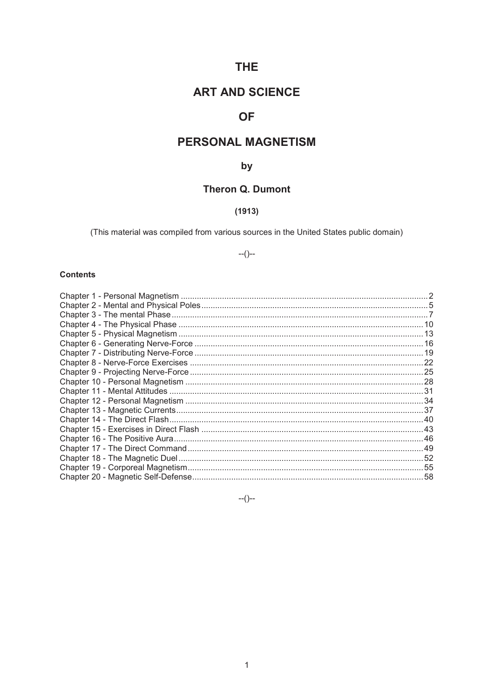### **THE**

# **ART AND SCIENCE**

# **OF**

# PERSONAL MAGNETISM

### by

## Theron Q. Dumont

### $(1913)$

(This material was compiled from various sources in the United States public domain)

### $-(-)$

#### **Contents**

### $-(-)$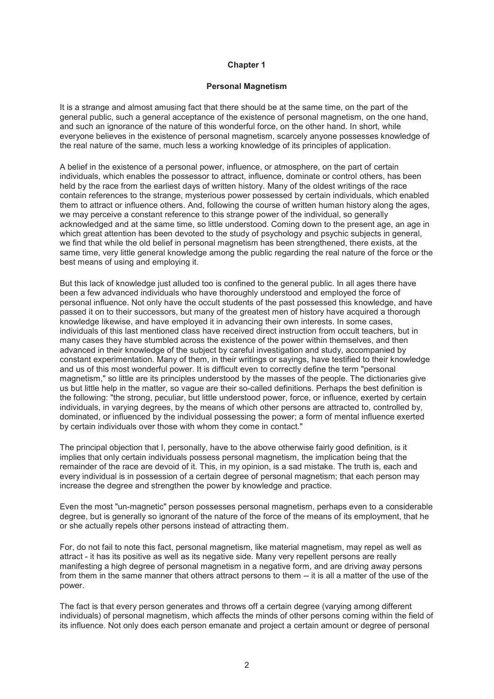#### **Personal Magnetism**

It is a strange and almost amusing fact that there should be at the same time, on the part of the general public, such a general acceptance of the existence of personal magnetism, on the one hand, and such an ignorance of the nature of this wonderful force, on the other hand. In short, while everyone believes in the existence of personal magnetism, scarcely anyone possesses knowledge of the real nature of the same, much less a working knowledge of its principles of application.

A belief in the existence of a personal power, influence, or atmosphere, on the part of certain individuals, which enables the possessor to attract, influence, dominate or control others, has been held by the race from the earliest days of written history. Many of the oldest writings of the race contain references to the strange, mysterious power possessed by certain individuals, which enabled them to attract or influence others. And, following the course of written human history along the ages, we may perceive a constant reference to this strange power of the individual, so generally acknowledged and at the same time, so little understood. Coming down to the present age, an age in which great attention has been devoted to the study of psychology and psychic subjects in general, we find that while the old belief in personal magnetism has been strengthened, there exists, at the same time, very little general knowledge among the public regarding the real nature of the force or the best means of using and employing it.

But this lack of knowledge just alluded too is confined to the general public. In all ages there have been a few advanced individuals who have thoroughly understood and employed the force of personal influence. Not only have the occult students of the past possessed this knowledge, and have passed it on to their successors, but many of the greatest men of history have acquired a thorough knowledge likewise, and have employed it in advancing their own interests. In some cases, individuals of this last mentioned class have received direct instruction from occult teachers, but in many cases they have stumbled across the existence of the power within themselves, and then advanced in their knowledge of the subject by careful investigation and study, accompanied by constant experimentation. Many of them, in their writings or sayings, have testified to their knowledge and us of this most wonderful power. It is difficult even to correctly define the term "personal magnetism," so little are its principles understood by the masses of the people. The dictionaries give us but little help in the matter, so vague are their so-called definitions. Perhaps the best definition is the following: "the strong, peculiar, but little understood power, force, or influence, exerted by certain individuals, in varying degrees, by the means of which other persons are attracted to, controlled by, dominated, or influenced by the individual possessing the power; a form of mental influence exerted by certain individuals over those with whom they come in contact."

The principal objection that I, personally, have to the above otherwise fairly good definition, is it implies that only certain individuals possess personal magnetism, the implication being that the remainder of the race are devoid of it. This, in my opinion, is a sad mistake. The truth is, each and every individual is in possession of a certain degree of personal magnetism; that each person may increase the degree and strengthen the power by knowledge and practice.

Even the most "un-magnetic" person possesses personal magnetism, perhaps even to a considerable degree, but is generally so ignorant of the nature of the force of the means of its employment, that he or she actually repels other persons instead of attracting them.

For, do not fail to note this fact, personal magnetism, like material magnetism, may repel as well as attract - it has its positive as well as its negative side. Many very repellent persons are really manifesting a high degree of personal magnetism in a negative form, and are driving away persons from them in the same manner that others attract persons to them -- it is all a matter of the use of the power.

The fact is that every person generates and throws off a certain degree (varying among different individuals) of personal magnetism, which affects the minds of other persons coming within the field of its influence. Not only does each person emanate and project a certain amount or degree of personal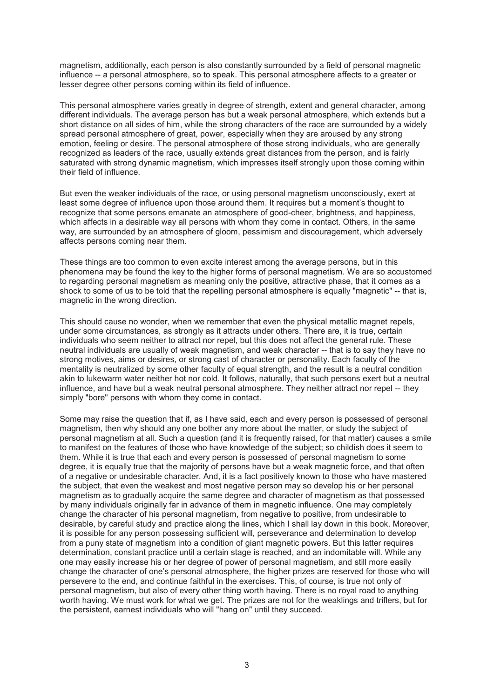magnetism, additionally, each person is also constantly surrounded by a field of personal magnetic influence -- a personal atmosphere, so to speak. This personal atmosphere affects to a greater or lesser degree other persons coming within its field of influence.

This personal atmosphere varies greatly in degree of strength, extent and general character, among different individuals. The average person has but a weak personal atmosphere, which extends but a short distance on all sides of him, while the strong characters of the race are surrounded by a widely spread personal atmosphere of great, power, especially when they are aroused by any strong emotion, feeling or desire. The personal atmosphere of those strong individuals, who are generally recognized as leaders of the race, usually extends great distances from the person, and is fairly saturated with strong dynamic magnetism, which impresses itself strongly upon those coming within their field of influence.

But even the weaker individuals of the race, or using personal magnetism unconsciously, exert at least some degree of influence upon those around them. It requires but a moment's thought to recognize that some persons emanate an atmosphere of good-cheer, brightness, and happiness, which affects in a desirable way all persons with whom they come in contact. Others, in the same way, are surrounded by an atmosphere of gloom, pessimism and discouragement, which adversely affects persons coming near them.

These things are too common to even excite interest among the average persons, but in this phenomena may be found the key to the higher forms of personal magnetism. We are so accustomed to regarding personal magnetism as meaning only the positive, attractive phase, that it comes as a shock to some of us to be told that the repelling personal atmosphere is equally "magnetic" -- that is, magnetic in the wrong direction.

This should cause no wonder, when we remember that even the physical metallic magnet repels, under some circumstances, as strongly as it attracts under others. There are, it is true, certain individuals who seem neither to attract nor repel, but this does not affect the general rule. These neutral individuals are usually of weak magnetism, and weak character -- that is to say they have no strong motives, aims or desires, or strong cast of character or personality. Each faculty of the mentality is neutralized by some other faculty of equal strength, and the result is a neutral condition akin to lukewarm water neither hot nor cold. It follows, naturally, that such persons exert but a neutral influence, and have but a weak neutral personal atmosphere. They neither attract nor repel -- they simply "bore" persons with whom they come in contact.

Some may raise the question that if, as I have said, each and every person is possessed of personal magnetism, then why should any one bother any more about the matter, or study the subject of personal magnetism at all. Such a question (and it is frequently raised, for that matter) causes a smile to manifest on the features of those who have knowledge of the subject; so childish does it seem to them. While it is true that each and every person is possessed of personal magnetism to some degree, it is equally true that the majority of persons have but a weak magnetic force, and that often of a negative or undesirable character. And, it is a fact positively known to those who have mastered the subject, that even the weakest and most negative person may so develop his or her personal magnetism as to gradually acquire the same degree and character of magnetism as that possessed by many individuals originally far in advance of them in magnetic influence. One may completely change the character of his personal magnetism, from negative to positive, from undesirable to desirable, by careful study and practice along the lines, which I shall lay down in this book. Moreover, it is possible for any person possessing sufficient will, perseverance and determination to develop from a puny state of magnetism into a condition of giant magnetic powers. But this latter requires determination, constant practice until a certain stage is reached, and an indomitable will. While any one may easily increase his or her degree of power of personal magnetism, and still more easily change the character of one's personal atmosphere, the higher prizes are reserved for those who will persevere to the end, and continue faithful in the exercises. This, of course, is true not only of personal magnetism, but also of every other thing worth having. There is no royal road to anything worth having. We must work for what we get. The prizes are not for the weaklings and triflers, but for the persistent, earnest individuals who will "hang on" until they succeed.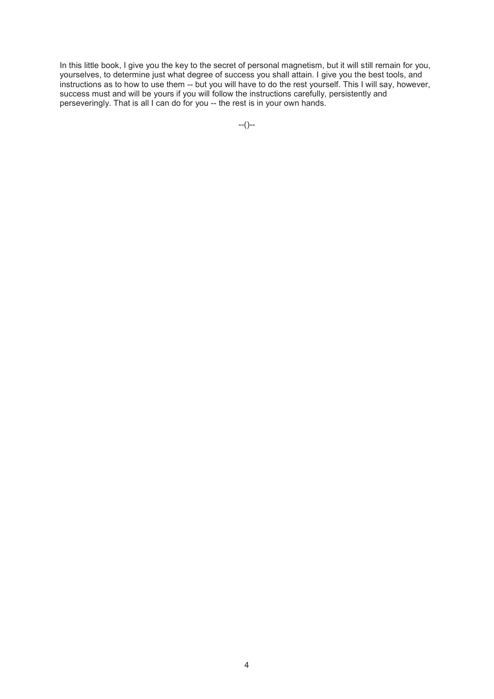In this little book, I give you the key to the secret of personal magnetism, but it will still remain for you, yourselves, to determine just what degree of success you shall attain. I give you the best tools, and instructions as to how to use them -- but you will have to do the rest yourself. This I will say, however, success must and will be yours if you will follow the instructions carefully, persistently and perseveringly. That is all I can do for you -- the rest is in your own hands.

--()--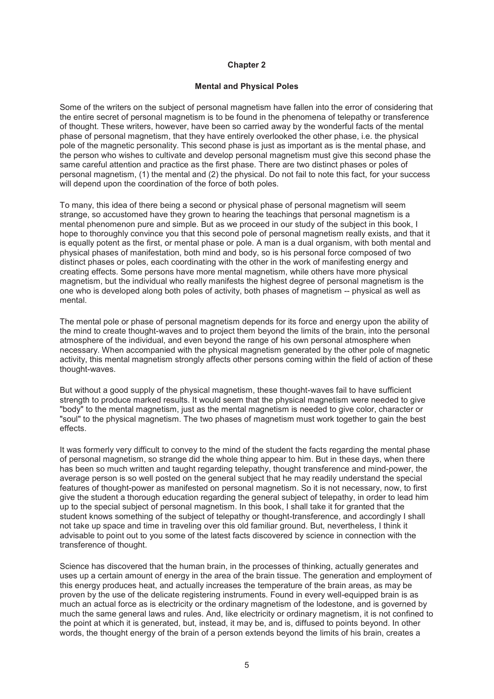#### **Mental and Physical Poles**

Some of the writers on the subject of personal magnetism have fallen into the error of considering that the entire secret of personal magnetism is to be found in the phenomena of telepathy or transference of thought. These writers, however, have been so carried away by the wonderful facts of the mental phase of personal magnetism, that they have entirely overlooked the other phase, i.e. the physical pole of the magnetic personality. This second phase is just as important as is the mental phase, and the person who wishes to cultivate and develop personal magnetism must give this second phase the same careful attention and practice as the first phase. There are two distinct phases or poles of personal magnetism, (1) the mental and (2) the physical. Do not fail to note this fact, for your success will depend upon the coordination of the force of both poles.

To many, this idea of there being a second or physical phase of personal magnetism will seem strange, so accustomed have they grown to hearing the teachings that personal magnetism is a mental phenomenon pure and simple. But as we proceed in our study of the subject in this book, I hope to thoroughly convince you that this second pole of personal magnetism really exists, and that it is equally potent as the first, or mental phase or pole. A man is a dual organism, with both mental and physical phases of manifestation, both mind and body, so is his personal force composed of two distinct phases or poles, each coordinating with the other in the work of manifesting energy and creating effects. Some persons have more mental magnetism, while others have more physical magnetism, but the individual who really manifests the highest degree of personal magnetism is the one who is developed along both poles of activity, both phases of magnetism -- physical as well as mental.

The mental pole or phase of personal magnetism depends for its force and energy upon the ability of the mind to create thought-waves and to project them beyond the limits of the brain, into the personal atmosphere of the individual, and even beyond the range of his own personal atmosphere when necessary. When accompanied with the physical magnetism generated by the other pole of magnetic activity, this mental magnetism strongly affects other persons coming within the field of action of these thought-waves.

But without a good supply of the physical magnetism, these thought-waves fail to have sufficient strength to produce marked results. It would seem that the physical magnetism were needed to give "body" to the mental magnetism, just as the mental magnetism is needed to give color, character or "soul" to the physical magnetism. The two phases of magnetism must work together to gain the best effects.

It was formerly very difficult to convey to the mind of the student the facts regarding the mental phase of personal magnetism, so strange did the whole thing appear to him. But in these days, when there has been so much written and taught regarding telepathy, thought transference and mind-power, the average person is so well posted on the general subject that he may readily understand the special features of thought-power as manifested on personal magnetism. So it is not necessary, now, to first give the student a thorough education regarding the general subject of telepathy, in order to lead him up to the special subject of personal magnetism. In this book, I shall take it for granted that the student knows something of the subject of telepathy or thought-transference, and accordingly I shall not take up space and time in traveling over this old familiar ground. But, nevertheless, I think it advisable to point out to you some of the latest facts discovered by science in connection with the transference of thought.

Science has discovered that the human brain, in the processes of thinking, actually generates and uses up a certain amount of energy in the area of the brain tissue. The generation and employment of this energy produces heat, and actually increases the temperature of the brain areas, as may be proven by the use of the delicate registering instruments. Found in every well-equipped brain is as much an actual force as is electricity or the ordinary magnetism of the lodestone, and is governed by much the same general laws and rules. And, like electricity or ordinary magnetism, it is not confined to the point at which it is generated, but, instead, it may be, and is, diffused to points beyond. In other words, the thought energy of the brain of a person extends beyond the limits of his brain, creates a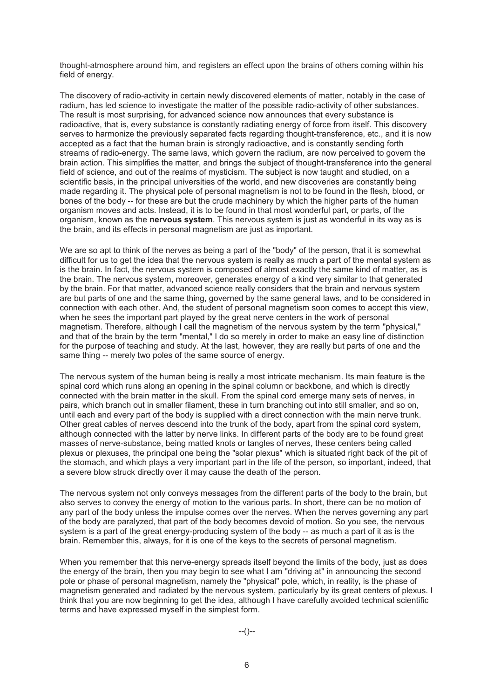thought-atmosphere around him, and registers an effect upon the brains of others coming within his field of energy.

The discovery of radio-activity in certain newly discovered elements of matter, notably in the case of radium, has led science to investigate the matter of the possible radio-activity of other substances. The result is most surprising, for advanced science now announces that every substance is radioactive, that is, every substance is constantly radiating energy of force from itself. This discovery serves to harmonize the previously separated facts regarding thought-transference, etc., and it is now accepted as a fact that the human brain is strongly radioactive, and is constantly sending forth streams of radio-energy. The same laws, which govern the radium, are now perceived to govern the brain action. This simplifies the matter, and brings the subject of thought-transference into the general field of science, and out of the realms of mysticism. The subject is now taught and studied, on a scientific basis, in the principal universities of the world, and new discoveries are constantly being made regarding it. The physical pole of personal magnetism is not to be found in the flesh, blood, or bones of the body -- for these are but the crude machinery by which the higher parts of the human organism moves and acts. Instead, it is to be found in that most wonderful part, or parts, of the organism, known as the **nervous system**. This nervous system is just as wonderful in its way as is the brain, and its effects in personal magnetism are just as important.

We are so apt to think of the nerves as being a part of the "body" of the person, that it is somewhat difficult for us to get the idea that the nervous system is really as much a part of the mental system as is the brain. In fact, the nervous system is composed of almost exactly the same kind of matter, as is the brain. The nervous system, moreover, generates energy of a kind very similar to that generated by the brain. For that matter, advanced science really considers that the brain and nervous system are but parts of one and the same thing, governed by the same general laws, and to be considered in connection with each other. And, the student of personal magnetism soon comes to accept this view, when he sees the important part played by the great nerve centers in the work of personal magnetism. Therefore, although I call the magnetism of the nervous system by the term "physical," and that of the brain by the term "mental," I do so merely in order to make an easy line of distinction for the purpose of teaching and study. At the last, however, they are really but parts of one and the same thing -- merely two poles of the same source of energy.

The nervous system of the human being is really a most intricate mechanism. Its main feature is the spinal cord which runs along an opening in the spinal column or backbone, and which is directly connected with the brain matter in the skull. From the spinal cord emerge many sets of nerves, in pairs, which branch out in smaller filament, these in turn branching out into still smaller, and so on, until each and every part of the body is supplied with a direct connection with the main nerve trunk. Other great cables of nerves descend into the trunk of the body, apart from the spinal cord system, although connected with the latter by nerve links. In different parts of the body are to be found great masses of nerve-substance, being matted knots or tangles of nerves, these centers being called plexus or plexuses, the principal one being the "solar plexus" which is situated right back of the pit of the stomach, and which plays a very important part in the life of the person, so important, indeed, that a severe blow struck directly over it may cause the death of the person.

The nervous system not only conveys messages from the different parts of the body to the brain, but also serves to convey the energy of motion to the various parts. In short, there can be no motion of any part of the body unless the impulse comes over the nerves. When the nerves governing any part of the body are paralyzed, that part of the body becomes devoid of motion. So you see, the nervous system is a part of the great energy-producing system of the body -- as much a part of it as is the brain. Remember this, always, for it is one of the keys to the secrets of personal magnetism.

When you remember that this nerve-energy spreads itself beyond the limits of the body, just as does the energy of the brain, then you may begin to see what I am "driving at" in announcing the second pole or phase of personal magnetism, namely the "physical" pole, which, in reality, is the phase of magnetism generated and radiated by the nervous system, particularly by its great centers of plexus. I think that you are now beginning to get the idea, although I have carefully avoided technical scientific terms and have expressed myself in the simplest form.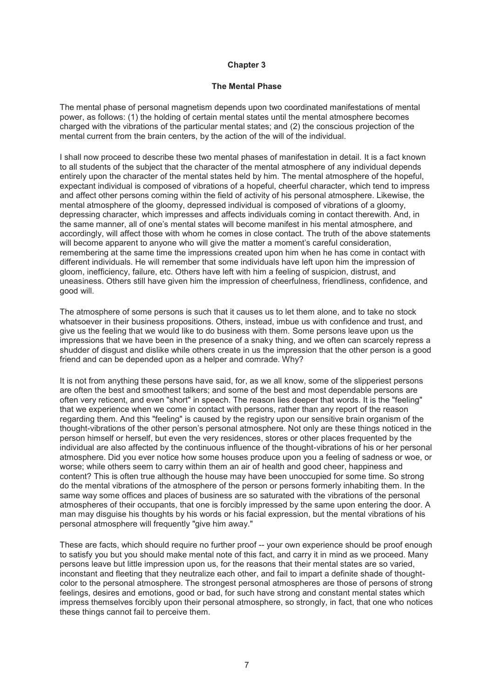#### **The Mental Phase**

The mental phase of personal magnetism depends upon two coordinated manifestations of mental power, as follows: (1) the holding of certain mental states until the mental atmosphere becomes charged with the vibrations of the particular mental states; and (2) the conscious projection of the mental current from the brain centers, by the action of the will of the individual.

I shall now proceed to describe these two mental phases of manifestation in detail. It is a fact known to all students of the subject that the character of the mental atmosphere of any individual depends entirely upon the character of the mental states held by him. The mental atmosphere of the hopeful, expectant individual is composed of vibrations of a hopeful, cheerful character, which tend to impress and affect other persons coming within the field of activity of his personal atmosphere. Likewise, the mental atmosphere of the gloomy, depressed individual is composed of vibrations of a gloomy, depressing character, which impresses and affects individuals coming in contact therewith. And, in the same manner, all of one's mental states will become manifest in his mental atmosphere, and accordingly, will affect those with whom he comes in close contact. The truth of the above statements will become apparent to anyone who will give the matter a moment's careful consideration, remembering at the same time the impressions created upon him when he has come in contact with different individuals. He will remember that some individuals have left upon him the impression of gloom, inefficiency, failure, etc. Others have left with him a feeling of suspicion, distrust, and uneasiness. Others still have given him the impression of cheerfulness, friendliness, confidence, and good will.

The atmosphere of some persons is such that it causes us to let them alone, and to take no stock whatsoever in their business propositions. Others, instead, imbue us with confidence and trust, and give us the feeling that we would like to do business with them. Some persons leave upon us the impressions that we have been in the presence of a snaky thing, and we often can scarcely repress a shudder of disgust and dislike while others create in us the impression that the other person is a good friend and can be depended upon as a helper and comrade. Why?

It is not from anything these persons have said, for, as we all know, some of the slipperiest persons are often the best and smoothest talkers; and some of the best and most dependable persons are often very reticent, and even "short" in speech. The reason lies deeper that words. It is the "feeling" that we experience when we come in contact with persons, rather than any report of the reason regarding them. And this "feeling" is caused by the registry upon our sensitive brain organism of the thought-vibrations of the other person's personal atmosphere. Not only are these things noticed in the person himself or herself, but even the very residences, stores or other places frequented by the individual are also affected by the continuous influence of the thought-vibrations of his or her personal atmosphere. Did you ever notice how some houses produce upon you a feeling of sadness or woe, or worse; while others seem to carry within them an air of health and good cheer, happiness and content? This is often true although the house may have been unoccupied for some time. So strong do the mental vibrations of the atmosphere of the person or persons formerly inhabiting them. In the same way some offices and places of business are so saturated with the vibrations of the personal atmospheres of their occupants, that one is forcibly impressed by the same upon entering the door. A man may disguise his thoughts by his words or his facial expression, but the mental vibrations of his personal atmosphere will frequently "give him away."

These are facts, which should require no further proof -- your own experience should be proof enough to satisfy you but you should make mental note of this fact, and carry it in mind as we proceed. Many persons leave but little impression upon us, for the reasons that their mental states are so varied, inconstant and fleeting that they neutralize each other, and fail to impart a definite shade of thoughtcolor to the personal atmosphere. The strongest personal atmospheres are those of persons of strong feelings, desires and emotions, good or bad, for such have strong and constant mental states which impress themselves forcibly upon their personal atmosphere, so strongly, in fact, that one who notices these things cannot fail to perceive them.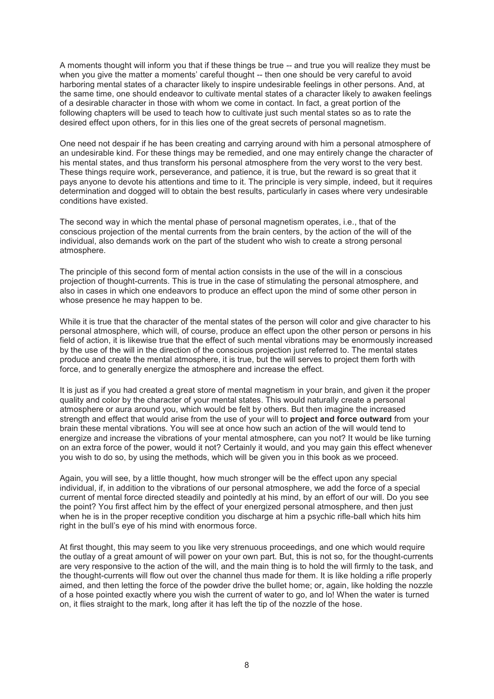A moments thought will inform you that if these things be true -- and true you will realize they must be when you give the matter a moments' careful thought -- then one should be very careful to avoid harboring mental states of a character likely to inspire undesirable feelings in other persons. And, at the same time, one should endeavor to cultivate mental states of a character likely to awaken feelings of a desirable character in those with whom we come in contact. In fact, a great portion of the following chapters will be used to teach how to cultivate just such mental states so as to rate the desired effect upon others, for in this lies one of the great secrets of personal magnetism.

One need not despair if he has been creating and carrying around with him a personal atmosphere of an undesirable kind. For these things may be remedied, and one may entirely change the character of his mental states, and thus transform his personal atmosphere from the very worst to the very best. These things require work, perseverance, and patience, it is true, but the reward is so great that it pays anyone to devote his attentions and time to it. The principle is very simple, indeed, but it requires determination and dogged will to obtain the best results, particularly in cases where very undesirable conditions have existed.

The second way in which the mental phase of personal magnetism operates, i.e., that of the conscious projection of the mental currents from the brain centers, by the action of the will of the individual, also demands work on the part of the student who wish to create a strong personal atmosphere.

The principle of this second form of mental action consists in the use of the will in a conscious projection of thought-currents. This is true in the case of stimulating the personal atmosphere, and also in cases in which one endeavors to produce an effect upon the mind of some other person in whose presence he may happen to be.

While it is true that the character of the mental states of the person will color and give character to his personal atmosphere, which will, of course, produce an effect upon the other person or persons in his field of action, it is likewise true that the effect of such mental vibrations may be enormously increased by the use of the will in the direction of the conscious projection just referred to. The mental states produce and create the mental atmosphere, it is true, but the will serves to project them forth with force, and to generally energize the atmosphere and increase the effect.

It is just as if you had created a great store of mental magnetism in your brain, and given it the proper quality and color by the character of your mental states. This would naturally create a personal atmosphere or aura around you, which would be felt by others. But then imagine the increased strength and effect that would arise from the use of your will to **project and force outward** from your brain these mental vibrations. You will see at once how such an action of the will would tend to energize and increase the vibrations of your mental atmosphere, can you not? It would be like turning on an extra force of the power, would it not? Certainly it would, and you may gain this effect whenever you wish to do so, by using the methods, which will be given you in this book as we proceed.

Again, you will see, by a little thought, how much stronger will be the effect upon any special individual, if, in addition to the vibrations of our personal atmosphere, we add the force of a special current of mental force directed steadily and pointedly at his mind, by an effort of our will. Do you see the point? You first affect him by the effect of your energized personal atmosphere, and then just when he is in the proper receptive condition you discharge at him a psychic rifle-ball which hits him right in the bull's eye of his mind with enormous force.

At first thought, this may seem to you like very strenuous proceedings, and one which would require the outlay of a great amount of will power on your own part. But, this is not so, for the thought-currents are very responsive to the action of the will, and the main thing is to hold the will firmly to the task, and the thought-currents will flow out over the channel thus made for them. It is like holding a rifle properly aimed, and then letting the force of the powder drive the bullet home; or, again, like holding the nozzle of a hose pointed exactly where you wish the current of water to go, and lo! When the water is turned on, it flies straight to the mark, long after it has left the tip of the nozzle of the hose.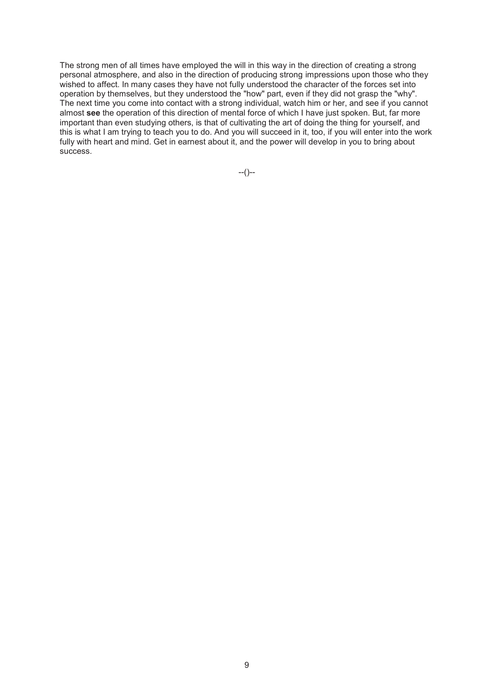The strong men of all times have employed the will in this way in the direction of creating a strong personal atmosphere, and also in the direction of producing strong impressions upon those who they wished to affect. In many cases they have not fully understood the character of the forces set into operation by themselves, but they understood the "how" part, even if they did not grasp the "why". The next time you come into contact with a strong individual, watch him or her, and see if you cannot almost **see** the operation of this direction of mental force of which I have just spoken. But, far more important than even studying others, is that of cultivating the art of doing the thing for yourself, and this is what I am trying to teach you to do. And you will succeed in it, too, if you will enter into the work fully with heart and mind. Get in earnest about it, and the power will develop in you to bring about success.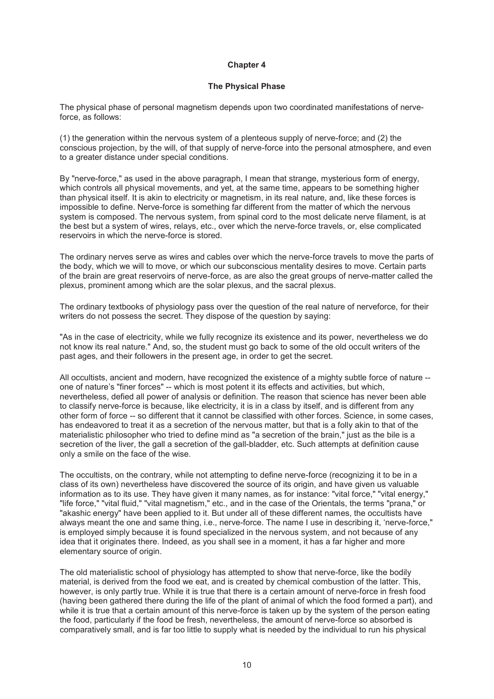#### **The Physical Phase**

The physical phase of personal magnetism depends upon two coordinated manifestations of nerveforce, as follows:

(1) the generation within the nervous system of a plenteous supply of nerve-force; and (2) the conscious projection, by the will, of that supply of nerve-force into the personal atmosphere, and even to a greater distance under special conditions.

By "nerve-force," as used in the above paragraph, I mean that strange, mysterious form of energy, which controls all physical movements, and yet, at the same time, appears to be something higher than physical itself. It is akin to electricity or magnetism, in its real nature, and, like these forces is impossible to define. Nerve-force is something far different from the matter of which the nervous system is composed. The nervous system, from spinal cord to the most delicate nerve filament, is at the best but a system of wires, relays, etc., over which the nerve-force travels, or, else complicated reservoirs in which the nerve-force is stored.

The ordinary nerves serve as wires and cables over which the nerve-force travels to move the parts of the body, which we will to move, or which our subconscious mentality desires to move. Certain parts of the brain are great reservoirs of nerve-force, as are also the great groups of nerve-matter called the plexus, prominent among which are the solar plexus, and the sacral plexus.

The ordinary textbooks of physiology pass over the question of the real nature of nerveforce, for their writers do not possess the secret. They dispose of the question by saying:

"As in the case of electricity, while we fully recognize its existence and its power, nevertheless we do not know its real nature." And, so, the student must go back to some of the old occult writers of the past ages, and their followers in the present age, in order to get the secret.

All occultists, ancient and modern, have recognized the existence of a mighty subtle force of nature - one of nature's "finer forces" -- which is most potent it its effects and activities, but which, nevertheless, defied all power of analysis or definition. The reason that science has never been able to classify nerve-force is because, like electricity, it is in a class by itself, and is different from any other form of force -- so different that it cannot be classified with other forces. Science, in some cases, has endeavored to treat it as a secretion of the nervous matter, but that is a folly akin to that of the materialistic philosopher who tried to define mind as "a secretion of the brain," just as the bile is a secretion of the liver, the gall a secretion of the gall-bladder, etc. Such attempts at definition cause only a smile on the face of the wise.

The occultists, on the contrary, while not attempting to define nerve-force (recognizing it to be in a class of its own) nevertheless have discovered the source of its origin, and have given us valuable information as to its use. They have given it many names, as for instance: "vital force," "vital energy," "life force," "vital fluid," "vital magnetism," etc., and in the case of the Orientals, the terms "prana," or "akashic energy" have been applied to it. But under all of these different names, the occultists have always meant the one and same thing, i.e., nerve-force. The name I use in describing it, 'nerve-force," is employed simply because it is found specialized in the nervous system, and not because of any idea that it originates there. Indeed, as you shall see in a moment, it has a far higher and more elementary source of origin.

The old materialistic school of physiology has attempted to show that nerve-force, like the bodily material, is derived from the food we eat, and is created by chemical combustion of the latter. This, however, is only partly true. While it is true that there is a certain amount of nerve-force in fresh food (having been gathered there during the life of the plant of animal of which the food formed a part), and while it is true that a certain amount of this nerve-force is taken up by the system of the person eating the food, particularly if the food be fresh, nevertheless, the amount of nerve-force so absorbed is comparatively small, and is far too little to supply what is needed by the individual to run his physical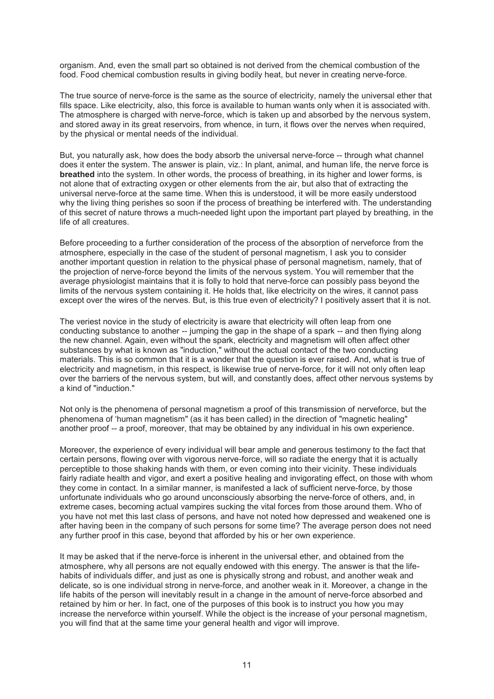organism. And, even the small part so obtained is not derived from the chemical combustion of the food. Food chemical combustion results in giving bodily heat, but never in creating nerve-force.

The true source of nerve-force is the same as the source of electricity, namely the universal ether that fills space. Like electricity, also, this force is available to human wants only when it is associated with. The atmosphere is charged with nerve-force, which is taken up and absorbed by the nervous system, and stored away in its great reservoirs, from whence, in turn, it flows over the nerves when required, by the physical or mental needs of the individual.

But, you naturally ask, how does the body absorb the universal nerve-force -- through what channel does it enter the system. The answer is plain, viz.: In plant, animal, and human life, the nerve force is **breathed** into the system. In other words, the process of breathing, in its higher and lower forms, is not alone that of extracting oxygen or other elements from the air, but also that of extracting the universal nerve-force at the same time. When this is understood, it will be more easily understood why the living thing perishes so soon if the process of breathing be interfered with. The understanding of this secret of nature throws a much-needed light upon the important part played by breathing, in the life of all creatures.

Before proceeding to a further consideration of the process of the absorption of nerveforce from the atmosphere, especially in the case of the student of personal magnetism, I ask you to consider another important question in relation to the physical phase of personal magnetism, namely, that of the projection of nerve-force beyond the limits of the nervous system. You will remember that the average physiologist maintains that it is folly to hold that nerve-force can possibly pass beyond the limits of the nervous system containing it. He holds that, like electricity on the wires, it cannot pass except over the wires of the nerves. But, is this true even of electricity? I positively assert that it is not.

The veriest novice in the study of electricity is aware that electricity will often leap from one conducting substance to another -- jumping the gap in the shape of a spark -- and then flying along the new channel. Again, even without the spark, electricity and magnetism will often affect other substances by what is known as "induction," without the actual contact of the two conducting materials. This is so common that it is a wonder that the question is ever raised. And, what is true of electricity and magnetism, in this respect, is likewise true of nerve-force, for it will not only often leap over the barriers of the nervous system, but will, and constantly does, affect other nervous systems by a kind of "induction."

Not only is the phenomena of personal magnetism a proof of this transmission of nerveforce, but the phenomena of 'human magnetism" (as it has been called) in the direction of "magnetic healing" another proof -- a proof, moreover, that may be obtained by any individual in his own experience.

Moreover, the experience of every individual will bear ample and generous testimony to the fact that certain persons, flowing over with vigorous nerve-force, will so radiate the energy that it is actually perceptible to those shaking hands with them, or even coming into their vicinity. These individuals fairly radiate health and vigor, and exert a positive healing and invigorating effect, on those with whom they come in contact. In a similar manner, is manifested a lack of sufficient nerve-force, by those unfortunate individuals who go around unconsciously absorbing the nerve-force of others, and, in extreme cases, becoming actual vampires sucking the vital forces from those around them. Who of you have not met this last class of persons, and have not noted how depressed and weakened one is after having been in the company of such persons for some time? The average person does not need any further proof in this case, beyond that afforded by his or her own experience.

It may be asked that if the nerve-force is inherent in the universal ether, and obtained from the atmosphere, why all persons are not equally endowed with this energy. The answer is that the lifehabits of individuals differ, and just as one is physically strong and robust, and another weak and delicate, so is one individual strong in nerve-force, and another weak in it. Moreover, a change in the life habits of the person will inevitably result in a change in the amount of nerve-force absorbed and retained by him or her. In fact, one of the purposes of this book is to instruct you how you may increase the nerveforce within yourself. While the object is the increase of your personal magnetism, you will find that at the same time your general health and vigor will improve.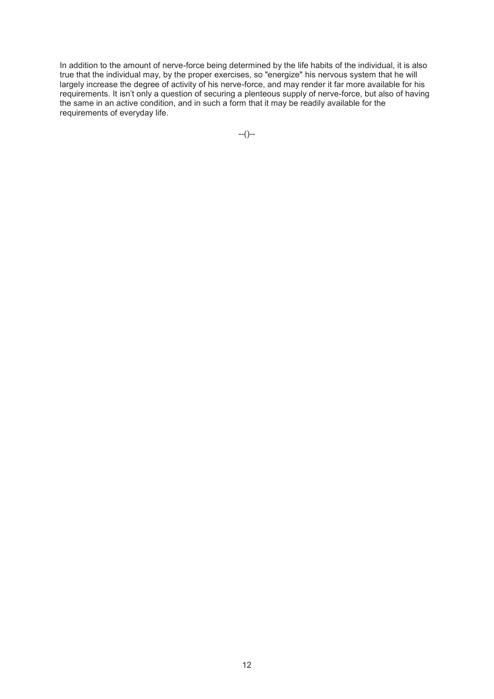In addition to the amount of nerve-force being determined by the life habits of the individual, it is also true that the individual may, by the proper exercises, so "energize" his nervous system that he will largely increase the degree of activity of his nerve-force, and may render it far more available for his requirements. It isn't only a question of securing a plenteous supply of nerve-force, but also of having the same in an active condition, and in such a form that it may be readily available for the requirements of everyday life.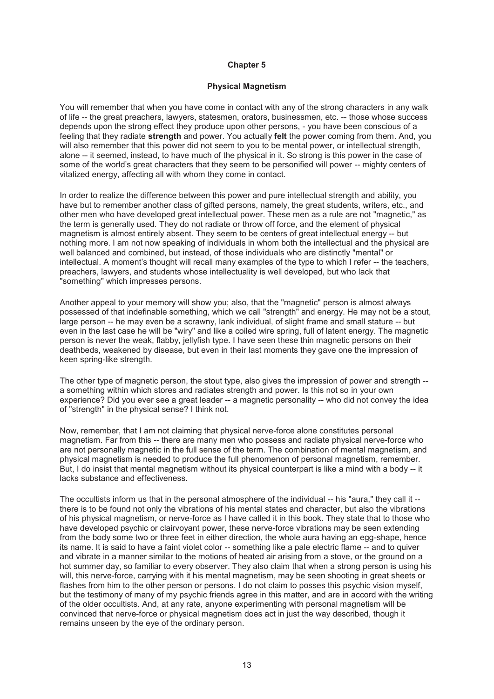#### **Physical Magnetism**

You will remember that when you have come in contact with any of the strong characters in any walk of life -- the great preachers, lawyers, statesmen, orators, businessmen, etc. -- those whose success depends upon the strong effect they produce upon other persons, - you have been conscious of a feeling that they radiate **strength** and power. You actually **felt** the power coming from them. And, you will also remember that this power did not seem to you to be mental power, or intellectual strength, alone -- it seemed, instead, to have much of the physical in it. So strong is this power in the case of some of the world's great characters that they seem to be personified will power -- mighty centers of vitalized energy, affecting all with whom they come in contact.

In order to realize the difference between this power and pure intellectual strength and ability, you have but to remember another class of gifted persons, namely, the great students, writers, etc., and other men who have developed great intellectual power. These men as a rule are not "magnetic," as the term is generally used. They do not radiate or throw off force, and the element of physical magnetism is almost entirely absent. They seem to be centers of great intellectual energy -- but nothing more. I am not now speaking of individuals in whom both the intellectual and the physical are well balanced and combined, but instead, of those individuals who are distinctly "mental" or intellectual. A moment's thought will recall many examples of the type to which I refer -- the teachers, preachers, lawyers, and students whose intellectuality is well developed, but who lack that "something" which impresses persons.

Another appeal to your memory will show you; also, that the "magnetic" person is almost always possessed of that indefinable something, which we call "strength" and energy. He may not be a stout, large person -- he may even be a scrawny, lank individual, of slight frame and small stature -- but even in the last case he will be "wiry" and like a coiled wire spring, full of latent energy. The magnetic person is never the weak, flabby, jellyfish type. I have seen these thin magnetic persons on their deathbeds, weakened by disease, but even in their last moments they gave one the impression of keen spring-like strength.

The other type of magnetic person, the stout type, also gives the impression of power and strength - a something within which stores and radiates strength and power. Is this not so in your own experience? Did you ever see a great leader -- a magnetic personality -- who did not convey the idea of "strength" in the physical sense? I think not.

Now, remember, that I am not claiming that physical nerve-force alone constitutes personal magnetism. Far from this -- there are many men who possess and radiate physical nerve-force who are not personally magnetic in the full sense of the term. The combination of mental magnetism, and physical magnetism is needed to produce the full phenomenon of personal magnetism, remember. But, I do insist that mental magnetism without its physical counterpart is like a mind with a body -- it lacks substance and effectiveness.

The occultists inform us that in the personal atmosphere of the individual -- his "aura," they call it - there is to be found not only the vibrations of his mental states and character, but also the vibrations of his physical magnetism, or nerve-force as I have called it in this book. They state that to those who have developed psychic or clairvoyant power, these nerve-force vibrations may be seen extending from the body some two or three feet in either direction, the whole aura having an egg-shape, hence its name. It is said to have a faint violet color -- something like a pale electric flame -- and to quiver and vibrate in a manner similar to the motions of heated air arising from a stove, or the ground on a hot summer day, so familiar to every observer. They also claim that when a strong person is using his will, this nerve-force, carrying with it his mental magnetism, may be seen shooting in great sheets or flashes from him to the other person or persons. I do not claim to posses this psychic vision myself, but the testimony of many of my psychic friends agree in this matter, and are in accord with the writing of the older occultists. And, at any rate, anyone experimenting with personal magnetism will be convinced that nerve-force or physical magnetism does act in just the way described, though it remains unseen by the eye of the ordinary person.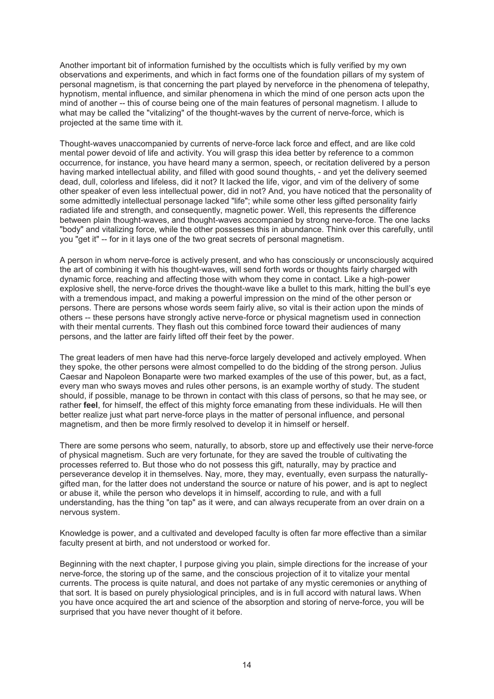Another important bit of information furnished by the occultists which is fully verified by my own observations and experiments, and which in fact forms one of the foundation pillars of my system of personal magnetism, is that concerning the part played by nerveforce in the phenomena of telepathy, hypnotism, mental influence, and similar phenomena in which the mind of one person acts upon the mind of another -- this of course being one of the main features of personal magnetism. I allude to what may be called the "vitalizing" of the thought-waves by the current of nerve-force, which is projected at the same time with it.

Thought-waves unaccompanied by currents of nerve-force lack force and effect, and are like cold mental power devoid of life and activity. You will grasp this idea better by reference to a common occurrence, for instance, you have heard many a sermon, speech, or recitation delivered by a person having marked intellectual ability, and filled with good sound thoughts, - and yet the delivery seemed dead, dull, colorless and lifeless, did it not? It lacked the life, vigor, and vim of the delivery of some other speaker of even less intellectual power, did in not? And, you have noticed that the personality of some admittedly intellectual personage lacked "life"; while some other less gifted personality fairly radiated life and strength, and consequently, magnetic power. Well, this represents the difference between plain thought-waves, and thought-waves accompanied by strong nerve-force. The one lacks "body" and vitalizing force, while the other possesses this in abundance. Think over this carefully, until you "get it" -- for in it lays one of the two great secrets of personal magnetism.

A person in whom nerve-force is actively present, and who has consciously or unconsciously acquired the art of combining it with his thought-waves, will send forth words or thoughts fairly charged with dynamic force, reaching and affecting those with whom they come in contact. Like a high-power explosive shell, the nerve-force drives the thought-wave like a bullet to this mark, hitting the bull's eye with a tremendous impact, and making a powerful impression on the mind of the other person or persons. There are persons whose words seem fairly alive, so vital is their action upon the minds of others -- these persons have strongly active nerve-force or physical magnetism used in connection with their mental currents. They flash out this combined force toward their audiences of many persons, and the latter are fairly lifted off their feet by the power.

The great leaders of men have had this nerve-force largely developed and actively employed. When they spoke, the other persons were almost compelled to do the bidding of the strong person. Julius Caesar and Napoleon Bonaparte were two marked examples of the use of this power, but, as a fact, every man who sways moves and rules other persons, is an example worthy of study. The student should, if possible, manage to be thrown in contact with this class of persons, so that he may see, or rather **feel**, for himself, the effect of this mighty force emanating from these individuals. He will then better realize just what part nerve-force plays in the matter of personal influence, and personal magnetism, and then be more firmly resolved to develop it in himself or herself.

There are some persons who seem, naturally, to absorb, store up and effectively use their nerve-force of physical magnetism. Such are very fortunate, for they are saved the trouble of cultivating the processes referred to. But those who do not possess this gift, naturally, may by practice and perseverance develop it in themselves. Nay, more, they may, eventually, even surpass the naturallygifted man, for the latter does not understand the source or nature of his power, and is apt to neglect or abuse it, while the person who develops it in himself, according to rule, and with a full understanding, has the thing "on tap" as it were, and can always recuperate from an over drain on a nervous system.

Knowledge is power, and a cultivated and developed faculty is often far more effective than a similar faculty present at birth, and not understood or worked for.

Beginning with the next chapter, I purpose giving you plain, simple directions for the increase of your nerve-force, the storing up of the same, and the conscious projection of it to vitalize your mental currents. The process is quite natural, and does not partake of any mystic ceremonies or anything of that sort. It is based on purely physiological principles, and is in full accord with natural laws. When you have once acquired the art and science of the absorption and storing of nerve-force, you will be surprised that you have never thought of it before.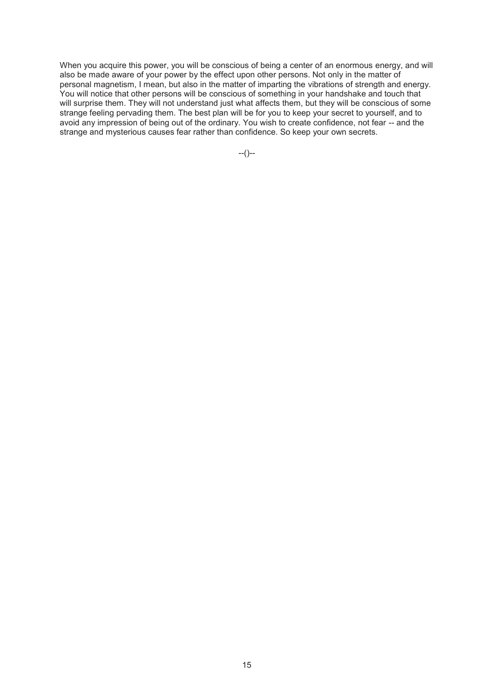When you acquire this power, you will be conscious of being a center of an enormous energy, and will also be made aware of your power by the effect upon other persons. Not only in the matter of personal magnetism, I mean, but also in the matter of imparting the vibrations of strength and energy. You will notice that other persons will be conscious of something in your handshake and touch that will surprise them. They will not understand just what affects them, but they will be conscious of some strange feeling pervading them. The best plan will be for you to keep your secret to yourself, and to avoid any impression of being out of the ordinary. You wish to create confidence, not fear -- and the strange and mysterious causes fear rather than confidence. So keep your own secrets.

 $-(-)$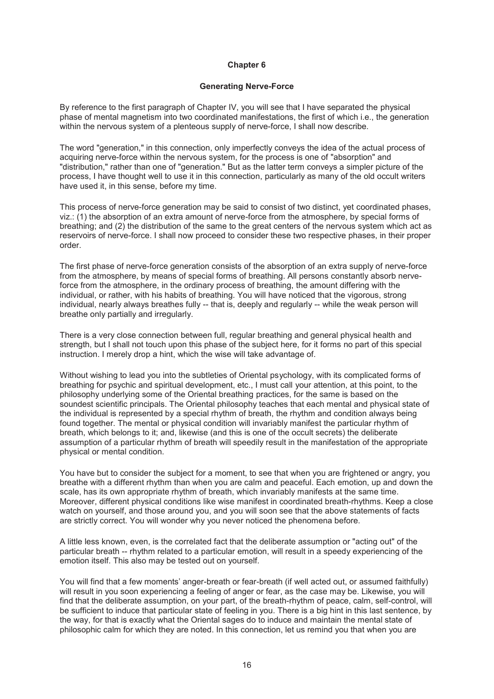#### **Generating Nerve-Force**

By reference to the first paragraph of Chapter IV, you will see that I have separated the physical phase of mental magnetism into two coordinated manifestations, the first of which i.e., the generation within the nervous system of a plenteous supply of nerve-force, I shall now describe.

The word "generation," in this connection, only imperfectly conveys the idea of the actual process of acquiring nerve-force within the nervous system, for the process is one of "absorption" and "distribution," rather than one of "generation." But as the latter term conveys a simpler picture of the process, I have thought well to use it in this connection, particularly as many of the old occult writers have used it, in this sense, before my time.

This process of nerve-force generation may be said to consist of two distinct, yet coordinated phases, viz.: (1) the absorption of an extra amount of nerve-force from the atmosphere, by special forms of breathing; and (2) the distribution of the same to the great centers of the nervous system which act as reservoirs of nerve-force. I shall now proceed to consider these two respective phases, in their proper order.

The first phase of nerve-force generation consists of the absorption of an extra supply of nerve-force from the atmosphere, by means of special forms of breathing. All persons constantly absorb nerveforce from the atmosphere, in the ordinary process of breathing, the amount differing with the individual, or rather, with his habits of breathing. You will have noticed that the vigorous, strong individual, nearly always breathes fully -- that is, deeply and regularly -- while the weak person will breathe only partially and irregularly.

There is a very close connection between full, regular breathing and general physical health and strength, but I shall not touch upon this phase of the subject here, for it forms no part of this special instruction. I merely drop a hint, which the wise will take advantage of.

Without wishing to lead you into the subtleties of Oriental psychology, with its complicated forms of breathing for psychic and spiritual development, etc., I must call your attention, at this point, to the philosophy underlying some of the Oriental breathing practices, for the same is based on the soundest scientific principals. The Oriental philosophy teaches that each mental and physical state of the individual is represented by a special rhythm of breath, the rhythm and condition always being found together. The mental or physical condition will invariably manifest the particular rhythm of breath, which belongs to it; and, likewise (and this is one of the occult secrets) the deliberate assumption of a particular rhythm of breath will speedily result in the manifestation of the appropriate physical or mental condition.

You have but to consider the subject for a moment, to see that when you are frightened or angry, you breathe with a different rhythm than when you are calm and peaceful. Each emotion, up and down the scale, has its own appropriate rhythm of breath, which invariably manifests at the same time. Moreover, different physical conditions like wise manifest in coordinated breath-rhythms. Keep a close watch on yourself, and those around you, and you will soon see that the above statements of facts are strictly correct. You will wonder why you never noticed the phenomena before.

A little less known, even, is the correlated fact that the deliberate assumption or "acting out" of the particular breath -- rhythm related to a particular emotion, will result in a speedy experiencing of the emotion itself. This also may be tested out on yourself.

You will find that a few moments' anger-breath or fear-breath (if well acted out, or assumed faithfully) will result in you soon experiencing a feeling of anger or fear, as the case may be. Likewise, you will find that the deliberate assumption, on your part, of the breath-rhythm of peace, calm, self-control, will be sufficient to induce that particular state of feeling in you. There is a big hint in this last sentence, by the way, for that is exactly what the Oriental sages do to induce and maintain the mental state of philosophic calm for which they are noted. In this connection, let us remind you that when you are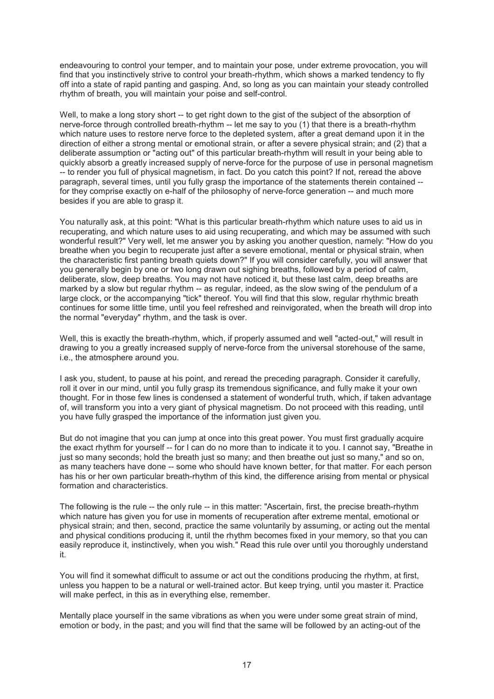endeavouring to control your temper, and to maintain your pose, under extreme provocation, you will find that you instinctively strive to control your breath-rhythm, which shows a marked tendency to fly off into a state of rapid panting and gasping. And, so long as you can maintain your steady controlled rhythm of breath, you will maintain your poise and self-control.

Well, to make a long story short -- to get right down to the gist of the subject of the absorption of nerve-force through controlled breath-rhythm -- let me say to you (1) that there is a breath-rhythm which nature uses to restore nerve force to the depleted system, after a great demand upon it in the direction of either a strong mental or emotional strain, or after a severe physical strain; and (2) that a deliberate assumption or "acting out" of this particular breath-rhythm will result in your being able to quickly absorb a greatly increased supply of nerve-force for the purpose of use in personal magnetism -- to render you full of physical magnetism, in fact. Do you catch this point? If not, reread the above paragraph, several times, until you fully grasp the importance of the statements therein contained - for they comprise exactly on e-half of the philosophy of nerve-force generation -- and much more besides if you are able to grasp it.

You naturally ask, at this point: "What is this particular breath-rhythm which nature uses to aid us in recuperating, and which nature uses to aid using recuperating, and which may be assumed with such wonderful result?" Very well, let me answer you by asking you another question, namely: "How do you breathe when you begin to recuperate just after a severe emotional, mental or physical strain, when the characteristic first panting breath quiets down?" If you will consider carefully, you will answer that you generally begin by one or two long drawn out sighing breaths, followed by a period of calm, deliberate, slow, deep breaths. You may not have noticed it, but these last calm, deep breaths are marked by a slow but regular rhythm -- as regular, indeed, as the slow swing of the pendulum of a large clock, or the accompanying "tick" thereof. You will find that this slow, regular rhythmic breath continues for some little time, until you feel refreshed and reinvigorated, when the breath will drop into the normal "everyday" rhythm, and the task is over.

Well, this is exactly the breath-rhythm, which, if properly assumed and well "acted-out," will result in drawing to you a greatly increased supply of nerve-force from the universal storehouse of the same, i.e., the atmosphere around you.

I ask you, student, to pause at his point, and reread the preceding paragraph. Consider it carefully, roll it over in our mind, until you fully grasp its tremendous significance, and fully make it your own thought. For in those few lines is condensed a statement of wonderful truth, which, if taken advantage of, will transform you into a very giant of physical magnetism. Do not proceed with this reading, until you have fully grasped the importance of the information just given you.

But do not imagine that you can jump at once into this great power. You must first gradually acquire the exact rhythm for yourself -- for I can do no more than to indicate it to you. I cannot say, "Breathe in just so many seconds; hold the breath just so many; and then breathe out just so many," and so on, as many teachers have done -- some who should have known better, for that matter. For each person has his or her own particular breath-rhythm of this kind, the difference arising from mental or physical formation and characteristics.

The following is the rule -- the only rule -- in this matter: "Ascertain, first, the precise breath-rhythm which nature has given you for use in moments of recuperation after extreme mental, emotional or physical strain; and then, second, practice the same voluntarily by assuming, or acting out the mental and physical conditions producing it, until the rhythm becomes fixed in your memory, so that you can easily reproduce it, instinctively, when you wish." Read this rule over until you thoroughly understand it.

You will find it somewhat difficult to assume or act out the conditions producing the rhythm, at first, unless you happen to be a natural or well-trained actor. But keep trying, until you master it. Practice will make perfect, in this as in everything else, remember.

Mentally place yourself in the same vibrations as when you were under some great strain of mind, emotion or body, in the past; and you will find that the same will be followed by an acting-out of the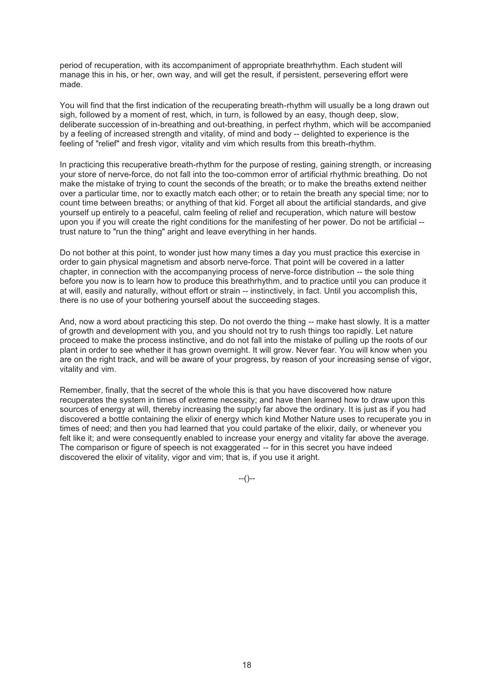period of recuperation, with its accompaniment of appropriate breathrhythm. Each student will manage this in his, or her, own way, and will get the result, if persistent, persevering effort were made.

You will find that the first indication of the recuperating breath-rhythm will usually be a long drawn out sigh, followed by a moment of rest, which, in turn, is followed by an easy, though deep, slow. deliberate succession of in-breathing and out-breathing, in perfect rhythm, which will be accompanied by a feeling of increased strength and vitality, of mind and body -- delighted to experience is the feeling of "relief" and fresh vigor, vitality and vim which results from this breath-rhythm.

In practicing this recuperative breath-rhythm for the purpose of resting, gaining strength, or increasing your store of nerve-force, do not fall into the too-common error of artificial rhythmic breathing. Do not make the mistake of trying to count the seconds of the breath; or to make the breaths extend neither over a particular time, nor to exactly match each other; or to retain the breath any special time; nor to count time between breaths; or anything of that kid. Forget all about the artificial standards, and give yourself up entirely to a peaceful, calm feeling of relief and recuperation, which nature will bestow upon you if you will create the right conditions for the manifesting of her power. Do not be artificial - trust nature to "run the thing" aright and leave everything in her hands.

Do not bother at this point, to wonder just how many times a day you must practice this exercise in order to gain physical magnetism and absorb nerve-force. That point will be covered in a latter chapter, in connection with the accompanying process of nerve-force distribution -- the sole thing before you now is to learn how to produce this breathrhythm, and to practice until you can produce it at will, easily and naturally, without effort or strain -- instinctively, in fact. Until you accomplish this, there is no use of your bothering yourself about the succeeding stages.

And, now a word about practicing this step. Do not overdo the thing -- make hast slowly. It is a matter of growth and development with you, and you should not try to rush things too rapidly. Let nature proceed to make the process instinctive, and do not fall into the mistake of pulling up the roots of our plant in order to see whether it has grown overnight. It will grow. Never fear. You will know when you are on the right track, and will be aware of your progress, by reason of your increasing sense of vigor, vitality and vim.

Remember, finally, that the secret of the whole this is that you have discovered how nature recuperates the system in times of extreme necessity; and have then learned how to draw upon this sources of energy at will, thereby increasing the supply far above the ordinary. It is just as if you had discovered a bottle containing the elixir of energy which kind Mother Nature uses to recuperate you in times of need; and then you had learned that you could partake of the elixir, daily, or whenever you felt like it; and were consequently enabled to increase your energy and vitality far above the average. The comparison or figure of speech is not exaggerated -- for in this secret you have indeed discovered the elixir of vitality, vigor and vim; that is, if you use it aright.

 $-(-)$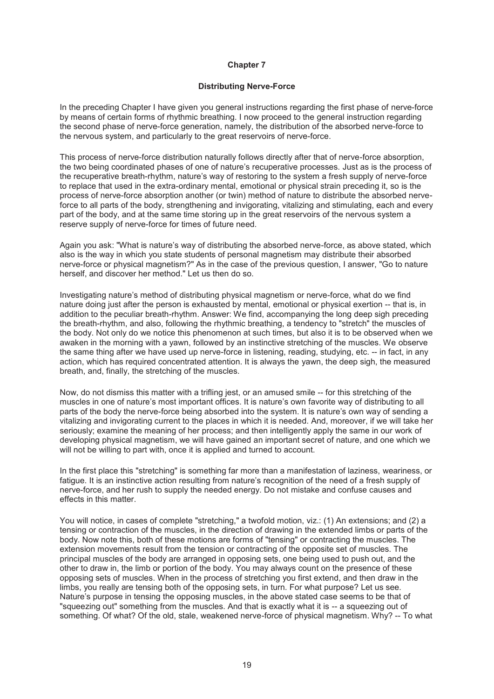#### **Distributing Nerve-Force**

In the preceding Chapter I have given you general instructions regarding the first phase of nerve-force by means of certain forms of rhythmic breathing. I now proceed to the general instruction regarding the second phase of nerve-force generation, namely, the distribution of the absorbed nerve-force to the nervous system, and particularly to the great reservoirs of nerve-force.

This process of nerve-force distribution naturally follows directly after that of nerve-force absorption, the two being coordinated phases of one of nature's recuperative processes. Just as is the process of the recuperative breath-rhythm, nature's way of restoring to the system a fresh supply of nerve-force to replace that used in the extra-ordinary mental, emotional or physical strain preceding it, so is the process of nerve-force absorption another (or twin) method of nature to distribute the absorbed nerveforce to all parts of the body, strengthening and invigorating, vitalizing and stimulating, each and every part of the body, and at the same time storing up in the great reservoirs of the nervous system a reserve supply of nerve-force for times of future need.

Again you ask: "What is nature's way of distributing the absorbed nerve-force, as above stated, which also is the way in which you state students of personal magnetism may distribute their absorbed nerve-force or physical magnetism?" As in the case of the previous question, I answer, "Go to nature herself, and discover her method." Let us then do so.

Investigating nature's method of distributing physical magnetism or nerve-force, what do we find nature doing just after the person is exhausted by mental, emotional or physical exertion -- that is, in addition to the peculiar breath-rhythm. Answer: We find, accompanying the long deep sigh preceding the breath-rhythm, and also, following the rhythmic breathing, a tendency to "stretch" the muscles of the body. Not only do we notice this phenomenon at such times, but also it is to be observed when we awaken in the morning with a yawn, followed by an instinctive stretching of the muscles. We observe the same thing after we have used up nerve-force in listening, reading, studying, etc. -- in fact, in any action, which has required concentrated attention. It is always the yawn, the deep sigh, the measured breath, and, finally, the stretching of the muscles.

Now, do not dismiss this matter with a trifling jest, or an amused smile -- for this stretching of the muscles in one of nature's most important offices. It is nature's own favorite way of distributing to all parts of the body the nerve-force being absorbed into the system. It is nature's own way of sending a vitalizing and invigorating current to the places in which it is needed. And, moreover, if we will take her seriously; examine the meaning of her process; and then intelligently apply the same in our work of developing physical magnetism, we will have gained an important secret of nature, and one which we will not be willing to part with, once it is applied and turned to account.

In the first place this "stretching" is something far more than a manifestation of laziness, weariness, or fatigue. It is an instinctive action resulting from nature's recognition of the need of a fresh supply of nerve-force, and her rush to supply the needed energy. Do not mistake and confuse causes and effects in this matter.

You will notice, in cases of complete "stretching," a twofold motion, viz.: (1) An extensions; and (2) a tensing or contraction of the muscles, in the direction of drawing in the extended limbs or parts of the body. Now note this, both of these motions are forms of "tensing" or contracting the muscles. The extension movements result from the tension or contracting of the opposite set of muscles. The principal muscles of the body are arranged in opposing sets, one being used to push out, and the other to draw in, the limb or portion of the body. You may always count on the presence of these opposing sets of muscles. When in the process of stretching you first extend, and then draw in the limbs, you really are tensing both of the opposing sets, in turn. For what purpose? Let us see. Nature's purpose in tensing the opposing muscles, in the above stated case seems to be that of "squeezing out" something from the muscles. And that is exactly what it is -- a squeezing out of something. Of what? Of the old, stale, weakened nerve-force of physical magnetism. Why? -- To what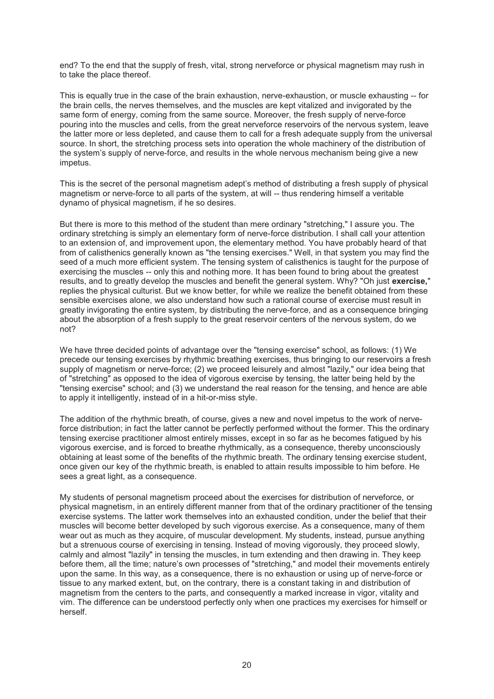end? To the end that the supply of fresh, vital, strong nerveforce or physical magnetism may rush in to take the place thereof.

This is equally true in the case of the brain exhaustion, nerve-exhaustion, or muscle exhausting -- for the brain cells, the nerves themselves, and the muscles are kept vitalized and invigorated by the same form of energy, coming from the same source. Moreover, the fresh supply of nerve-force pouring into the muscles and cells, from the great nerveforce reservoirs of the nervous system, leave the latter more or less depleted, and cause them to call for a fresh adequate supply from the universal source. In short, the stretching process sets into operation the whole machinery of the distribution of the system's supply of nerve-force, and results in the whole nervous mechanism being give a new impetus.

This is the secret of the personal magnetism adept's method of distributing a fresh supply of physical magnetism or nerve-force to all parts of the system, at will -- thus rendering himself a veritable dynamo of physical magnetism, if he so desires.

But there is more to this method of the student than mere ordinary "stretching," I assure you. The ordinary stretching is simply an elementary form of nerve-force distribution. I shall call your attention to an extension of, and improvement upon, the elementary method. You have probably heard of that from of calisthenics generally known as "the tensing exercises." Well, in that system you may find the seed of a much more efficient system. The tensing system of calisthenics is taught for the purpose of exercising the muscles -- only this and nothing more. It has been found to bring about the greatest results, and to greatly develop the muscles and benefit the general system. Why? "Oh just **exercise,**" replies the physical culturist. But we know better, for while we realize the benefit obtained from these sensible exercises alone, we also understand how such a rational course of exercise must result in greatly invigorating the entire system, by distributing the nerve-force, and as a consequence bringing about the absorption of a fresh supply to the great reservoir centers of the nervous system, do we not?

We have three decided points of advantage over the "tensing exercise" school, as follows: (1) We precede our tensing exercises by rhythmic breathing exercises, thus bringing to our reservoirs a fresh supply of magnetism or nerve-force; (2) we proceed leisurely and almost "lazily," our idea being that of "stretching" as opposed to the idea of vigorous exercise by tensing, the latter being held by the "tensing exercise" school; and (3) we understand the real reason for the tensing, and hence are able to apply it intelligently, instead of in a hit-or-miss style.

The addition of the rhythmic breath, of course, gives a new and novel impetus to the work of nerveforce distribution; in fact the latter cannot be perfectly performed without the former. This the ordinary tensing exercise practitioner almost entirely misses, except in so far as he becomes fatigued by his vigorous exercise, and is forced to breathe rhythmically, as a consequence, thereby unconsciously obtaining at least some of the benefits of the rhythmic breath. The ordinary tensing exercise student, once given our key of the rhythmic breath, is enabled to attain results impossible to him before. He sees a great light, as a consequence.

My students of personal magnetism proceed about the exercises for distribution of nerveforce, or physical magnetism, in an entirely different manner from that of the ordinary practitioner of the tensing exercise systems. The latter work themselves into an exhausted condition, under the belief that their muscles will become better developed by such vigorous exercise. As a consequence, many of them wear out as much as they acquire, of muscular development. My students, instead, pursue anything but a strenuous course of exercising in tensing. Instead of moving vigorously, they proceed slowly, calmly and almost "lazily" in tensing the muscles, in turn extending and then drawing in. They keep before them, all the time; nature's own processes of "stretching," and model their movements entirely upon the same. In this way, as a consequence, there is no exhaustion or using up of nerve-force or tissue to any marked extent, but, on the contrary, there is a constant taking in and distribution of magnetism from the centers to the parts, and consequently a marked increase in vigor, vitality and vim. The difference can be understood perfectly only when one practices my exercises for himself or herself.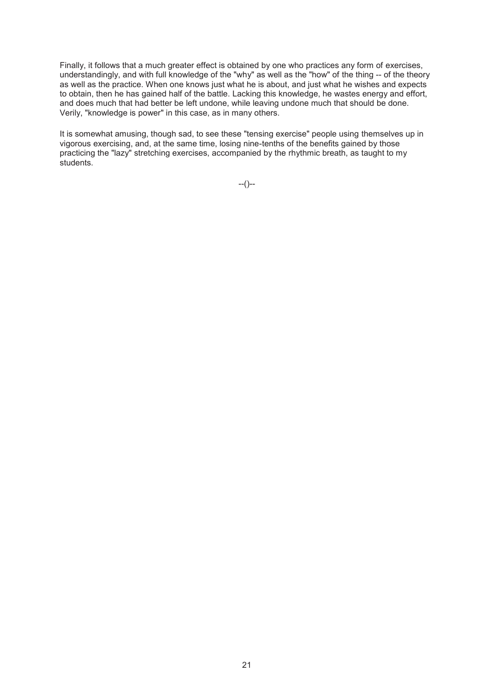Finally, it follows that a much greater effect is obtained by one who practices any form of exercises, understandingly, and with full knowledge of the "why" as well as the "how" of the thing -- of the theory as well as the practice. When one knows just what he is about, and just what he wishes and expects to obtain, then he has gained half of the battle. Lacking this knowledge, he wastes energy and effort, and does much that had better be left undone, while leaving undone much that should be done. Verily, "knowledge is power" in this case, as in many others.

It is somewhat amusing, though sad, to see these "tensing exercise" people using themselves up in vigorous exercising, and, at the same time, losing nine-tenths of the benefits gained by those practicing the "lazy" stretching exercises, accompanied by the rhythmic breath, as taught to my students.

--()--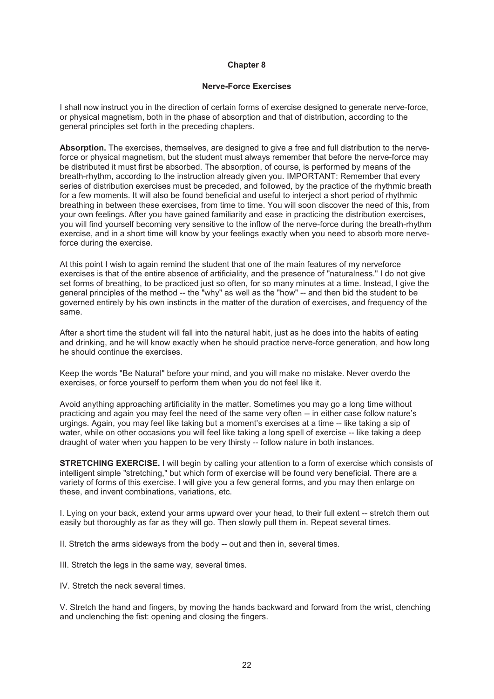#### **Nerve-Force Exercises**

I shall now instruct you in the direction of certain forms of exercise designed to generate nerve-force, or physical magnetism, both in the phase of absorption and that of distribution, according to the general principles set forth in the preceding chapters.

**Absorption.** The exercises, themselves, are designed to give a free and full distribution to the nerveforce or physical magnetism, but the student must always remember that before the nerve-force may be distributed it must first be absorbed. The absorption, of course, is performed by means of the breath-rhythm, according to the instruction already given you. IMPORTANT: Remember that every series of distribution exercises must be preceded, and followed, by the practice of the rhythmic breath for a few moments. It will also be found beneficial and useful to interject a short period of rhythmic breathing in between these exercises, from time to time. You will soon discover the need of this, from your own feelings. After you have gained familiarity and ease in practicing the distribution exercises, you will find yourself becoming very sensitive to the inflow of the nerve-force during the breath-rhythm exercise, and in a short time will know by your feelings exactly when you need to absorb more nerveforce during the exercise.

At this point I wish to again remind the student that one of the main features of my nerveforce exercises is that of the entire absence of artificiality, and the presence of "naturalness." I do not give set forms of breathing, to be practiced just so often, for so many minutes at a time. Instead, I give the general principles of the method -- the "why" as well as the "how" -- and then bid the student to be governed entirely by his own instincts in the matter of the duration of exercises, and frequency of the same.

After a short time the student will fall into the natural habit, just as he does into the habits of eating and drinking, and he will know exactly when he should practice nerve-force generation, and how long he should continue the exercises.

Keep the words "Be Natural" before your mind, and you will make no mistake. Never overdo the exercises, or force yourself to perform them when you do not feel like it.

Avoid anything approaching artificiality in the matter. Sometimes you may go a long time without practicing and again you may feel the need of the same very often -- in either case follow nature's urgings. Again, you may feel like taking but a moment's exercises at a time -- like taking a sip of water, while on other occasions you will feel like taking a long spell of exercise -- like taking a deep draught of water when you happen to be very thirsty -- follow nature in both instances.

**STRETCHING EXERCISE.** I will begin by calling your attention to a form of exercise which consists of intelligent simple "stretching," but which form of exercise will be found very beneficial. There are a variety of forms of this exercise. I will give you a few general forms, and you may then enlarge on these, and invent combinations, variations, etc.

I. Lying on your back, extend your arms upward over your head, to their full extent -- stretch them out easily but thoroughly as far as they will go. Then slowly pull them in. Repeat several times.

II. Stretch the arms sideways from the body -- out and then in, several times.

III. Stretch the legs in the same way, several times.

IV. Stretch the neck several times.

V. Stretch the hand and fingers, by moving the hands backward and forward from the wrist, clenching and unclenching the fist: opening and closing the fingers.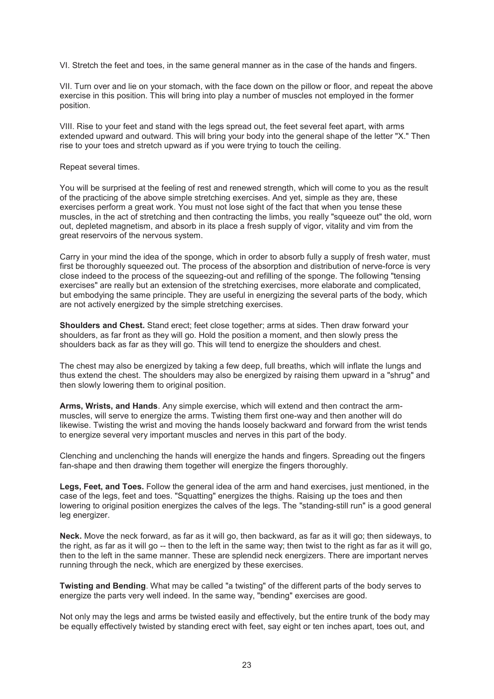VI. Stretch the feet and toes, in the same general manner as in the case of the hands and fingers.

VII. Turn over and lie on your stomach, with the face down on the pillow or floor, and repeat the above exercise in this position. This will bring into play a number of muscles not employed in the former position.

VIII. Rise to your feet and stand with the legs spread out, the feet several feet apart, with arms extended upward and outward. This will bring your body into the general shape of the letter "X." Then rise to your toes and stretch upward as if you were trying to touch the ceiling.

Repeat several times.

You will be surprised at the feeling of rest and renewed strength, which will come to you as the result of the practicing of the above simple stretching exercises. And yet, simple as they are, these exercises perform a great work. You must not lose sight of the fact that when you tense these muscles, in the act of stretching and then contracting the limbs, you really "squeeze out" the old, worn out, depleted magnetism, and absorb in its place a fresh supply of vigor, vitality and vim from the great reservoirs of the nervous system.

Carry in your mind the idea of the sponge, which in order to absorb fully a supply of fresh water, must first be thoroughly squeezed out. The process of the absorption and distribution of nerve-force is very close indeed to the process of the squeezing-out and refilling of the sponge. The following "tensing exercises" are really but an extension of the stretching exercises, more elaborate and complicated, but embodying the same principle. They are useful in energizing the several parts of the body, which are not actively energized by the simple stretching exercises.

**Shoulders and Chest.** Stand erect; feet close together; arms at sides. Then draw forward your shoulders, as far front as they will go. Hold the position a moment, and then slowly press the shoulders back as far as they will go. This will tend to energize the shoulders and chest.

The chest may also be energized by taking a few deep, full breaths, which will inflate the lungs and thus extend the chest. The shoulders may also be energized by raising them upward in a "shrug" and then slowly lowering them to original position.

**Arms, Wrists, and Hands**. Any simple exercise, which will extend and then contract the armmuscles, will serve to energize the arms. Twisting them first one-way and then another will do likewise. Twisting the wrist and moving the hands loosely backward and forward from the wrist tends to energize several very important muscles and nerves in this part of the body.

Clenching and unclenching the hands will energize the hands and fingers. Spreading out the fingers fan-shape and then drawing them together will energize the fingers thoroughly.

**Legs, Feet, and Toes.** Follow the general idea of the arm and hand exercises, just mentioned, in the case of the legs, feet and toes. "Squatting" energizes the thighs. Raising up the toes and then lowering to original position energizes the calves of the legs. The "standing-still run" is a good general leg energizer.

**Neck.** Move the neck forward, as far as it will go, then backward, as far as it will go; then sideways, to the right, as far as it will go -- then to the left in the same way; then twist to the right as far as it will go, then to the left in the same manner. These are splendid neck energizers. There are important nerves running through the neck, which are energized by these exercises.

**Twisting and Bending**. What may be called "a twisting" of the different parts of the body serves to energize the parts very well indeed. In the same way, "bending" exercises are good.

Not only may the legs and arms be twisted easily and effectively, but the entire trunk of the body may be equally effectively twisted by standing erect with feet, say eight or ten inches apart, toes out, and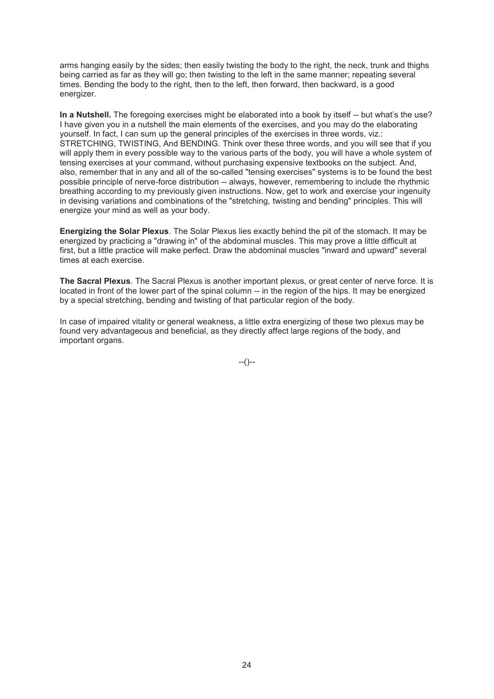arms hanging easily by the sides; then easily twisting the body to the right, the neck, trunk and thighs being carried as far as they will go; then twisting to the left in the same manner; repeating several times. Bending the body to the right, then to the left, then forward, then backward, is a good energizer.

**In a Nutshell.** The foregoing exercises might be elaborated into a book by itself -- but what's the use? I have given you in a nutshell the main elements of the exercises, and you may do the elaborating yourself. In fact, I can sum up the general principles of the exercises in three words, viz.: STRETCHING, TWISTING, And BENDING. Think over these three words, and you will see that if you will apply them in every possible way to the various parts of the body, you will have a whole system of tensing exercises at your command, without purchasing expensive textbooks on the subject. And, also, remember that in any and all of the so-called "tensing exercises" systems is to be found the best possible principle of nerve-force distribution -- always, however, remembering to include the rhythmic breathing according to my previously given instructions. Now, get to work and exercise your ingenuity in devising variations and combinations of the "stretching, twisting and bending" principles. This will energize your mind as well as your body.

**Energizing the Solar Plexus**. The Solar Plexus lies exactly behind the pit of the stomach. It may be energized by practicing a "drawing in" of the abdominal muscles. This may prove a little difficult at first, but a little practice will make perfect. Draw the abdominal muscles "inward and upward" several times at each exercise.

**The Sacral Plexus**. The Sacral Plexus is another important plexus, or great center of nerve force. It is located in front of the lower part of the spinal column -- in the region of the hips. It may be energized by a special stretching, bending and twisting of that particular region of the body.

In case of impaired vitality or general weakness, a little extra energizing of these two plexus may be found very advantageous and beneficial, as they directly affect large regions of the body, and important organs.

--()--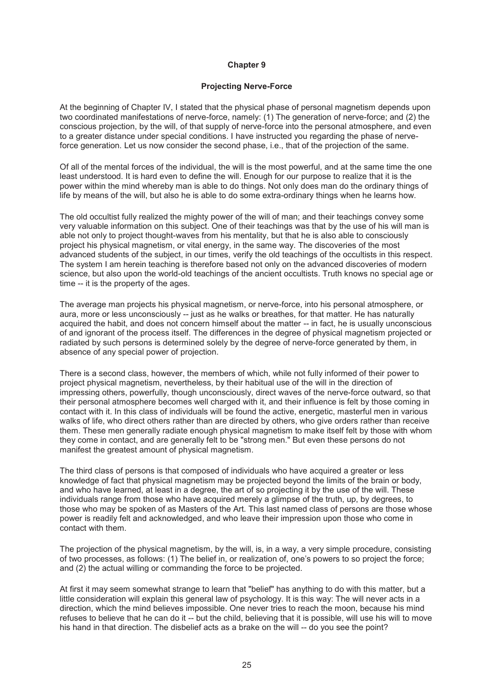#### **Projecting Nerve-Force**

At the beginning of Chapter IV, I stated that the physical phase of personal magnetism depends upon two coordinated manifestations of nerve-force, namely: (1) The generation of nerve-force; and (2) the conscious projection, by the will, of that supply of nerve-force into the personal atmosphere, and even to a greater distance under special conditions. I have instructed you regarding the phase of nerveforce generation. Let us now consider the second phase, i.e., that of the projection of the same.

Of all of the mental forces of the individual, the will is the most powerful, and at the same time the one least understood. It is hard even to define the will. Enough for our purpose to realize that it is the power within the mind whereby man is able to do things. Not only does man do the ordinary things of life by means of the will, but also he is able to do some extra-ordinary things when he learns how.

The old occultist fully realized the mighty power of the will of man; and their teachings convey some very valuable information on this subject. One of their teachings was that by the use of his will man is able not only to project thought-waves from his mentality, but that he is also able to consciously project his physical magnetism, or vital energy, in the same way. The discoveries of the most advanced students of the subject, in our times, verify the old teachings of the occultists in this respect. The system I am herein teaching is therefore based not only on the advanced discoveries of modern science, but also upon the world-old teachings of the ancient occultists. Truth knows no special age or time -- it is the property of the ages.

The average man projects his physical magnetism, or nerve-force, into his personal atmosphere, or aura, more or less unconsciously -- just as he walks or breathes, for that matter. He has naturally acquired the habit, and does not concern himself about the matter -- in fact, he is usually unconscious of and ignorant of the process itself. The differences in the degree of physical magnetism projected or radiated by such persons is determined solely by the degree of nerve-force generated by them, in absence of any special power of projection.

There is a second class, however, the members of which, while not fully informed of their power to project physical magnetism, nevertheless, by their habitual use of the will in the direction of impressing others, powerfully, though unconsciously, direct waves of the nerve-force outward, so that their personal atmosphere becomes well charged with it, and their influence is felt by those coming in contact with it. In this class of individuals will be found the active, energetic, masterful men in various walks of life, who direct others rather than are directed by others, who give orders rather than receive them. These men generally radiate enough physical magnetism to make itself felt by those with whom they come in contact, and are generally felt to be "strong men." But even these persons do not manifest the greatest amount of physical magnetism.

The third class of persons is that composed of individuals who have acquired a greater or less knowledge of fact that physical magnetism may be projected beyond the limits of the brain or body, and who have learned, at least in a degree, the art of so projecting it by the use of the will. These individuals range from those who have acquired merely a glimpse of the truth, up, by degrees, to those who may be spoken of as Masters of the Art. This last named class of persons are those whose power is readily felt and acknowledged, and who leave their impression upon those who come in contact with them.

The projection of the physical magnetism, by the will, is, in a way, a very simple procedure, consisting of two processes, as follows: (1) The belief in, or realization of, one's powers to so project the force; and (2) the actual willing or commanding the force to be projected.

At first it may seem somewhat strange to learn that "belief" has anything to do with this matter, but a little consideration will explain this general law of psychology. It is this way: The will never acts in a direction, which the mind believes impossible. One never tries to reach the moon, because his mind refuses to believe that he can do it -- but the child, believing that it is possible, will use his will to move his hand in that direction. The disbelief acts as a brake on the will -- do you see the point?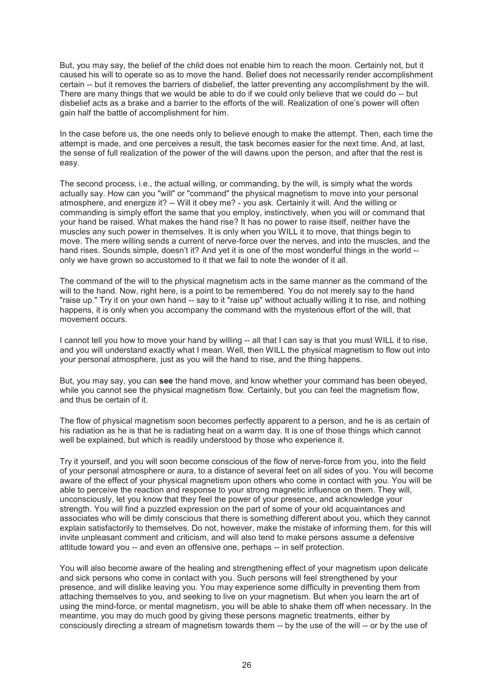But, you may say, the belief of the child does not enable him to reach the moon. Certainly not, but it caused his will to operate so as to move the hand. Belief does not necessarily render accomplishment certain -- but it removes the barriers of disbelief, the latter preventing any accomplishment by the will. There are many things that we would be able to do if we could only believe that we could do -- but disbelief acts as a brake and a barrier to the efforts of the will. Realization of one's power will often gain half the battle of accomplishment for him.

In the case before us, the one needs only to believe enough to make the attempt. Then, each time the attempt is made, and one perceives a result, the task becomes easier for the next time. And, at last, the sense of full realization of the power of the will dawns upon the person, and after that the rest is easy.

The second process, i.e., the actual willing, or commanding, by the will, is simply what the words actually say. How can you "will" or "command" the physical magnetism to move into your personal atmosphere, and energize it? -- Will it obey me? - you ask. Certainly it will. And the willing or commanding is simply effort the same that you employ, instinctively, when you will or command that your hand be raised. What makes the hand rise? It has no power to raise itself, neither have the muscles any such power in themselves. It is only when you WILL it to move, that things begin to move. The mere willing sends a current of nerve-force over the nerves, and into the muscles, and the hand rises. Sounds simple, doesn't it? And yet it is one of the most wonderful things in the world -only we have grown so accustomed to it that we fail to note the wonder of it all.

The command of the will to the physical magnetism acts in the same manner as the command of the will to the hand. Now, right here, is a point to be remembered. You do not merely say to the hand "raise up." Try it on your own hand -- say to it "raise up" without actually willing it to rise, and nothing happens, it is only when you accompany the command with the mysterious effort of the will, that movement occurs.

I cannot tell you how to move your hand by willing -- all that I can say is that you must WILL it to rise, and you will understand exactly what I mean. Well, then WILL the physical magnetism to flow out into your personal atmosphere, just as you will the hand to rise, and the thing happens.

But, you may say, you can **see** the hand move, and know whether your command has been obeyed, while you cannot see the physical magnetism flow. Certainly, but you can feel the magnetism flow, and thus be certain of it.

The flow of physical magnetism soon becomes perfectly apparent to a person, and he is as certain of his radiation as he is that he is radiating heat on a warm day. It is one of those things which cannot well be explained, but which is readily understood by those who experience it.

Try it yourself, and you will soon become conscious of the flow of nerve-force from you, into the field of your personal atmosphere or aura, to a distance of several feet on all sides of you. You will become aware of the effect of your physical magnetism upon others who come in contact with you. You will be able to perceive the reaction and response to your strong magnetic influence on them. They will, unconsciously, let you know that they feel the power of your presence, and acknowledge your strength. You will find a puzzled expression on the part of some of your old acquaintances and associates who will be dimly conscious that there is something different about you, which they cannot explain satisfactorily to themselves. Do not, however, make the mistake of informing them, for this will invite unpleasant comment and criticism, and will also tend to make persons assume a defensive attitude toward you -- and even an offensive one, perhaps -- in self protection.

You will also become aware of the healing and strengthening effect of your magnetism upon delicate and sick persons who come in contact with you. Such persons will feel strengthened by your presence, and will dislike leaving you. You may experience some difficulty in preventing them from attaching themselves to you, and seeking to live on your magnetism. But when you learn the art of using the mind-force, or mental magnetism, you will be able to shake them off when necessary. In the meantime, you may do much good by giving these persons magnetic treatments, either by consciously directing a stream of magnetism towards them -- by the use of the will -- or by the use of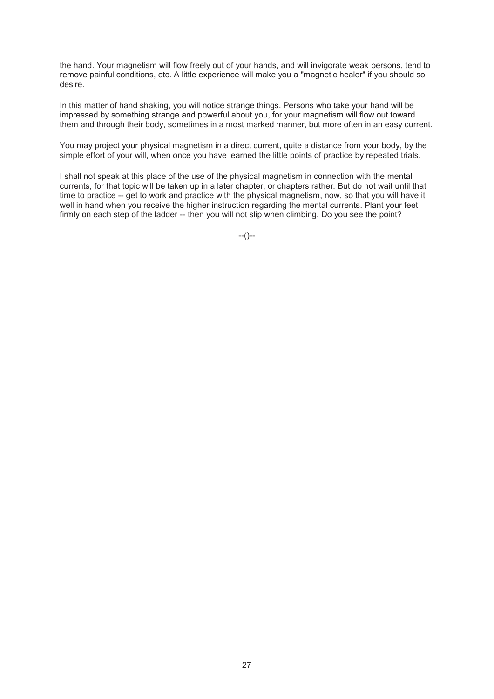the hand. Your magnetism will flow freely out of your hands, and will invigorate weak persons, tend to remove painful conditions, etc. A little experience will make you a "magnetic healer" if you should so desire.

In this matter of hand shaking, you will notice strange things. Persons who take your hand will be impressed by something strange and powerful about you, for your magnetism will flow out toward them and through their body, sometimes in a most marked manner, but more often in an easy current.

You may project your physical magnetism in a direct current, quite a distance from your body, by the simple effort of your will, when once you have learned the little points of practice by repeated trials.

I shall not speak at this place of the use of the physical magnetism in connection with the mental currents, for that topic will be taken up in a later chapter, or chapters rather. But do not wait until that time to practice -- get to work and practice with the physical magnetism, now, so that you will have it well in hand when you receive the higher instruction regarding the mental currents. Plant your feet firmly on each step of the ladder -- then you will not slip when climbing. Do you see the point?

--()--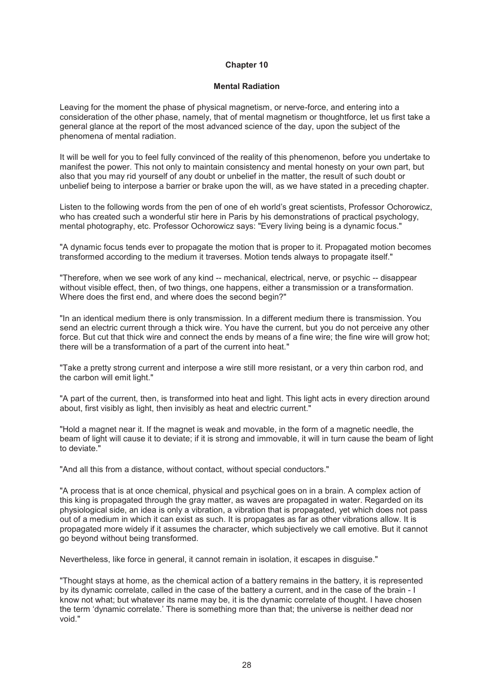#### **Mental Radiation**

Leaving for the moment the phase of physical magnetism, or nerve-force, and entering into a consideration of the other phase, namely, that of mental magnetism or thoughtforce, let us first take a general glance at the report of the most advanced science of the day, upon the subject of the phenomena of mental radiation.

It will be well for you to feel fully convinced of the reality of this phenomenon, before you undertake to manifest the power. This not only to maintain consistency and mental honesty on your own part, but also that you may rid yourself of any doubt or unbelief in the matter, the result of such doubt or unbelief being to interpose a barrier or brake upon the will, as we have stated in a preceding chapter.

Listen to the following words from the pen of one of eh world's great scientists, Professor Ochorowicz, who has created such a wonderful stir here in Paris by his demonstrations of practical psychology, mental photography, etc. Professor Ochorowicz says: "Every living being is a dynamic focus."

"A dynamic focus tends ever to propagate the motion that is proper to it. Propagated motion becomes transformed according to the medium it traverses. Motion tends always to propagate itself."

"Therefore, when we see work of any kind -- mechanical, electrical, nerve, or psychic -- disappear without visible effect, then, of two things, one happens, either a transmission or a transformation. Where does the first end, and where does the second begin?"

"In an identical medium there is only transmission. In a different medium there is transmission. You send an electric current through a thick wire. You have the current, but you do not perceive any other force. But cut that thick wire and connect the ends by means of a fine wire; the fine wire will grow hot; there will be a transformation of a part of the current into heat."

"Take a pretty strong current and interpose a wire still more resistant, or a very thin carbon rod, and the carbon will emit light."

"A part of the current, then, is transformed into heat and light. This light acts in every direction around about, first visibly as light, then invisibly as heat and electric current."

"Hold a magnet near it. If the magnet is weak and movable, in the form of a magnetic needle, the beam of light will cause it to deviate; if it is strong and immovable, it will in turn cause the beam of light to deviate."

"And all this from a distance, without contact, without special conductors."

"A process that is at once chemical, physical and psychical goes on in a brain. A complex action of this king is propagated through the gray matter, as waves are propagated in water. Regarded on its physiological side, an idea is only a vibration, a vibration that is propagated, yet which does not pass out of a medium in which it can exist as such. It is propagates as far as other vibrations allow. It is propagated more widely if it assumes the character, which subjectively we call emotive. But it cannot go beyond without being transformed.

Nevertheless, like force in general, it cannot remain in isolation, it escapes in disguise."

"Thought stays at home, as the chemical action of a battery remains in the battery, it is represented by its dynamic correlate, called in the case of the battery a current, and in the case of the brain - I know not what; but whatever its name may be, it is the dynamic correlate of thought. I have chosen the term 'dynamic correlate.' There is something more than that; the universe is neither dead nor void."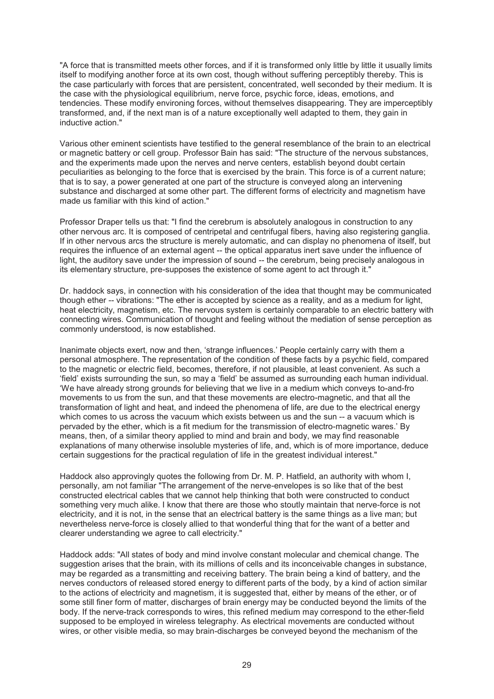"A force that is transmitted meets other forces, and if it is transformed only little by little it usually limits itself to modifying another force at its own cost, though without suffering perceptibly thereby. This is the case particularly with forces that are persistent, concentrated, well seconded by their medium. It is the case with the physiological equilibrium, nerve force, psychic force, ideas, emotions, and tendencies. These modify environing forces, without themselves disappearing. They are imperceptibly transformed, and, if the next man is of a nature exceptionally well adapted to them, they gain in inductive action."

Various other eminent scientists have testified to the general resemblance of the brain to an electrical or magnetic battery or cell group. Professor Bain has said: "The structure of the nervous substances, and the experiments made upon the nerves and nerve centers, establish beyond doubt certain peculiarities as belonging to the force that is exercised by the brain. This force is of a current nature; that is to say, a power generated at one part of the structure is conveyed along an intervening substance and discharged at some other part. The different forms of electricity and magnetism have made us familiar with this kind of action."

Professor Draper tells us that: "I find the cerebrum is absolutely analogous in construction to any other nervous arc. It is composed of centripetal and centrifugal fibers, having also registering ganglia. If in other nervous arcs the structure is merely automatic, and can display no phenomena of itself, but requires the influence of an external agent -- the optical apparatus inert save under the influence of light, the auditory save under the impression of sound -- the cerebrum, being precisely analogous in its elementary structure, pre-supposes the existence of some agent to act through it."

Dr. haddock says, in connection with his consideration of the idea that thought may be communicated though ether -- vibrations: "The ether is accepted by science as a reality, and as a medium for light, heat electricity, magnetism, etc. The nervous system is certainly comparable to an electric battery with connecting wires. Communication of thought and feeling without the mediation of sense perception as commonly understood, is now established.

Inanimate objects exert, now and then, 'strange influences.' People certainly carry with them a personal atmosphere. The representation of the condition of these facts by a psychic field, compared to the magnetic or electric field, becomes, therefore, if not plausible, at least convenient. As such a 'field' exists surrounding the sun, so may a 'field' be assumed as surrounding each human individual. 'We have already strong grounds for believing that we live in a medium which conveys to-and-fro movements to us from the sun, and that these movements are electro-magnetic, and that all the transformation of light and heat, and indeed the phenomena of life, are due to the electrical energy which comes to us across the vacuum which exists between us and the sun -- a vacuum which is pervaded by the ether, which is a fit medium for the transmission of electro-magnetic wares.' By means, then, of a similar theory applied to mind and brain and body, we may find reasonable explanations of many otherwise insoluble mysteries of life, and, which is of more importance, deduce certain suggestions for the practical regulation of life in the greatest individual interest."

Haddock also approvingly quotes the following from Dr. M. P. Hatfield, an authority with whom I, personally, am not familiar "The arrangement of the nerve-envelopes is so like that of the best constructed electrical cables that we cannot help thinking that both were constructed to conduct something very much alike. I know that there are those who stoutly maintain that nerve-force is not electricity, and it is not, in the sense that an electrical battery is the same things as a live man; but nevertheless nerve-force is closely allied to that wonderful thing that for the want of a better and clearer understanding we agree to call electricity."

Haddock adds: "All states of body and mind involve constant molecular and chemical change. The suggestion arises that the brain, with its millions of cells and its inconceivable changes in substance, may be regarded as a transmitting and receiving battery. The brain being a kind of battery, and the nerves conductors of released stored energy to different parts of the body, by a kind of action similar to the actions of electricity and magnetism, it is suggested that, either by means of the ether, or of some still finer form of matter, discharges of brain energy may be conducted beyond the limits of the body. If the nerve-track corresponds to wires, this refined medium may correspond to the ether-field supposed to be employed in wireless telegraphy. As electrical movements are conducted without wires, or other visible media, so may brain-discharges be conveyed beyond the mechanism of the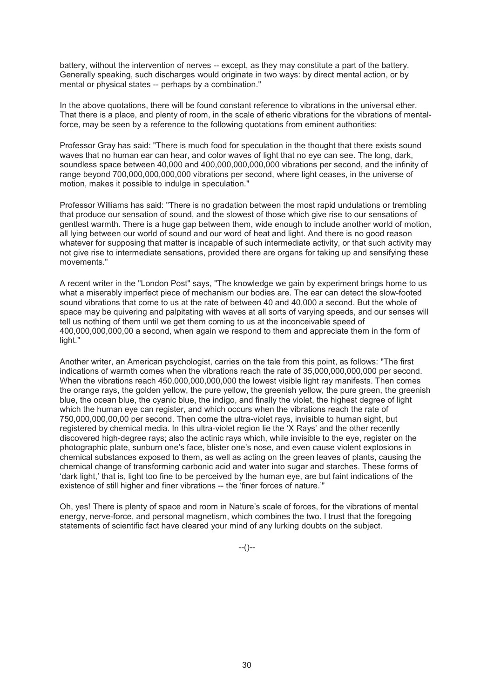battery, without the intervention of nerves -- except, as they may constitute a part of the battery. Generally speaking, such discharges would originate in two ways: by direct mental action, or by mental or physical states -- perhaps by a combination."

In the above quotations, there will be found constant reference to vibrations in the universal ether. That there is a place, and plenty of room, in the scale of etheric vibrations for the vibrations of mentalforce, may be seen by a reference to the following quotations from eminent authorities:

Professor Gray has said: "There is much food for speculation in the thought that there exists sound waves that no human ear can hear, and color waves of light that no eye can see. The long, dark, soundless space between 40,000 and 400,000,000,000,000 vibrations per second, and the infinity of range beyond 700,000,000,000,000 vibrations per second, where light ceases, in the universe of motion, makes it possible to indulge in speculation."

Professor Williams has said: "There is no gradation between the most rapid undulations or trembling that produce our sensation of sound, and the slowest of those which give rise to our sensations of gentlest warmth. There is a huge gap between them, wide enough to include another world of motion, all lying between our world of sound and our word of heat and light. And there is no good reason whatever for supposing that matter is incapable of such intermediate activity, or that such activity may not give rise to intermediate sensations, provided there are organs for taking up and sensifying these movements."

A recent writer in the "London Post" says, "The knowledge we gain by experiment brings home to us what a miserably imperfect piece of mechanism our bodies are. The ear can detect the slow-footed sound vibrations that come to us at the rate of between 40 and 40,000 a second. But the whole of space may be quivering and palpitating with waves at all sorts of varying speeds, and our senses will tell us nothing of them until we get them coming to us at the inconceivable speed of 400,000,000,000,00 a second, when again we respond to them and appreciate them in the form of light."

Another writer, an American psychologist, carries on the tale from this point, as follows: "The first indications of warmth comes when the vibrations reach the rate of 35,000,000,000,000 per second. When the vibrations reach 450,000,000,000,000 the lowest visible light ray manifests. Then comes the orange rays, the golden yellow, the pure yellow, the greenish yellow, the pure green, the greenish blue, the ocean blue, the cyanic blue, the indigo, and finally the violet, the highest degree of light which the human eye can register, and which occurs when the vibrations reach the rate of 750,000,000,00,00 per second. Then come the ultra-violet rays, invisible to human sight, but registered by chemical media. In this ultra-violet region lie the 'X Rays' and the other recently discovered high-degree rays; also the actinic rays which, while invisible to the eye, register on the photographic plate, sunburn one's face, blister one's nose, and even cause violent explosions in chemical substances exposed to them, as well as acting on the green leaves of plants, causing the chemical change of transforming carbonic acid and water into sugar and starches. These forms of 'dark light,' that is, light too fine to be perceived by the human eye, are but faint indications of the existence of still higher and finer vibrations -- the 'finer forces of nature."

Oh, yes! There is plenty of space and room in Nature's scale of forces, for the vibrations of mental energy, nerve-force, and personal magnetism, which combines the two. I trust that the foregoing statements of scientific fact have cleared your mind of any lurking doubts on the subject.

--()--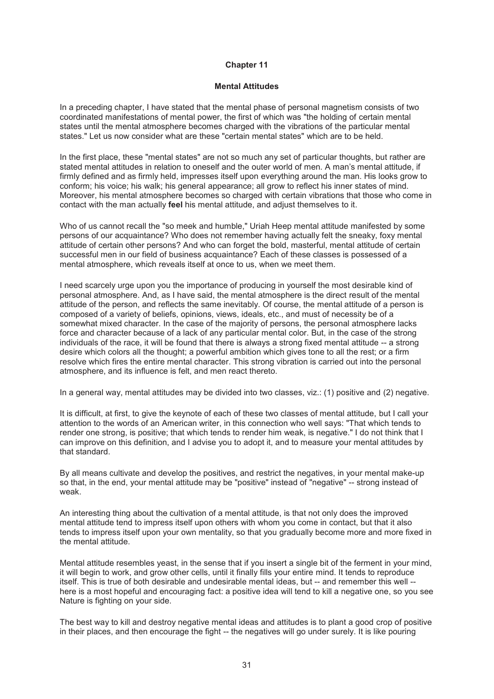#### **Mental Attitudes**

In a preceding chapter, I have stated that the mental phase of personal magnetism consists of two coordinated manifestations of mental power, the first of which was "the holding of certain mental states until the mental atmosphere becomes charged with the vibrations of the particular mental states." Let us now consider what are these "certain mental states" which are to be held.

In the first place, these "mental states" are not so much any set of particular thoughts, but rather are stated mental attitudes in relation to oneself and the outer world of men. A man's mental attitude, if firmly defined and as firmly held, impresses itself upon everything around the man. His looks grow to conform; his voice; his walk; his general appearance; all grow to reflect his inner states of mind. Moreover, his mental atmosphere becomes so charged with certain vibrations that those who come in contact with the man actually **feel** his mental attitude, and adjust themselves to it.

Who of us cannot recall the "so meek and humble," Uriah Heep mental attitude manifested by some persons of our acquaintance? Who does not remember having actually felt the sneaky, foxy mental attitude of certain other persons? And who can forget the bold, masterful, mental attitude of certain successful men in our field of business acquaintance? Each of these classes is possessed of a mental atmosphere, which reveals itself at once to us, when we meet them.

I need scarcely urge upon you the importance of producing in yourself the most desirable kind of personal atmosphere. And, as I have said, the mental atmosphere is the direct result of the mental attitude of the person, and reflects the same inevitably. Of course, the mental attitude of a person is composed of a variety of beliefs, opinions, views, ideals, etc., and must of necessity be of a somewhat mixed character. In the case of the majority of persons, the personal atmosphere lacks force and character because of a lack of any particular mental color. But, in the case of the strong individuals of the race, it will be found that there is always a strong fixed mental attitude -- a strong desire which colors all the thought; a powerful ambition which gives tone to all the rest; or a firm resolve which fires the entire mental character. This strong vibration is carried out into the personal atmosphere, and its influence is felt, and men react thereto.

In a general way, mental attitudes may be divided into two classes, viz.: (1) positive and (2) negative.

It is difficult, at first, to give the keynote of each of these two classes of mental attitude, but I call your attention to the words of an American writer, in this connection who well says: "That which tends to render one strong, is positive; that which tends to render him weak, is negative." I do not think that I can improve on this definition, and I advise you to adopt it, and to measure your mental attitudes by that standard.

By all means cultivate and develop the positives, and restrict the negatives, in your mental make-up so that, in the end, your mental attitude may be "positive" instead of "negative" -- strong instead of weak.

An interesting thing about the cultivation of a mental attitude, is that not only does the improved mental attitude tend to impress itself upon others with whom you come in contact, but that it also tends to impress itself upon your own mentality, so that you gradually become more and more fixed in the mental attitude.

Mental attitude resembles yeast, in the sense that if you insert a single bit of the ferment in your mind, it will begin to work, and grow other cells, until it finally fills your entire mind. It tends to reproduce itself. This is true of both desirable and undesirable mental ideas, but -- and remember this well - here is a most hopeful and encouraging fact: a positive idea will tend to kill a negative one, so you see Nature is fighting on your side.

The best way to kill and destroy negative mental ideas and attitudes is to plant a good crop of positive in their places, and then encourage the fight -- the negatives will go under surely. It is like pouring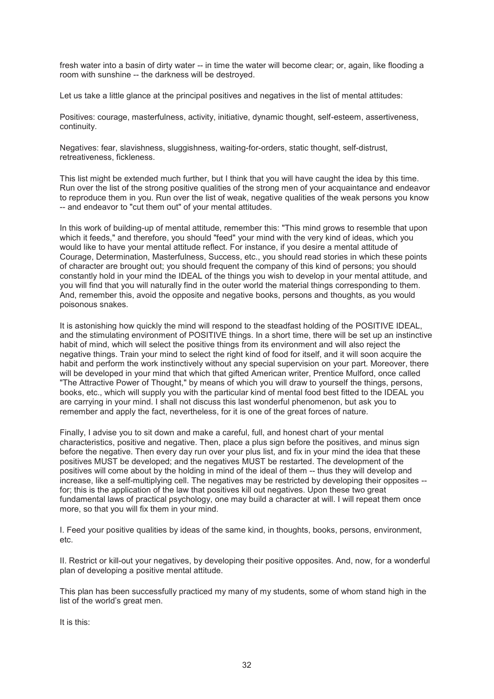fresh water into a basin of dirty water -- in time the water will become clear; or, again, like flooding a room with sunshine -- the darkness will be destroyed.

Let us take a little glance at the principal positives and negatives in the list of mental attitudes:

Positives: courage, masterfulness, activity, initiative, dynamic thought, self-esteem, assertiveness, continuity.

Negatives: fear, slavishness, sluggishness, waiting-for-orders, static thought, self-distrust, retreativeness, fickleness.

This list might be extended much further, but I think that you will have caught the idea by this time. Run over the list of the strong positive qualities of the strong men of your acquaintance and endeavor to reproduce them in you. Run over the list of weak, negative qualities of the weak persons you know -- and endeavor to "cut them out" of your mental attitudes.

In this work of building-up of mental attitude, remember this: "This mind grows to resemble that upon which it feeds," and therefore, you should "feed" your mind with the very kind of ideas, which you would like to have your mental attitude reflect. For instance, if you desire a mental attitude of Courage, Determination, Masterfulness, Success, etc., you should read stories in which these points of character are brought out; you should frequent the company of this kind of persons; you should constantly hold in your mind the IDEAL of the things you wish to develop in your mental attitude, and you will find that you will naturally find in the outer world the material things corresponding to them. And, remember this, avoid the opposite and negative books, persons and thoughts, as you would poisonous snakes.

It is astonishing how quickly the mind will respond to the steadfast holding of the POSITIVE IDEAL, and the stimulating environment of POSITIVE things. In a short time, there will be set up an instinctive habit of mind, which will select the positive things from its environment and will also reject the negative things. Train your mind to select the right kind of food for itself, and it will soon acquire the habit and perform the work instinctively without any special supervision on your part. Moreover, there will be developed in your mind that which that gifted American writer, Prentice Mulford, once called "The Attractive Power of Thought," by means of which you will draw to yourself the things, persons, books, etc., which will supply you with the particular kind of mental food best fitted to the IDEAL you are carrying in your mind. I shall not discuss this last wonderful phenomenon, but ask you to remember and apply the fact, nevertheless, for it is one of the great forces of nature.

Finally, I advise you to sit down and make a careful, full, and honest chart of your mental characteristics, positive and negative. Then, place a plus sign before the positives, and minus sign before the negative. Then every day run over your plus list, and fix in your mind the idea that these positives MUST be developed; and the negatives MUST be restarted. The development of the positives will come about by the holding in mind of the ideal of them -- thus they will develop and increase, like a self-multiplying cell. The negatives may be restricted by developing their opposites - for; this is the application of the law that positives kill out negatives. Upon these two great fundamental laws of practical psychology, one may build a character at will. I will repeat them once more, so that you will fix them in your mind.

I. Feed your positive qualities by ideas of the same kind, in thoughts, books, persons, environment, etc.

II. Restrict or kill-out your negatives, by developing their positive opposites. And, now, for a wonderful plan of developing a positive mental attitude.

This plan has been successfully practiced my many of my students, some of whom stand high in the list of the world's great men.

It is this: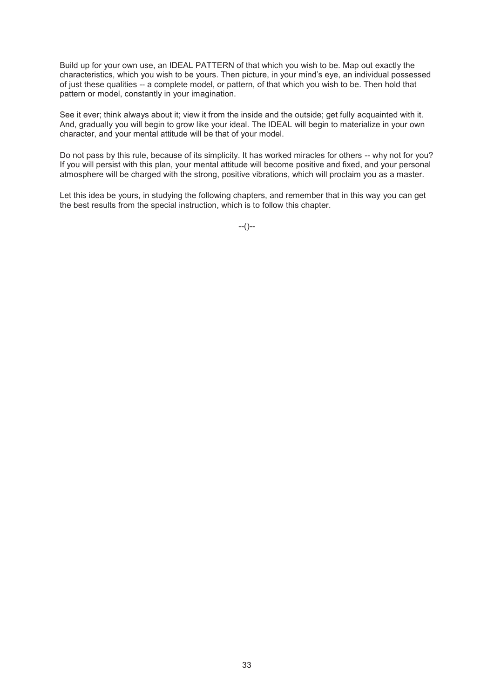Build up for your own use, an IDEAL PATTERN of that which you wish to be. Map out exactly the characteristics, which you wish to be yours. Then picture, in your mind's eye, an individual possessed of just these qualities -- a complete model, or pattern, of that which you wish to be. Then hold that pattern or model, constantly in your imagination.

See it ever; think always about it; view it from the inside and the outside; get fully acquainted with it. And, gradually you will begin to grow like your ideal. The IDEAL will begin to materialize in your own character, and your mental attitude will be that of your model.

Do not pass by this rule, because of its simplicity. It has worked miracles for others -- why not for you? If you will persist with this plan, your mental attitude will become positive and fixed, and your personal atmosphere will be charged with the strong, positive vibrations, which will proclaim you as a master.

Let this idea be yours, in studying the following chapters, and remember that in this way you can get the best results from the special instruction, which is to follow this chapter.

--()--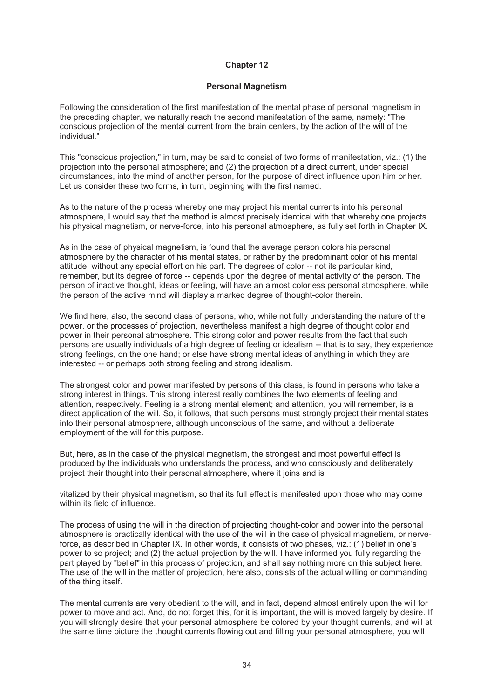#### **Personal Magnetism**

Following the consideration of the first manifestation of the mental phase of personal magnetism in the preceding chapter, we naturally reach the second manifestation of the same, namely: "The conscious projection of the mental current from the brain centers, by the action of the will of the individual."

This "conscious projection," in turn, may be said to consist of two forms of manifestation, viz.: (1) the projection into the personal atmosphere; and (2) the projection of a direct current, under special circumstances, into the mind of another person, for the purpose of direct influence upon him or her. Let us consider these two forms, in turn, beginning with the first named.

As to the nature of the process whereby one may project his mental currents into his personal atmosphere, I would say that the method is almost precisely identical with that whereby one projects his physical magnetism, or nerve-force, into his personal atmosphere, as fully set forth in Chapter IX.

As in the case of physical magnetism, is found that the average person colors his personal atmosphere by the character of his mental states, or rather by the predominant color of his mental attitude, without any special effort on his part. The degrees of color -- not its particular kind, remember, but its degree of force -- depends upon the degree of mental activity of the person. The person of inactive thought, ideas or feeling, will have an almost colorless personal atmosphere, while the person of the active mind will display a marked degree of thought-color therein.

We find here, also, the second class of persons, who, while not fully understanding the nature of the power, or the processes of projection, nevertheless manifest a high degree of thought color and power in their personal atmosphere. This strong color and power results from the fact that such persons are usually individuals of a high degree of feeling or idealism -- that is to say, they experience strong feelings, on the one hand; or else have strong mental ideas of anything in which they are interested -- or perhaps both strong feeling and strong idealism.

The strongest color and power manifested by persons of this class, is found in persons who take a strong interest in things. This strong interest really combines the two elements of feeling and attention, respectively. Feeling is a strong mental element; and attention, you will remember, is a direct application of the will. So, it follows, that such persons must strongly project their mental states into their personal atmosphere, although unconscious of the same, and without a deliberate employment of the will for this purpose.

But, here, as in the case of the physical magnetism, the strongest and most powerful effect is produced by the individuals who understands the process, and who consciously and deliberately project their thought into their personal atmosphere, where it joins and is

vitalized by their physical magnetism, so that its full effect is manifested upon those who may come within its field of influence.

The process of using the will in the direction of projecting thought-color and power into the personal atmosphere is practically identical with the use of the will in the case of physical magnetism, or nerveforce, as described in Chapter IX. In other words, it consists of two phases, viz.: (1) belief in one's power to so project; and (2) the actual projection by the will. I have informed you fully regarding the part played by "belief" in this process of projection, and shall say nothing more on this subject here. The use of the will in the matter of projection, here also, consists of the actual willing or commanding of the thing itself.

The mental currents are very obedient to the will, and in fact, depend almost entirely upon the will for power to move and act. And, do not forget this, for it is important, the will is moved largely by desire. If you will strongly desire that your personal atmosphere be colored by your thought currents, and will at the same time picture the thought currents flowing out and filling your personal atmosphere, you will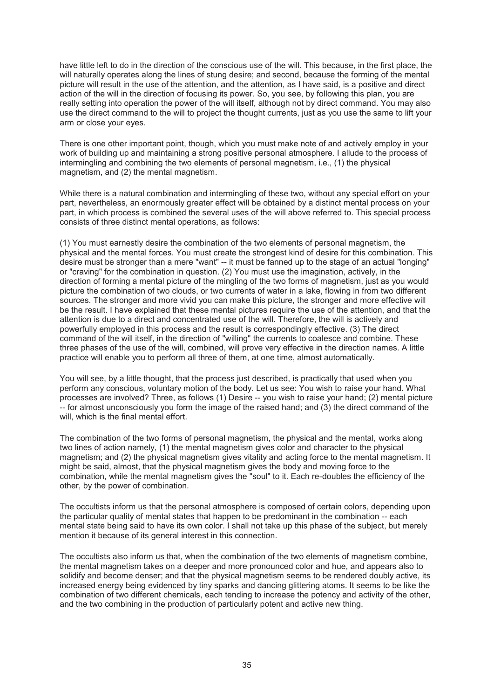have little left to do in the direction of the conscious use of the will. This because, in the first place, the will naturally operates along the lines of stung desire; and second, because the forming of the mental picture will result in the use of the attention, and the attention, as I have said, is a positive and direct action of the will in the direction of focusing its power. So, you see, by following this plan, you are really setting into operation the power of the will itself, although not by direct command. You may also use the direct command to the will to project the thought currents, just as you use the same to lift your arm or close your eyes.

There is one other important point, though, which you must make note of and actively employ in your work of building up and maintaining a strong positive personal atmosphere. I allude to the process of intermingling and combining the two elements of personal magnetism, i.e., (1) the physical magnetism, and (2) the mental magnetism.

While there is a natural combination and intermingling of these two, without any special effort on your part, nevertheless, an enormously greater effect will be obtained by a distinct mental process on your part, in which process is combined the several uses of the will above referred to. This special process consists of three distinct mental operations, as follows:

(1) You must earnestly desire the combination of the two elements of personal magnetism, the physical and the mental forces. You must create the strongest kind of desire for this combination. This desire must be stronger than a mere "want" -- it must be fanned up to the stage of an actual "longing" or "craving" for the combination in question. (2) You must use the imagination, actively, in the direction of forming a mental picture of the mingling of the two forms of magnetism, just as you would picture the combination of two clouds, or two currents of water in a lake, flowing in from two different sources. The stronger and more vivid you can make this picture, the stronger and more effective will be the result. I have explained that these mental pictures require the use of the attention, and that the attention is due to a direct and concentrated use of the will. Therefore, the will is actively and powerfully employed in this process and the result is correspondingly effective. (3) The direct command of the will itself, in the direction of "willing" the currents to coalesce and combine. These three phases of the use of the will, combined, will prove very effective in the direction names. A little practice will enable you to perform all three of them, at one time, almost automatically.

You will see, by a little thought, that the process just described, is practically that used when you perform any conscious, voluntary motion of the body. Let us see: You wish to raise your hand. What processes are involved? Three, as follows (1) Desire -- you wish to raise your hand; (2) mental picture -- for almost unconsciously you form the image of the raised hand; and (3) the direct command of the will, which is the final mental effort.

The combination of the two forms of personal magnetism, the physical and the mental, works along two lines of action namely, (1) the mental magnetism gives color and character to the physical magnetism; and (2) the physical magnetism gives vitality and acting force to the mental magnetism. It might be said, almost, that the physical magnetism gives the body and moving force to the combination, while the mental magnetism gives the "soul" to it. Each re-doubles the efficiency of the other, by the power of combination.

The occultists inform us that the personal atmosphere is composed of certain colors, depending upon the particular quality of mental states that happen to be predominant in the combination -- each mental state being said to have its own color. I shall not take up this phase of the subject, but merely mention it because of its general interest in this connection.

The occultists also inform us that, when the combination of the two elements of magnetism combine, the mental magnetism takes on a deeper and more pronounced color and hue, and appears also to solidify and become denser; and that the physical magnetism seems to be rendered doubly active, its increased energy being evidenced by tiny sparks and dancing glittering atoms. It seems to be like the combination of two different chemicals, each tending to increase the potency and activity of the other, and the two combining in the production of particularly potent and active new thing.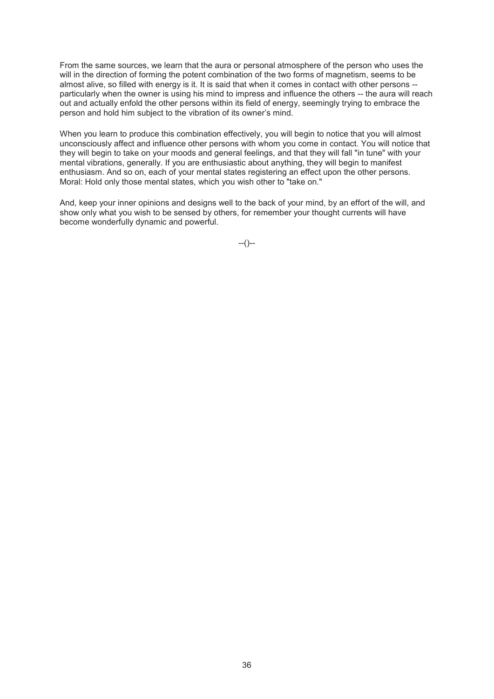From the same sources, we learn that the aura or personal atmosphere of the person who uses the will in the direction of forming the potent combination of the two forms of magnetism, seems to be almost alive, so filled with energy is it. It is said that when it comes in contact with other persons - particularly when the owner is using his mind to impress and influence the others -- the aura will reach out and actually enfold the other persons within its field of energy, seemingly trying to embrace the person and hold him subject to the vibration of its owner's mind.

When you learn to produce this combination effectively, you will begin to notice that you will almost unconsciously affect and influence other persons with whom you come in contact. You will notice that they will begin to take on your moods and general feelings, and that they will fall "in tune" with your mental vibrations, generally. If you are enthusiastic about anything, they will begin to manifest enthusiasm. And so on, each of your mental states registering an effect upon the other persons. Moral: Hold only those mental states, which you wish other to "take on."

And, keep your inner opinions and designs well to the back of your mind, by an effort of the will, and show only what you wish to be sensed by others, for remember your thought currents will have become wonderfully dynamic and powerful.

 $-(-)$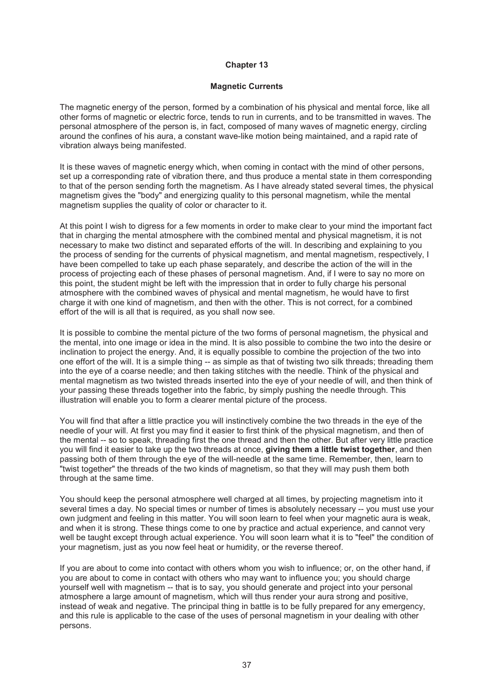#### **Magnetic Currents**

The magnetic energy of the person, formed by a combination of his physical and mental force, like all other forms of magnetic or electric force, tends to run in currents, and to be transmitted in waves. The personal atmosphere of the person is, in fact, composed of many waves of magnetic energy, circling around the confines of his aura, a constant wave-like motion being maintained, and a rapid rate of vibration always being manifested.

It is these waves of magnetic energy which, when coming in contact with the mind of other persons, set up a corresponding rate of vibration there, and thus produce a mental state in them corresponding to that of the person sending forth the magnetism. As I have already stated several times, the physical magnetism gives the "body" and energizing quality to this personal magnetism, while the mental magnetism supplies the quality of color or character to it.

At this point I wish to digress for a few moments in order to make clear to your mind the important fact that in charging the mental atmosphere with the combined mental and physical magnetism, it is not necessary to make two distinct and separated efforts of the will. In describing and explaining to you the process of sending for the currents of physical magnetism, and mental magnetism, respectively, I have been compelled to take up each phase separately, and describe the action of the will in the process of projecting each of these phases of personal magnetism. And, if I were to say no more on this point, the student might be left with the impression that in order to fully charge his personal atmosphere with the combined waves of physical and mental magnetism, he would have to first charge it with one kind of magnetism, and then with the other. This is not correct, for a combined effort of the will is all that is required, as you shall now see.

It is possible to combine the mental picture of the two forms of personal magnetism, the physical and the mental, into one image or idea in the mind. It is also possible to combine the two into the desire or inclination to project the energy. And, it is equally possible to combine the projection of the two into one effort of the will. It is a simple thing -- as simple as that of twisting two silk threads; threading them into the eye of a coarse needle; and then taking stitches with the needle. Think of the physical and mental magnetism as two twisted threads inserted into the eye of your needle of will, and then think of your passing these threads together into the fabric, by simply pushing the needle through. This illustration will enable you to form a clearer mental picture of the process.

You will find that after a little practice you will instinctively combine the two threads in the eye of the needle of your will. At first you may find it easier to first think of the physical magnetism, and then of the mental -- so to speak, threading first the one thread and then the other. But after very little practice you will find it easier to take up the two threads at once, **giving them a little twist together**, and then passing both of them through the eye of the will-needle at the same time. Remember, then, learn to "twist together" the threads of the two kinds of magnetism, so that they will may push them both through at the same time.

You should keep the personal atmosphere well charged at all times, by projecting magnetism into it several times a day. No special times or number of times is absolutely necessary -- you must use your own judgment and feeling in this matter. You will soon learn to feel when your magnetic aura is weak, and when it is strong. These things come to one by practice and actual experience, and cannot very well be taught except through actual experience. You will soon learn what it is to "feel" the condition of your magnetism, just as you now feel heat or humidity, or the reverse thereof.

If you are about to come into contact with others whom you wish to influence; or, on the other hand, if you are about to come in contact with others who may want to influence you; you should charge yourself well with magnetism -- that is to say, you should generate and project into your personal atmosphere a large amount of magnetism, which will thus render your aura strong and positive, instead of weak and negative. The principal thing in battle is to be fully prepared for any emergency, and this rule is applicable to the case of the uses of personal magnetism in your dealing with other persons.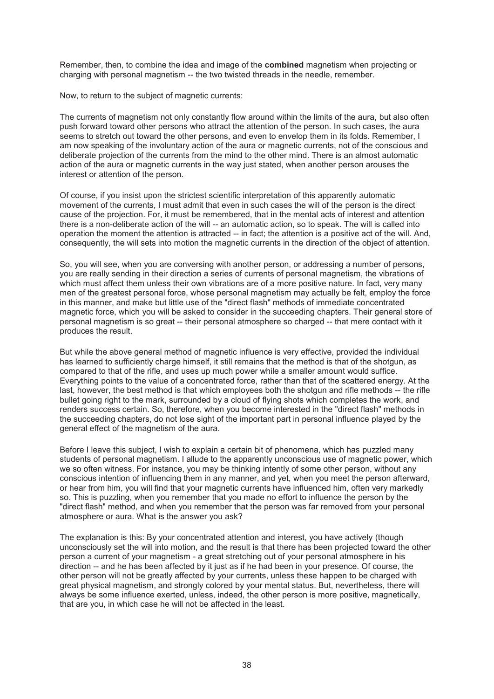Remember, then, to combine the idea and image of the **combined** magnetism when projecting or charging with personal magnetism -- the two twisted threads in the needle, remember.

Now, to return to the subject of magnetic currents:

The currents of magnetism not only constantly flow around within the limits of the aura, but also often push forward toward other persons who attract the attention of the person. In such cases, the aura seems to stretch out toward the other persons, and even to envelop them in its folds. Remember, I am now speaking of the involuntary action of the aura or magnetic currents, not of the conscious and deliberate projection of the currents from the mind to the other mind. There is an almost automatic action of the aura or magnetic currents in the way just stated, when another person arouses the interest or attention of the person.

Of course, if you insist upon the strictest scientific interpretation of this apparently automatic movement of the currents, I must admit that even in such cases the will of the person is the direct cause of the projection. For, it must be remembered, that in the mental acts of interest and attention there is a non-deliberate action of the will -- an automatic action, so to speak. The will is called into operation the moment the attention is attracted -- in fact; the attention is a positive act of the will. And, consequently, the will sets into motion the magnetic currents in the direction of the object of attention.

So, you will see, when you are conversing with another person, or addressing a number of persons, you are really sending in their direction a series of currents of personal magnetism, the vibrations of which must affect them unless their own vibrations are of a more positive nature. In fact, very many men of the greatest personal force, whose personal magnetism may actually be felt, employ the force in this manner, and make but little use of the "direct flash" methods of immediate concentrated magnetic force, which you will be asked to consider in the succeeding chapters. Their general store of personal magnetism is so great -- their personal atmosphere so charged -- that mere contact with it produces the result.

But while the above general method of magnetic influence is very effective, provided the individual has learned to sufficiently charge himself, it still remains that the method is that of the shotgun, as compared to that of the rifle, and uses up much power while a smaller amount would suffice. Everything points to the value of a concentrated force, rather than that of the scattered energy. At the last, however, the best method is that which employees both the shotgun and rifle methods -- the rifle bullet going right to the mark, surrounded by a cloud of flying shots which completes the work, and renders success certain. So, therefore, when you become interested in the "direct flash" methods in the succeeding chapters, do not lose sight of the important part in personal influence played by the general effect of the magnetism of the aura.

Before I leave this subject, I wish to explain a certain bit of phenomena, which has puzzled many students of personal magnetism. I allude to the apparently unconscious use of magnetic power, which we so often witness. For instance, you may be thinking intently of some other person, without any conscious intention of influencing them in any manner, and yet, when you meet the person afterward, or hear from him, you will find that your magnetic currents have influenced him, often very markedly so. This is puzzling, when you remember that you made no effort to influence the person by the "direct flash" method, and when you remember that the person was far removed from your personal atmosphere or aura. What is the answer you ask?

The explanation is this: By your concentrated attention and interest, you have actively (though unconsciously set the will into motion, and the result is that there has been projected toward the other person a current of your magnetism - a great stretching out of your personal atmosphere in his direction -- and he has been affected by it just as if he had been in your presence. Of course, the other person will not be greatly affected by your currents, unless these happen to be charged with great physical magnetism, and strongly colored by your mental status. But, nevertheless, there will always be some influence exerted, unless, indeed, the other person is more positive, magnetically, that are you, in which case he will not be affected in the least.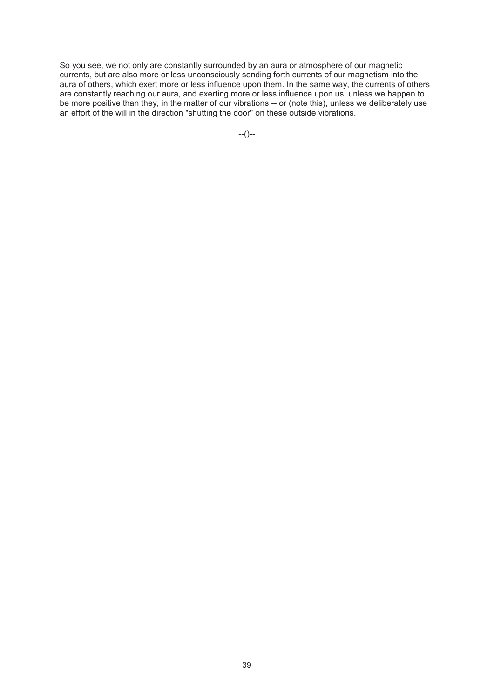So you see, we not only are constantly surrounded by an aura or atmosphere of our magnetic currents, but are also more or less unconsciously sending forth currents of our magnetism into the aura of others, which exert more or less influence upon them. In the same way, the currents of others are constantly reaching our aura, and exerting more or less influence upon us, unless we happen to be more positive than they, in the matter of our vibrations -- or (note this), unless we deliberately use an effort of the will in the direction "shutting the door" on these outside vibrations.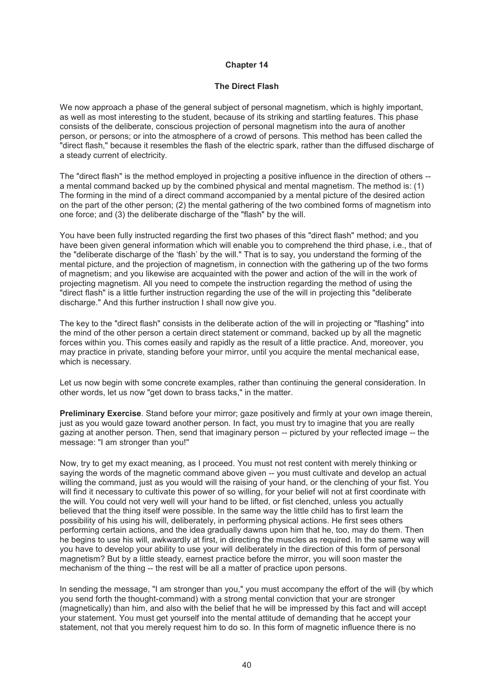#### **The Direct Flash**

We now approach a phase of the general subject of personal magnetism, which is highly important, as well as most interesting to the student, because of its striking and startling features. This phase consists of the deliberate, conscious projection of personal magnetism into the aura of another person, or persons; or into the atmosphere of a crowd of persons. This method has been called the "direct flash," because it resembles the flash of the electric spark, rather than the diffused discharge of a steady current of electricity.

The "direct flash" is the method employed in projecting a positive influence in the direction of others - a mental command backed up by the combined physical and mental magnetism. The method is: (1) The forming in the mind of a direct command accompanied by a mental picture of the desired action on the part of the other person; (2) the mental gathering of the two combined forms of magnetism into one force; and (3) the deliberate discharge of the "flash" by the will.

You have been fully instructed regarding the first two phases of this "direct flash" method; and you have been given general information which will enable you to comprehend the third phase, i.e., that of the "deliberate discharge of the 'flash' by the will." That is to say, you understand the forming of the mental picture, and the projection of magnetism, in connection with the gathering up of the two forms of magnetism; and you likewise are acquainted with the power and action of the will in the work of projecting magnetism. All you need to compete the instruction regarding the method of using the "direct flash" is a little further instruction regarding the use of the will in projecting this "deliberate discharge." And this further instruction I shall now give you.

The key to the "direct flash" consists in the deliberate action of the will in projecting or "flashing" into the mind of the other person a certain direct statement or command, backed up by all the magnetic forces within you. This comes easily and rapidly as the result of a little practice. And, moreover, you may practice in private, standing before your mirror, until you acquire the mental mechanical ease, which is necessary.

Let us now begin with some concrete examples, rather than continuing the general consideration. In other words, let us now "get down to brass tacks," in the matter.

**Preliminary Exercise**. Stand before your mirror; gaze positively and firmly at your own image therein, just as you would gaze toward another person. In fact, you must try to imagine that you are really gazing at another person. Then, send that imaginary person -- pictured by your reflected image -- the message: "I am stronger than you!"

Now, try to get my exact meaning, as I proceed. You must not rest content with merely thinking or saying the words of the magnetic command above given -- you must cultivate and develop an actual willing the command, just as you would will the raising of your hand, or the clenching of your fist. You will find it necessary to cultivate this power of so willing, for your belief will not at first coordinate with the will. You could not very well will your hand to be lifted, or fist clenched, unless you actually believed that the thing itself were possible. In the same way the little child has to first learn the possibility of his using his will, deliberately, in performing physical actions. He first sees others performing certain actions, and the idea gradually dawns upon him that he, too, may do them. Then he begins to use his will, awkwardly at first, in directing the muscles as required. In the same way will you have to develop your ability to use your will deliberately in the direction of this form of personal magnetism? But by a little steady, earnest practice before the mirror, you will soon master the mechanism of the thing -- the rest will be all a matter of practice upon persons.

In sending the message, "I am stronger than you," you must accompany the effort of the will (by which you send forth the thought-command) with a strong mental conviction that your are stronger (magnetically) than him, and also with the belief that he will be impressed by this fact and will accept your statement. You must get yourself into the mental attitude of demanding that he accept your statement, not that you merely request him to do so. In this form of magnetic influence there is no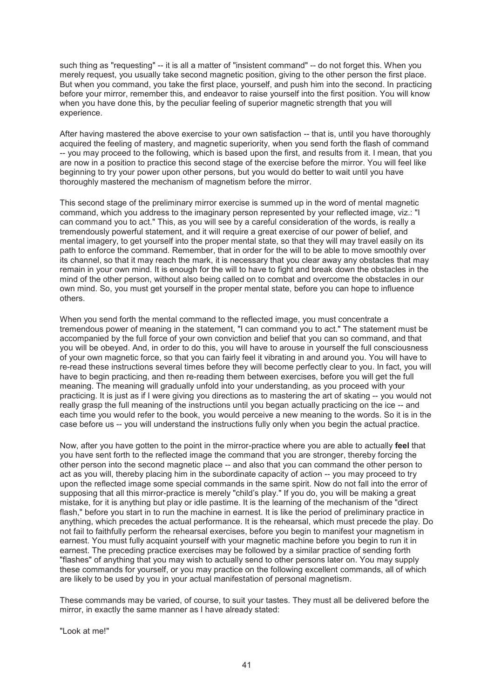such thing as "requesting" -- it is all a matter of "insistent command" -- do not forget this. When you merely request, you usually take second magnetic position, giving to the other person the first place. But when you command, you take the first place, yourself, and push him into the second. In practicing before your mirror, remember this, and endeavor to raise yourself into the first position. You will know when you have done this, by the peculiar feeling of superior magnetic strength that you will experience.

After having mastered the above exercise to your own satisfaction -- that is, until you have thoroughly acquired the feeling of mastery, and magnetic superiority, when you send forth the flash of command -- you may proceed to the following, which is based upon the first, and results from it. I mean, that you are now in a position to practice this second stage of the exercise before the mirror. You will feel like beginning to try your power upon other persons, but you would do better to wait until you have thoroughly mastered the mechanism of magnetism before the mirror.

This second stage of the preliminary mirror exercise is summed up in the word of mental magnetic command, which you address to the imaginary person represented by your reflected image, viz.: "I can command you to act." This, as you will see by a careful consideration of the words, is really a tremendously powerful statement, and it will require a great exercise of our power of belief, and mental imagery, to get yourself into the proper mental state, so that they will may travel easily on its path to enforce the command. Remember, that in order for the will to be able to move smoothly over its channel, so that it may reach the mark, it is necessary that you clear away any obstacles that may remain in your own mind. It is enough for the will to have to fight and break down the obstacles in the mind of the other person, without also being called on to combat and overcome the obstacles in our own mind. So, you must get yourself in the proper mental state, before you can hope to influence others.

When you send forth the mental command to the reflected image, you must concentrate a tremendous power of meaning in the statement, "I can command you to act." The statement must be accompanied by the full force of your own conviction and belief that you can so command, and that you will be obeyed. And, in order to do this, you will have to arouse in yourself the full consciousness of your own magnetic force, so that you can fairly feel it vibrating in and around you. You will have to re-read these instructions several times before they will become perfectly clear to you. In fact, you will have to begin practicing, and then re-reading them between exercises, before you will get the full meaning. The meaning will gradually unfold into your understanding, as you proceed with your practicing. It is just as if I were giving you directions as to mastering the art of skating -- you would not really grasp the full meaning of the instructions until you began actually practicing on the ice -- and each time you would refer to the book, you would perceive a new meaning to the words. So it is in the case before us -- you will understand the instructions fully only when you begin the actual practice.

Now, after you have gotten to the point in the mirror-practice where you are able to actually **feel** that you have sent forth to the reflected image the command that you are stronger, thereby forcing the other person into the second magnetic place -- and also that you can command the other person to act as you will, thereby placing him in the subordinate capacity of action -- you may proceed to try upon the reflected image some special commands in the same spirit. Now do not fall into the error of supposing that all this mirror-practice is merely "child's play." If you do, you will be making a great mistake, for it is anything but play or idle pastime. It is the learning of the mechanism of the "direct flash," before you start in to run the machine in earnest. It is like the period of preliminary practice in anything, which precedes the actual performance. It is the rehearsal, which must precede the play. Do not fail to faithfully perform the rehearsal exercises, before you begin to manifest your magnetism in earnest. You must fully acquaint yourself with your magnetic machine before you begin to run it in earnest. The preceding practice exercises may be followed by a similar practice of sending forth "flashes" of anything that you may wish to actually send to other persons later on. You may supply these commands for yourself, or you may practice on the following excellent commands, all of which are likely to be used by you in your actual manifestation of personal magnetism.

These commands may be varied, of course, to suit your tastes. They must all be delivered before the mirror, in exactly the same manner as I have already stated:

"Look at me!"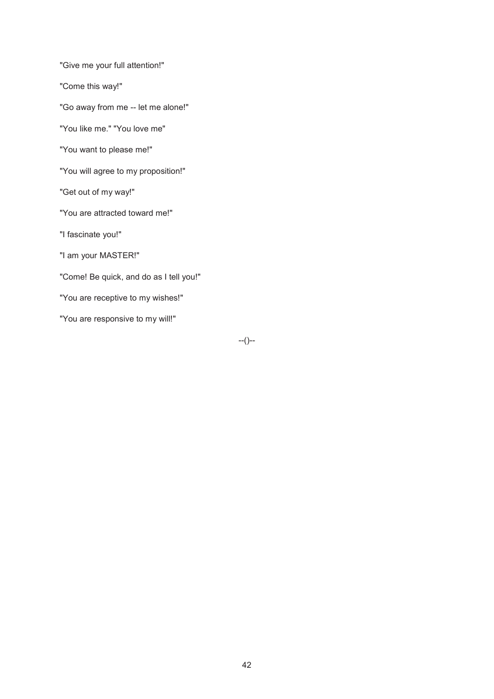"Give me your full attention!"

"Come this way!"

"Go away from me -- let me alone!"

"You like me." "You love me"

"You want to please me!"

"You will agree to my proposition!"

"Get out of my way!"

"You are attracted toward me!"

"I fascinate you!"

"I am your MASTER!"

"Come! Be quick, and do as I tell you!"

"You are receptive to my wishes!"

"You are responsive to my will!"

--()--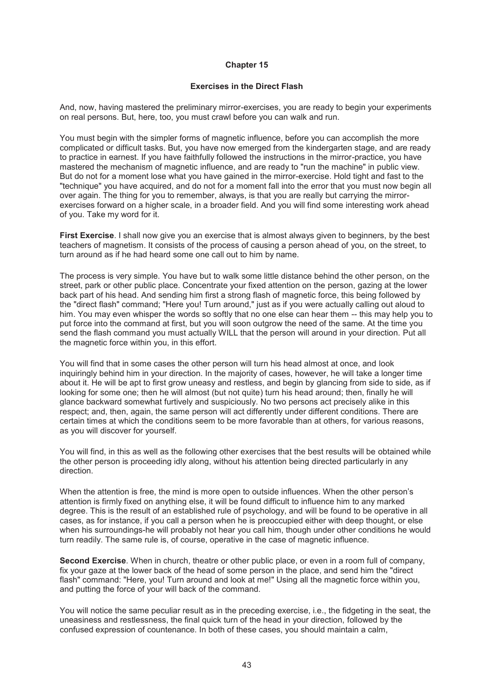#### **Exercises in the Direct Flash**

And, now, having mastered the preliminary mirror-exercises, you are ready to begin your experiments on real persons. But, here, too, you must crawl before you can walk and run.

You must begin with the simpler forms of magnetic influence, before you can accomplish the more complicated or difficult tasks. But, you have now emerged from the kindergarten stage, and are ready to practice in earnest. If you have faithfully followed the instructions in the mirror-practice, you have mastered the mechanism of magnetic influence, and are ready to "run the machine" in public view. But do not for a moment lose what you have gained in the mirror-exercise. Hold tight and fast to the "technique" you have acquired, and do not for a moment fall into the error that you must now begin all over again. The thing for you to remember, always, is that you are really but carrying the mirrorexercises forward on a higher scale, in a broader field. And you will find some interesting work ahead of you. Take my word for it.

**First Exercise**. I shall now give you an exercise that is almost always given to beginners, by the best teachers of magnetism. It consists of the process of causing a person ahead of you, on the street, to turn around as if he had heard some one call out to him by name.

The process is very simple. You have but to walk some little distance behind the other person, on the street, park or other public place. Concentrate your fixed attention on the person, gazing at the lower back part of his head. And sending him first a strong flash of magnetic force, this being followed by the "direct flash" command; "Here you! Turn around," just as if you were actually calling out aloud to him. You may even whisper the words so softly that no one else can hear them -- this may help you to put force into the command at first, but you will soon outgrow the need of the same. At the time you send the flash command you must actually WILL that the person will around in your direction. Put all the magnetic force within you, in this effort.

You will find that in some cases the other person will turn his head almost at once, and look inquiringly behind him in your direction. In the majority of cases, however, he will take a longer time about it. He will be apt to first grow uneasy and restless, and begin by glancing from side to side, as if looking for some one; then he will almost (but not quite) turn his head around; then, finally he will glance backward somewhat furtively and suspiciously. No two persons act precisely alike in this respect; and, then, again, the same person will act differently under different conditions. There are certain times at which the conditions seem to be more favorable than at others, for various reasons, as you will discover for yourself.

You will find, in this as well as the following other exercises that the best results will be obtained while the other person is proceeding idly along, without his attention being directed particularly in any direction.

When the attention is free, the mind is more open to outside influences. When the other person's attention is firmly fixed on anything else, it will be found difficult to influence him to any marked degree. This is the result of an established rule of psychology, and will be found to be operative in all cases, as for instance, if you call a person when he is preoccupied either with deep thought, or else when his surroundings-he will probably not hear you call him, though under other conditions he would turn readily. The same rule is, of course, operative in the case of magnetic influence.

**Second Exercise**. When in church, theatre or other public place, or even in a room full of company, fix your gaze at the lower back of the head of some person in the place, and send him the "direct flash" command: "Here, you! Turn around and look at me!" Using all the magnetic force within you, and putting the force of your will back of the command.

You will notice the same peculiar result as in the preceding exercise, i.e., the fidgeting in the seat, the uneasiness and restlessness, the final quick turn of the head in your direction, followed by the confused expression of countenance. In both of these cases, you should maintain a calm,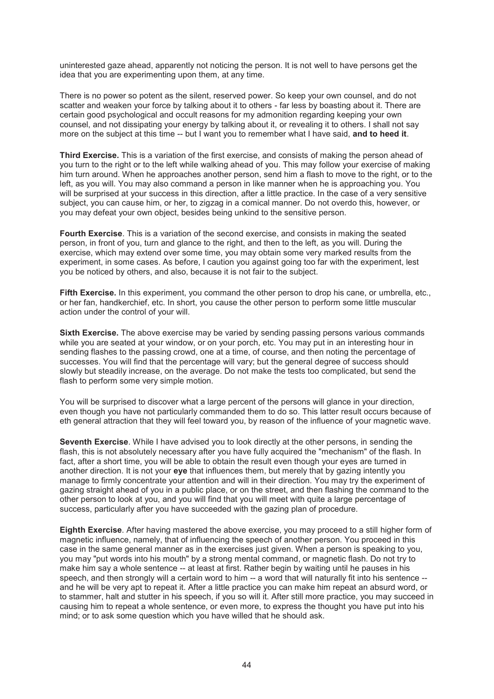uninterested gaze ahead, apparently not noticing the person. It is not well to have persons get the idea that you are experimenting upon them, at any time.

There is no power so potent as the silent, reserved power. So keep your own counsel, and do not scatter and weaken your force by talking about it to others - far less by boasting about it. There are certain good psychological and occult reasons for my admonition regarding keeping your own counsel, and not dissipating your energy by talking about it, or revealing it to others. I shall not say more on the subject at this time -- but I want you to remember what I have said, **and to heed it**.

**Third Exercise.** This is a variation of the first exercise, and consists of making the person ahead of you turn to the right or to the left while walking ahead of you. This may follow your exercise of making him turn around. When he approaches another person, send him a flash to move to the right, or to the left, as you will. You may also command a person in like manner when he is approaching you. You will be surprised at your success in this direction, after a little practice. In the case of a very sensitive subject, you can cause him, or her, to zigzag in a comical manner. Do not overdo this, however, or you may defeat your own object, besides being unkind to the sensitive person.

**Fourth Exercise**. This is a variation of the second exercise, and consists in making the seated person, in front of you, turn and glance to the right, and then to the left, as you will. During the exercise, which may extend over some time, you may obtain some very marked results from the experiment, in some cases. As before, I caution you against going too far with the experiment, lest you be noticed by others, and also, because it is not fair to the subject.

**Fifth Exercise.** In this experiment, you command the other person to drop his cane, or umbrella, etc., or her fan, handkerchief, etc. In short, you cause the other person to perform some little muscular action under the control of your will.

**Sixth Exercise.** The above exercise may be varied by sending passing persons various commands while you are seated at your window, or on your porch, etc. You may put in an interesting hour in sending flashes to the passing crowd, one at a time, of course, and then noting the percentage of successes. You will find that the percentage will vary; but the general degree of success should slowly but steadily increase, on the average. Do not make the tests too complicated, but send the flash to perform some very simple motion.

You will be surprised to discover what a large percent of the persons will glance in your direction, even though you have not particularly commanded them to do so. This latter result occurs because of eth general attraction that they will feel toward you, by reason of the influence of your magnetic wave.

**Seventh Exercise**. While I have advised you to look directly at the other persons, in sending the flash, this is not absolutely necessary after you have fully acquired the "mechanism" of the flash. In fact, after a short time, you will be able to obtain the result even though your eyes are turned in another direction. It is not your **eye** that influences them, but merely that by gazing intently you manage to firmly concentrate your attention and will in their direction. You may try the experiment of gazing straight ahead of you in a public place, or on the street, and then flashing the command to the other person to look at you, and you will find that you will meet with quite a large percentage of success, particularly after you have succeeded with the gazing plan of procedure.

**Eighth Exercise**. After having mastered the above exercise, you may proceed to a still higher form of magnetic influence, namely, that of influencing the speech of another person. You proceed in this case in the same general manner as in the exercises just given. When a person is speaking to you, you may "put words into his mouth" by a strong mental command, or magnetic flash. Do not try to make him say a whole sentence -- at least at first. Rather begin by waiting until he pauses in his speech, and then strongly will a certain word to him -- a word that will naturally fit into his sentence -and he will be very apt to repeat it. After a little practice you can make him repeat an absurd word, or to stammer, halt and stutter in his speech, if you so will it. After still more practice, you may succeed in causing him to repeat a whole sentence, or even more, to express the thought you have put into his mind; or to ask some question which you have willed that he should ask.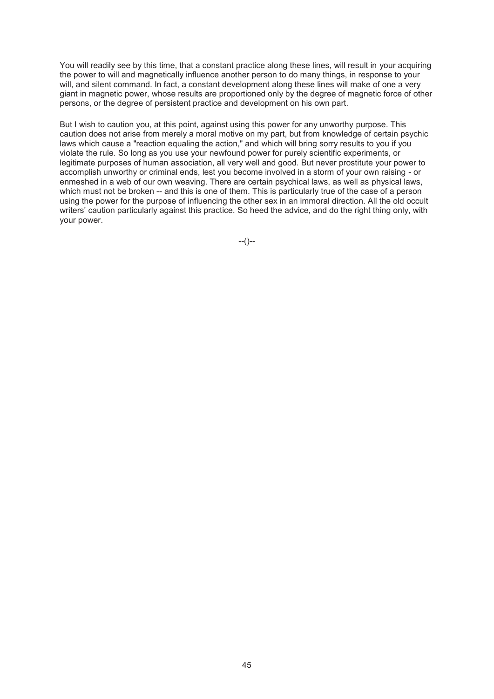You will readily see by this time, that a constant practice along these lines, will result in your acquiring the power to will and magnetically influence another person to do many things, in response to your will, and silent command. In fact, a constant development along these lines will make of one a very giant in magnetic power, whose results are proportioned only by the degree of magnetic force of other persons, or the degree of persistent practice and development on his own part.

But I wish to caution you, at this point, against using this power for any unworthy purpose. This caution does not arise from merely a moral motive on my part, but from knowledge of certain psychic laws which cause a "reaction equaling the action," and which will bring sorry results to you if you violate the rule. So long as you use your newfound power for purely scientific experiments, or legitimate purposes of human association, all very well and good. But never prostitute your power to accomplish unworthy or criminal ends, lest you become involved in a storm of your own raising - or enmeshed in a web of our own weaving. There are certain psychical laws, as well as physical laws, which must not be broken -- and this is one of them. This is particularly true of the case of a person using the power for the purpose of influencing the other sex in an immoral direction. All the old occult writers' caution particularly against this practice. So heed the advice, and do the right thing only, with your power.

 $-(-)$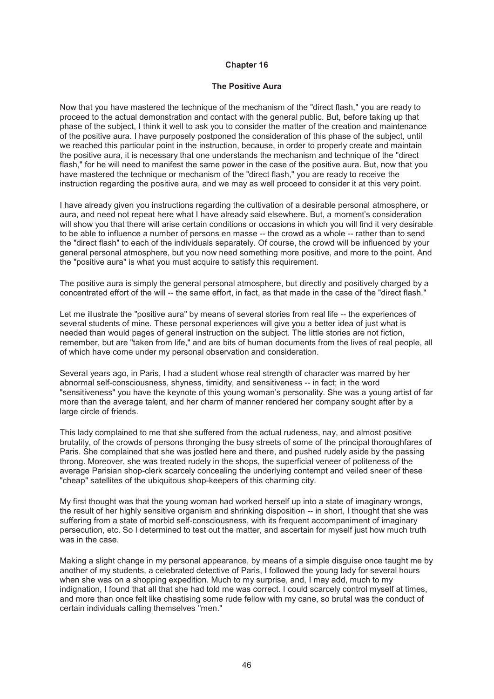#### **The Positive Aura**

Now that you have mastered the technique of the mechanism of the "direct flash," you are ready to proceed to the actual demonstration and contact with the general public. But, before taking up that phase of the subject, I think it well to ask you to consider the matter of the creation and maintenance of the positive aura. I have purposely postponed the consideration of this phase of the subject, until we reached this particular point in the instruction, because, in order to properly create and maintain the positive aura, it is necessary that one understands the mechanism and technique of the "direct flash," for he will need to manifest the same power in the case of the positive aura. But, now that you have mastered the technique or mechanism of the "direct flash," you are ready to receive the instruction regarding the positive aura, and we may as well proceed to consider it at this very point.

I have already given you instructions regarding the cultivation of a desirable personal atmosphere, or aura, and need not repeat here what I have already said elsewhere. But, a moment's consideration will show you that there will arise certain conditions or occasions in which you will find it very desirable to be able to influence a number of persons en masse -- the crowd as a whole -- rather than to send the "direct flash" to each of the individuals separately. Of course, the crowd will be influenced by your general personal atmosphere, but you now need something more positive, and more to the point. And the "positive aura" is what you must acquire to satisfy this requirement.

The positive aura is simply the general personal atmosphere, but directly and positively charged by a concentrated effort of the will -- the same effort, in fact, as that made in the case of the "direct flash."

Let me illustrate the "positive aura" by means of several stories from real life -- the experiences of several students of mine. These personal experiences will give you a better idea of just what is needed than would pages of general instruction on the subject. The little stories are not fiction, remember, but are "taken from life," and are bits of human documents from the lives of real people, all of which have come under my personal observation and consideration.

Several years ago, in Paris, I had a student whose real strength of character was marred by her abnormal self-consciousness, shyness, timidity, and sensitiveness -- in fact; in the word "sensitiveness" you have the keynote of this young woman's personality. She was a young artist of far more than the average talent, and her charm of manner rendered her company sought after by a large circle of friends.

This lady complained to me that she suffered from the actual rudeness, nay, and almost positive brutality, of the crowds of persons thronging the busy streets of some of the principal thoroughfares of Paris. She complained that she was jostled here and there, and pushed rudely aside by the passing throng. Moreover, she was treated rudely in the shops, the superficial veneer of politeness of the average Parisian shop-clerk scarcely concealing the underlying contempt and veiled sneer of these "cheap" satellites of the ubiquitous shop-keepers of this charming city.

My first thought was that the young woman had worked herself up into a state of imaginary wrongs, the result of her highly sensitive organism and shrinking disposition -- in short, I thought that she was suffering from a state of morbid self-consciousness, with its frequent accompaniment of imaginary persecution, etc. So I determined to test out the matter, and ascertain for myself just how much truth was in the case.

Making a slight change in my personal appearance, by means of a simple disguise once taught me by another of my students, a celebrated detective of Paris, I followed the young lady for several hours when she was on a shopping expedition. Much to my surprise, and, I may add, much to my indignation, I found that all that she had told me was correct. I could scarcely control myself at times, and more than once felt like chastising some rude fellow with my cane, so brutal was the conduct of certain individuals calling themselves "men."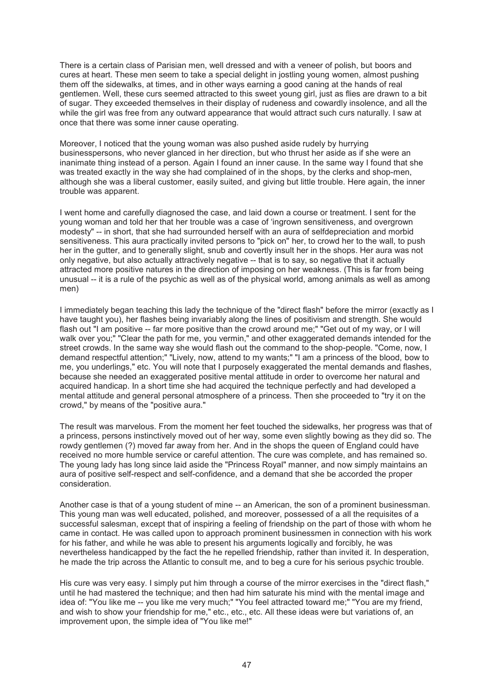There is a certain class of Parisian men, well dressed and with a veneer of polish, but boors and cures at heart. These men seem to take a special delight in jostling young women, almost pushing them off the sidewalks, at times, and in other ways earning a good caning at the hands of real gentlemen. Well, these curs seemed attracted to this sweet young girl, just as flies are drawn to a bit of sugar. They exceeded themselves in their display of rudeness and cowardly insolence, and all the while the girl was free from any outward appearance that would attract such curs naturally. I saw at once that there was some inner cause operating.

Moreover, I noticed that the young woman was also pushed aside rudely by hurrying businesspersons, who never glanced in her direction, but who thrust her aside as if she were an inanimate thing instead of a person. Again I found an inner cause. In the same way I found that she was treated exactly in the way she had complained of in the shops, by the clerks and shop-men, although she was a liberal customer, easily suited, and giving but little trouble. Here again, the inner trouble was apparent.

I went home and carefully diagnosed the case, and laid down a course or treatment. I sent for the young woman and told her that her trouble was a case of 'ingrown sensitiveness, and overgrown modesty" -- in short, that she had surrounded herself with an aura of selfdepreciation and morbid sensitiveness. This aura practically invited persons to "pick on" her, to crowd her to the wall, to push her in the gutter, and to generally slight, snub and covertly insult her in the shops. Her aura was not only negative, but also actually attractively negative -- that is to say, so negative that it actually attracted more positive natures in the direction of imposing on her weakness. (This is far from being unusual -- it is a rule of the psychic as well as of the physical world, among animals as well as among men)

I immediately began teaching this lady the technique of the "direct flash" before the mirror (exactly as I have taught you), her flashes being invariably along the lines of positivism and strength. She would flash out "I am positive -- far more positive than the crowd around me;" "Get out of my way, or I will walk over you;" "Clear the path for me, you vermin," and other exaggerated demands intended for the street crowds. In the same way she would flash out the command to the shop-people. "Come, now, I demand respectful attention;" "Lively, now, attend to my wants;" "I am a princess of the blood, bow to me, you underlings," etc. You will note that I purposely exaggerated the mental demands and flashes, because she needed an exaggerated positive mental attitude in order to overcome her natural and acquired handicap. In a short time she had acquired the technique perfectly and had developed a mental attitude and general personal atmosphere of a princess. Then she proceeded to "try it on the crowd," by means of the "positive aura."

The result was marvelous. From the moment her feet touched the sidewalks, her progress was that of a princess, persons instinctively moved out of her way, some even slightly bowing as they did so. The rowdy gentlemen (?) moved far away from her. And in the shops the queen of England could have received no more humble service or careful attention. The cure was complete, and has remained so. The young lady has long since laid aside the "Princess Royal" manner, and now simply maintains an aura of positive self-respect and self-confidence, and a demand that she be accorded the proper consideration.

Another case is that of a young student of mine -- an American, the son of a prominent businessman. This young man was well educated, polished, and moreover, possessed of a all the requisites of a successful salesman, except that of inspiring a feeling of friendship on the part of those with whom he came in contact. He was called upon to approach prominent businessmen in connection with his work for his father, and while he was able to present his arguments logically and forcibly, he was nevertheless handicapped by the fact the he repelled friendship, rather than invited it. In desperation, he made the trip across the Atlantic to consult me, and to beg a cure for his serious psychic trouble.

His cure was very easy. I simply put him through a course of the mirror exercises in the "direct flash," until he had mastered the technique; and then had him saturate his mind with the mental image and idea of: "You like me -- you like me very much;" "You feel attracted toward me;" "You are my friend, and wish to show your friendship for me," etc., etc., etc. All these ideas were but variations of, an improvement upon, the simple idea of "You like me!"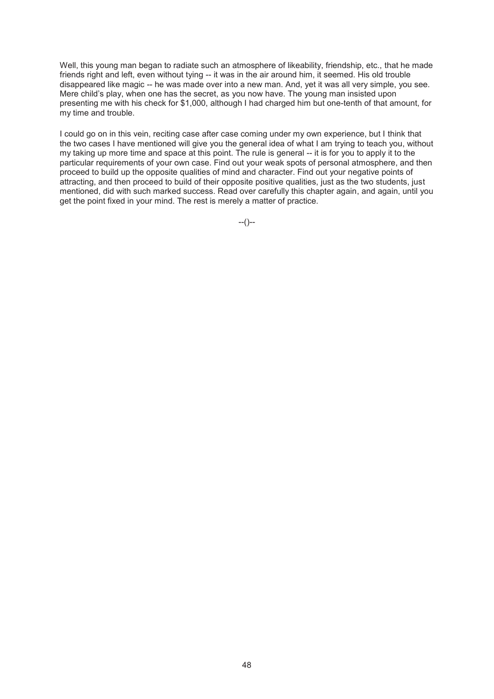Well, this young man began to radiate such an atmosphere of likeability, friendship, etc., that he made friends right and left, even without tying -- it was in the air around him, it seemed. His old trouble disappeared like magic -- he was made over into a new man. And, yet it was all very simple, you see. Mere child's play, when one has the secret, as you now have. The young man insisted upon presenting me with his check for \$1,000, although I had charged him but one-tenth of that amount, for my time and trouble.

I could go on in this vein, reciting case after case coming under my own experience, but I think that the two cases I have mentioned will give you the general idea of what I am trying to teach you, without my taking up more time and space at this point. The rule is general -- it is for you to apply it to the particular requirements of your own case. Find out your weak spots of personal atmosphere, and then proceed to build up the opposite qualities of mind and character. Find out your negative points of attracting, and then proceed to build of their opposite positive qualities, just as the two students, just mentioned, did with such marked success. Read over carefully this chapter again, and again, until you get the point fixed in your mind. The rest is merely a matter of practice.

--()--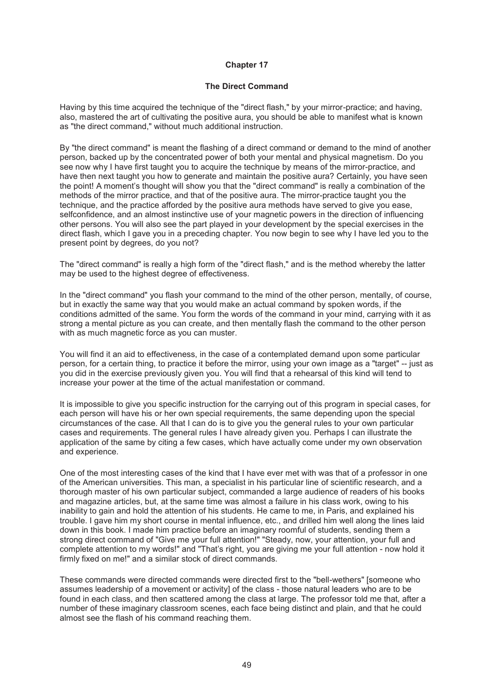#### **The Direct Command**

Having by this time acquired the technique of the "direct flash," by your mirror-practice; and having, also, mastered the art of cultivating the positive aura, you should be able to manifest what is known as "the direct command," without much additional instruction.

By "the direct command" is meant the flashing of a direct command or demand to the mind of another person, backed up by the concentrated power of both your mental and physical magnetism. Do you see now why I have first taught you to acquire the technique by means of the mirror-practice, and have then next taught you how to generate and maintain the positive aura? Certainly, you have seen the point! A moment's thought will show you that the "direct command" is really a combination of the methods of the mirror practice, and that of the positive aura. The mirror-practice taught you the technique, and the practice afforded by the positive aura methods have served to give you ease, selfconfidence, and an almost instinctive use of your magnetic powers in the direction of influencing other persons. You will also see the part played in your development by the special exercises in the direct flash, which I gave you in a preceding chapter. You now begin to see why I have led you to the present point by degrees, do you not?

The "direct command" is really a high form of the "direct flash," and is the method whereby the latter may be used to the highest degree of effectiveness.

In the "direct command" you flash your command to the mind of the other person, mentally, of course, but in exactly the same way that you would make an actual command by spoken words, if the conditions admitted of the same. You form the words of the command in your mind, carrying with it as strong a mental picture as you can create, and then mentally flash the command to the other person with as much magnetic force as you can muster.

You will find it an aid to effectiveness, in the case of a contemplated demand upon some particular person, for a certain thing, to practice it before the mirror, using your own image as a "target" -- just as you did in the exercise previously given you. You will find that a rehearsal of this kind will tend to increase your power at the time of the actual manifestation or command.

It is impossible to give you specific instruction for the carrying out of this program in special cases, for each person will have his or her own special requirements, the same depending upon the special circumstances of the case. All that I can do is to give you the general rules to your own particular cases and requirements. The general rules I have already given you. Perhaps I can illustrate the application of the same by citing a few cases, which have actually come under my own observation and experience.

One of the most interesting cases of the kind that I have ever met with was that of a professor in one of the American universities. This man, a specialist in his particular line of scientific research, and a thorough master of his own particular subject, commanded a large audience of readers of his books and magazine articles, but, at the same time was almost a failure in his class work, owing to his inability to gain and hold the attention of his students. He came to me, in Paris, and explained his trouble. I gave him my short course in mental influence, etc., and drilled him well along the lines laid down in this book. I made him practice before an imaginary roomful of students, sending them a strong direct command of "Give me your full attention!" "Steady, now, your attention, your full and complete attention to my words!" and "That's right, you are giving me your full attention - now hold it firmly fixed on me!" and a similar stock of direct commands.

These commands were directed commands were directed first to the "bell-wethers" [someone who assumes leadership of a movement or activity] of the class - those natural leaders who are to be found in each class, and then scattered among the class at large. The professor told me that, after a number of these imaginary classroom scenes, each face being distinct and plain, and that he could almost see the flash of his command reaching them.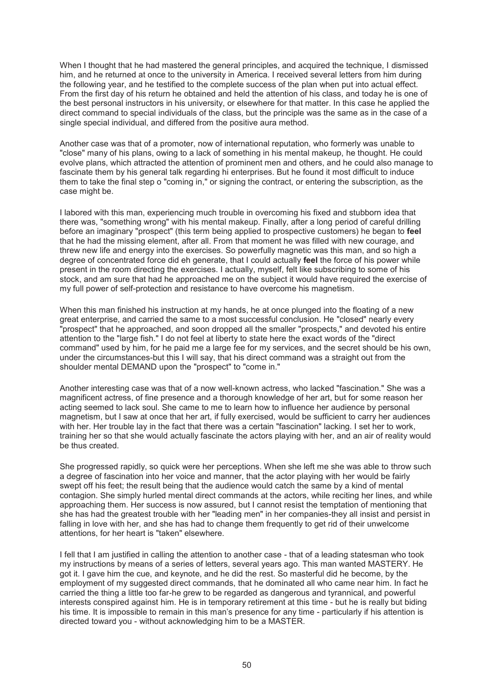When I thought that he had mastered the general principles, and acquired the technique, I dismissed him, and he returned at once to the university in America. I received several letters from him during the following year, and he testified to the complete success of the plan when put into actual effect. From the first day of his return he obtained and held the attention of his class, and today he is one of the best personal instructors in his university, or elsewhere for that matter. In this case he applied the direct command to special individuals of the class, but the principle was the same as in the case of a single special individual, and differed from the positive aura method.

Another case was that of a promoter, now of international reputation, who formerly was unable to "close" many of his plans, owing to a lack of something in his mental makeup, he thought. He could evolve plans, which attracted the attention of prominent men and others, and he could also manage to fascinate them by his general talk regarding hi enterprises. But he found it most difficult to induce them to take the final step o "coming in," or signing the contract, or entering the subscription, as the case might be.

I labored with this man, experiencing much trouble in overcoming his fixed and stubborn idea that there was, "something wrong" with his mental makeup. Finally, after a long period of careful drilling before an imaginary "prospect" (this term being applied to prospective customers) he began to **feel**  that he had the missing element, after all. From that moment he was filled with new courage, and threw new life and energy into the exercises. So powerfully magnetic was this man, and so high a degree of concentrated force did eh generate, that I could actually **feel** the force of his power while present in the room directing the exercises. I actually, myself, felt like subscribing to some of his stock, and am sure that had he approached me on the subject it would have required the exercise of my full power of self-protection and resistance to have overcome his magnetism.

When this man finished his instruction at my hands, he at once plunged into the floating of a new great enterprise, and carried the same to a most successful conclusion. He "closed" nearly every "prospect" that he approached, and soon dropped all the smaller "prospects," and devoted his entire attention to the "large fish." I do not feel at liberty to state here the exact words of the "direct command" used by him, for he paid me a large fee for my services, and the secret should be his own, under the circumstances-but this I will say, that his direct command was a straight out from the shoulder mental DEMAND upon the "prospect" to "come in."

Another interesting case was that of a now well-known actress, who lacked "fascination." She was a magnificent actress, of fine presence and a thorough knowledge of her art, but for some reason her acting seemed to lack soul. She came to me to learn how to influence her audience by personal magnetism, but I saw at once that her art, if fully exercised, would be sufficient to carry her audiences with her. Her trouble lay in the fact that there was a certain "fascination" lacking. I set her to work, training her so that she would actually fascinate the actors playing with her, and an air of reality would be thus created.

She progressed rapidly, so quick were her perceptions. When she left me she was able to throw such a degree of fascination into her voice and manner, that the actor playing with her would be fairly swept off his feet; the result being that the audience would catch the same by a kind of mental contagion. She simply hurled mental direct commands at the actors, while reciting her lines, and while approaching them. Her success is now assured, but I cannot resist the temptation of mentioning that she has had the greatest trouble with her "leading men" in her companies-they all insist and persist in falling in love with her, and she has had to change them frequently to get rid of their unwelcome attentions, for her heart is "taken" elsewhere.

I fell that I am justified in calling the attention to another case - that of a leading statesman who took my instructions by means of a series of letters, several years ago. This man wanted MASTERY. He got it. I gave him the cue, and keynote, and he did the rest. So masterful did he become, by the employment of my suggested direct commands, that he dominated all who came near him. In fact he carried the thing a little too far-he grew to be regarded as dangerous and tyrannical, and powerful interests conspired against him. He is in temporary retirement at this time - but he is really but biding his time. It is impossible to remain in this man's presence for any time - particularly if his attention is directed toward you - without acknowledging him to be a MASTER.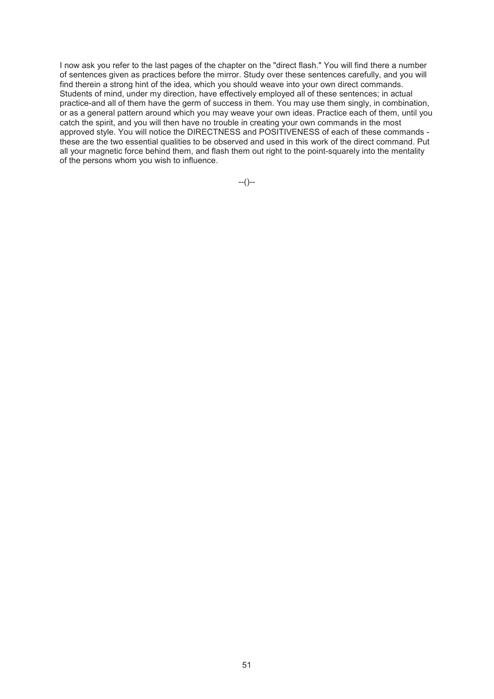I now ask you refer to the last pages of the chapter on the "direct flash." You will find there a number of sentences given as practices before the mirror. Study over these sentences carefully, and you will find therein a strong hint of the idea, which you should weave into your own direct commands. Students of mind, under my direction, have effectively employed all of these sentences; in actual practice-and all of them have the germ of success in them. You may use them singly, in combination, or as a general pattern around which you may weave your own ideas. Practice each of them, until you catch the spirit, and you will then have no trouble in creating your own commands in the most approved style. You will notice the DIRECTNESS and POSITIVENESS of each of these commands these are the two essential qualities to be observed and used in this work of the direct command. Put all your magnetic force behind them, and flash them out right to the point-squarely into the mentality of the persons whom you wish to influence.

 $-(-)$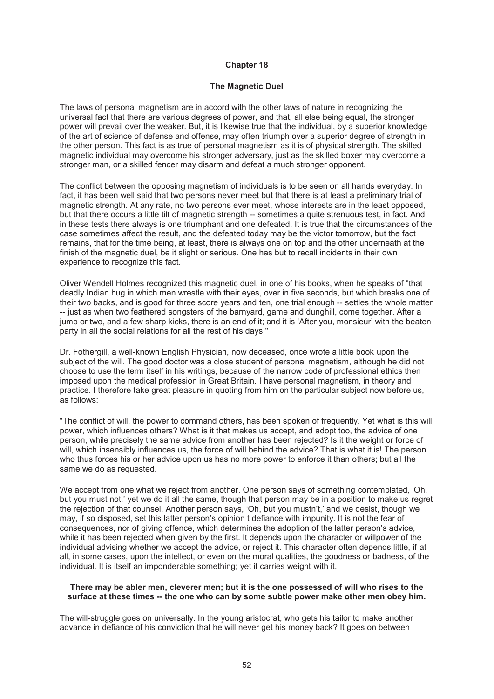#### **The Magnetic Duel**

The laws of personal magnetism are in accord with the other laws of nature in recognizing the universal fact that there are various degrees of power, and that, all else being equal, the stronger power will prevail over the weaker. But, it is likewise true that the individual, by a superior knowledge of the art of science of defense and offense, may often triumph over a superior degree of strength in the other person. This fact is as true of personal magnetism as it is of physical strength. The skilled magnetic individual may overcome his stronger adversary, just as the skilled boxer may overcome a stronger man, or a skilled fencer may disarm and defeat a much stronger opponent.

The conflict between the opposing magnetism of individuals is to be seen on all hands everyday. In fact, it has been well said that two persons never meet but that there is at least a preliminary trial of magnetic strength. At any rate, no two persons ever meet, whose interests are in the least opposed, but that there occurs a little tilt of magnetic strength -- sometimes a quite strenuous test, in fact. And in these tests there always is one triumphant and one defeated. It is true that the circumstances of the case sometimes affect the result, and the defeated today may be the victor tomorrow, but the fact remains, that for the time being, at least, there is always one on top and the other underneath at the finish of the magnetic duel, be it slight or serious. One has but to recall incidents in their own experience to recognize this fact.

Oliver Wendell Holmes recognized this magnetic duel, in one of his books, when he speaks of "that deadly Indian hug in which men wrestle with their eyes, over in five seconds, but which breaks one of their two backs, and is good for three score years and ten, one trial enough -- settles the whole matter -- just as when two feathered songsters of the barnyard, game and dunghill, come together. After a jump or two, and a few sharp kicks, there is an end of it; and it is 'After you, monsieur' with the beaten party in all the social relations for all the rest of his days."

Dr. Fothergill, a well-known English Physician, now deceased, once wrote a little book upon the subject of the will. The good doctor was a close student of personal magnetism, although he did not choose to use the term itself in his writings, because of the narrow code of professional ethics then imposed upon the medical profession in Great Britain. I have personal magnetism, in theory and practice. I therefore take great pleasure in quoting from him on the particular subject now before us, as follows:

"The conflict of will, the power to command others, has been spoken of frequently. Yet what is this will power, which influences others? What is it that makes us accept, and adopt too, the advice of one person, while precisely the same advice from another has been rejected? Is it the weight or force of will, which insensibly influences us, the force of will behind the advice? That is what it is! The person who thus forces his or her advice upon us has no more power to enforce it than others; but all the same we do as requested.

We accept from one what we reject from another. One person says of something contemplated, 'Oh, but you must not,' yet we do it all the same, though that person may be in a position to make us regret the rejection of that counsel. Another person says, 'Oh, but you mustn't,' and we desist, though we may, if so disposed, set this latter person's opinion t defiance with impunity. It is not the fear of consequences, nor of giving offence, which determines the adoption of the latter person's advice, while it has been rejected when given by the first. It depends upon the character or willpower of the individual advising whether we accept the advice, or reject it. This character often depends little, if at all, in some cases, upon the intellect, or even on the moral qualities, the goodness or badness, of the individual. It is itself an imponderable something; yet it carries weight with it.

#### **There may be abler men, cleverer men; but it is the one possessed of will who rises to the surface at these times -- the one who can by some subtle power make other men obey him.**

The will-struggle goes on universally. In the young aristocrat, who gets his tailor to make another advance in defiance of his conviction that he will never get his money back? It goes on between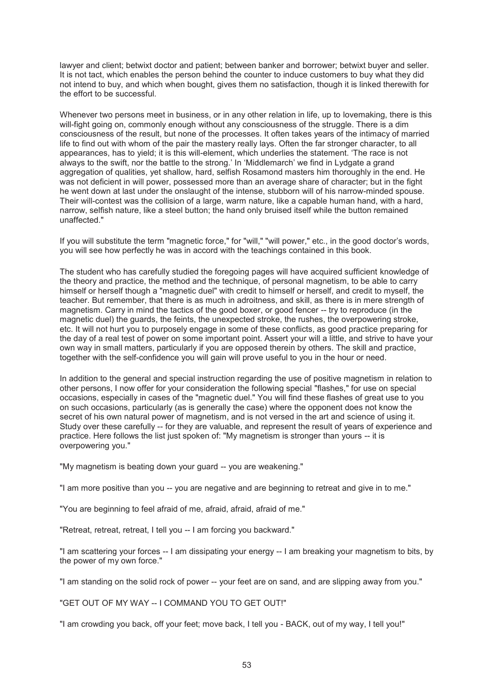lawyer and client; betwixt doctor and patient; between banker and borrower; betwixt buyer and seller. It is not tact, which enables the person behind the counter to induce customers to buy what they did not intend to buy, and which when bought, gives them no satisfaction, though it is linked therewith for the effort to be successful.

Whenever two persons meet in business, or in any other relation in life, up to lovemaking, there is this will-fight going on, commonly enough without any consciousness of the struggle. There is a dim consciousness of the result, but none of the processes. It often takes years of the intimacy of married life to find out with whom of the pair the mastery really lays. Often the far stronger character, to all appearances, has to yield; it is this will-element, which underlies the statement. 'The race is not always to the swift, nor the battle to the strong.' In 'Middlemarch' we find in Lydgate a grand aggregation of qualities, yet shallow, hard, selfish Rosamond masters him thoroughly in the end. He was not deficient in will power, possessed more than an average share of character; but in the fight he went down at last under the onslaught of the intense, stubborn will of his narrow-minded spouse. Their will-contest was the collision of a large, warm nature, like a capable human hand, with a hard, narrow, selfish nature, like a steel button; the hand only bruised itself while the button remained unaffected."

If you will substitute the term "magnetic force," for "will," "will power," etc., in the good doctor's words, you will see how perfectly he was in accord with the teachings contained in this book.

The student who has carefully studied the foregoing pages will have acquired sufficient knowledge of the theory and practice, the method and the technique, of personal magnetism, to be able to carry himself or herself though a "magnetic duel" with credit to himself or herself, and credit to myself, the teacher. But remember, that there is as much in adroitness, and skill, as there is in mere strength of magnetism. Carry in mind the tactics of the good boxer, or good fencer -- try to reproduce (in the magnetic duel) the guards, the feints, the unexpected stroke, the rushes, the overpowering stroke, etc. It will not hurt you to purposely engage in some of these conflicts, as good practice preparing for the day of a real test of power on some important point. Assert your will a little, and strive to have your own way in small matters, particularly if you are opposed therein by others. The skill and practice, together with the self-confidence you will gain will prove useful to you in the hour or need.

In addition to the general and special instruction regarding the use of positive magnetism in relation to other persons, I now offer for your consideration the following special "flashes," for use on special occasions, especially in cases of the "magnetic duel." You will find these flashes of great use to you on such occasions, particularly (as is generally the case) where the opponent does not know the secret of his own natural power of magnetism, and is not versed in the art and science of using it. Study over these carefully -- for they are valuable, and represent the result of years of experience and practice. Here follows the list just spoken of: "My magnetism is stronger than yours -- it is overpowering you."

"My magnetism is beating down your guard -- you are weakening."

"I am more positive than you -- you are negative and are beginning to retreat and give in to me."

"You are beginning to feel afraid of me, afraid, afraid, afraid of me."

"Retreat, retreat, retreat, I tell you -- I am forcing you backward."

"I am scattering your forces -- I am dissipating your energy -- I am breaking your magnetism to bits, by the power of my own force."

"I am standing on the solid rock of power -- your feet are on sand, and are slipping away from you."

"GET OUT OF MY WAY -- I COMMAND YOU TO GET OUT!"

"I am crowding you back, off your feet; move back, I tell you - BACK, out of my way, I tell you!"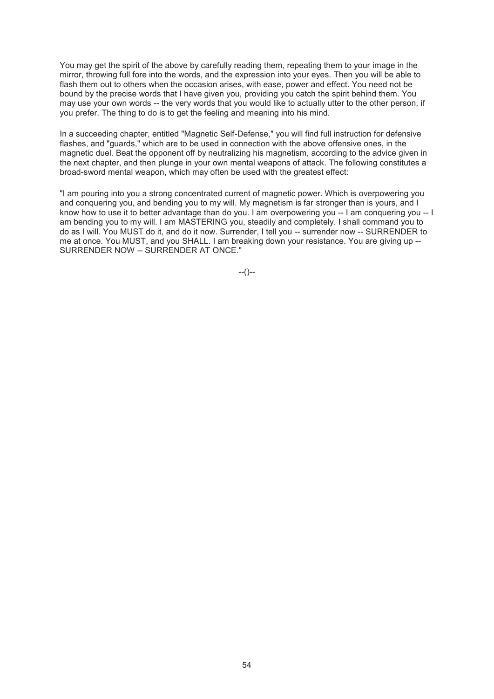You may get the spirit of the above by carefully reading them, repeating them to your image in the mirror, throwing full fore into the words, and the expression into your eyes. Then you will be able to flash them out to others when the occasion arises, with ease, power and effect. You need not be bound by the precise words that I have given you, providing you catch the spirit behind them. You may use your own words -- the very words that you would like to actually utter to the other person, if you prefer. The thing to do is to get the feeling and meaning into his mind.

In a succeeding chapter, entitled "Magnetic Self-Defense," you will find full instruction for defensive flashes, and "guards," which are to be used in connection with the above offensive ones, in the magnetic duel. Beat the opponent off by neutralizing his magnetism, according to the advice given in the next chapter, and then plunge in your own mental weapons of attack. The following constitutes a broad-sword mental weapon, which may often be used with the greatest effect:

"I am pouring into you a strong concentrated current of magnetic power. Which is overpowering you and conquering you, and bending you to my will. My magnetism is far stronger than is yours, and I know how to use it to better advantage than do you. I am overpowering you -- I am conquering you -- I am bending you to my will. I am MASTERING you, steadily and completely. I shall command you to do as I will. You MUST do it, and do it now. Surrender, I tell you -- surrender now -- SURRENDER to me at once. You MUST, and you SHALL. I am breaking down your resistance. You are giving up -- SURRENDER NOW -- SURRENDER AT ONCE."

 $-(-)$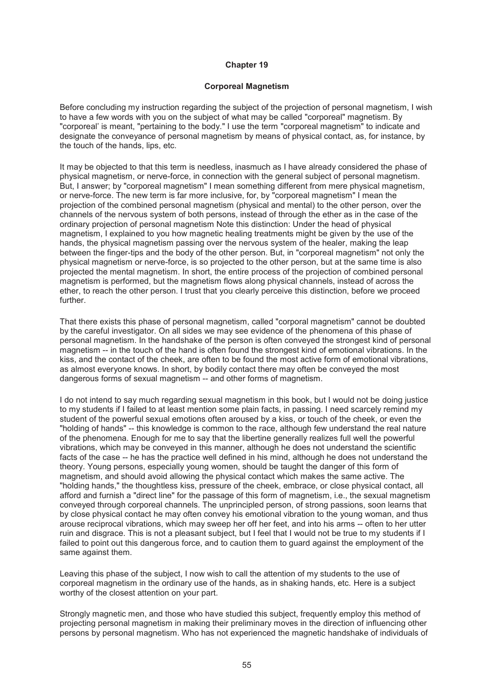#### **Corporeal Magnetism**

Before concluding my instruction regarding the subject of the projection of personal magnetism, I wish to have a few words with you on the subject of what may be called "corporeal" magnetism. By "corporeal' is meant, "pertaining to the body." I use the term "corporeal magnetism" to indicate and designate the conveyance of personal magnetism by means of physical contact, as, for instance, by the touch of the hands, lips, etc.

It may be objected to that this term is needless, inasmuch as I have already considered the phase of physical magnetism, or nerve-force, in connection with the general subject of personal magnetism. But, I answer; by "corporeal magnetism" I mean something different from mere physical magnetism, or nerve-force. The new term is far more inclusive, for, by "corporeal magnetism" I mean the projection of the combined personal magnetism (physical and mental) to the other person, over the channels of the nervous system of both persons, instead of through the ether as in the case of the ordinary projection of personal magnetism Note this distinction: Under the head of physical magnetism, I explained to you how magnetic healing treatments might be given by the use of the hands, the physical magnetism passing over the nervous system of the healer, making the leap between the finger-tips and the body of the other person. But, in "corporeal magnetism" not only the physical magnetism or nerve-force, is so projected to the other person, but at the same time is also projected the mental magnetism. In short, the entire process of the projection of combined personal magnetism is performed, but the magnetism flows along physical channels, instead of across the ether, to reach the other person. I trust that you clearly perceive this distinction, before we proceed further.

That there exists this phase of personal magnetism, called "corporal magnetism" cannot be doubted by the careful investigator. On all sides we may see evidence of the phenomena of this phase of personal magnetism. In the handshake of the person is often conveyed the strongest kind of personal magnetism -- in the touch of the hand is often found the strongest kind of emotional vibrations. In the kiss, and the contact of the cheek, are often to be found the most active form of emotional vibrations, as almost everyone knows. In short, by bodily contact there may often be conveyed the most dangerous forms of sexual magnetism -- and other forms of magnetism.

I do not intend to say much regarding sexual magnetism in this book, but I would not be doing justice to my students if I failed to at least mention some plain facts, in passing. I need scarcely remind my student of the powerful sexual emotions often aroused by a kiss, or touch of the cheek, or even the "holding of hands" -- this knowledge is common to the race, although few understand the real nature of the phenomena. Enough for me to say that the libertine generally realizes full well the powerful vibrations, which may be conveyed in this manner, although he does not understand the scientific facts of the case -- he has the practice well defined in his mind, although he does not understand the theory. Young persons, especially young women, should be taught the danger of this form of magnetism, and should avoid allowing the physical contact which makes the same active. The "holding hands," the thoughtless kiss, pressure of the cheek, embrace, or close physical contact, all afford and furnish a "direct line" for the passage of this form of magnetism, i.e., the sexual magnetism conveyed through corporeal channels. The unprincipled person, of strong passions, soon learns that by close physical contact he may often convey his emotional vibration to the young woman, and thus arouse reciprocal vibrations, which may sweep her off her feet, and into his arms -- often to her utter ruin and disgrace. This is not a pleasant subject, but I feel that I would not be true to my students if I failed to point out this dangerous force, and to caution them to guard against the employment of the same against them.

Leaving this phase of the subject, I now wish to call the attention of my students to the use of corporeal magnetism in the ordinary use of the hands, as in shaking hands, etc. Here is a subject worthy of the closest attention on your part.

Strongly magnetic men, and those who have studied this subject, frequently employ this method of projecting personal magnetism in making their preliminary moves in the direction of influencing other persons by personal magnetism. Who has not experienced the magnetic handshake of individuals of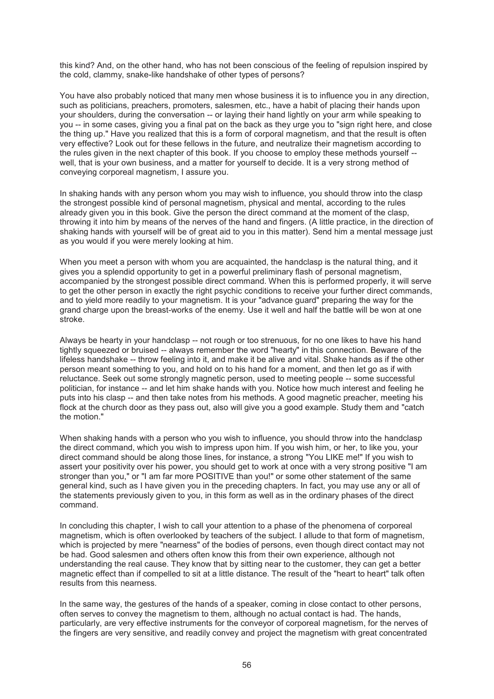this kind? And, on the other hand, who has not been conscious of the feeling of repulsion inspired by the cold, clammy, snake-like handshake of other types of persons?

You have also probably noticed that many men whose business it is to influence you in any direction, such as politicians, preachers, promoters, salesmen, etc., have a habit of placing their hands upon your shoulders, during the conversation -- or laying their hand lightly on your arm while speaking to you -- in some cases, giving you a final pat on the back as they urge you to "sign right here, and close the thing up." Have you realized that this is a form of corporal magnetism, and that the result is often very effective? Look out for these fellows in the future, and neutralize their magnetism according to the rules given in the next chapter of this book. If you choose to employ these methods yourself - well, that is your own business, and a matter for yourself to decide. It is a very strong method of conveying corporeal magnetism, I assure you.

In shaking hands with any person whom you may wish to influence, you should throw into the clasp the strongest possible kind of personal magnetism, physical and mental, according to the rules already given you in this book. Give the person the direct command at the moment of the clasp, throwing it into him by means of the nerves of the hand and fingers. (A little practice, in the direction of shaking hands with yourself will be of great aid to you in this matter). Send him a mental message just as you would if you were merely looking at him.

When you meet a person with whom you are acquainted, the handclasp is the natural thing, and it gives you a splendid opportunity to get in a powerful preliminary flash of personal magnetism, accompanied by the strongest possible direct command. When this is performed properly, it will serve to get the other person in exactly the right psychic conditions to receive your further direct commands, and to yield more readily to your magnetism. It is your "advance guard" preparing the way for the grand charge upon the breast-works of the enemy. Use it well and half the battle will be won at one stroke.

Always be hearty in your handclasp -- not rough or too strenuous, for no one likes to have his hand tightly squeezed or bruised -- always remember the word "hearty" in this connection. Beware of the lifeless handshake -- throw feeling into it, and make it be alive and vital. Shake hands as if the other person meant something to you, and hold on to his hand for a moment, and then let go as if with reluctance. Seek out some strongly magnetic person, used to meeting people -- some successful politician, for instance -- and let him shake hands with you. Notice how much interest and feeling he puts into his clasp -- and then take notes from his methods. A good magnetic preacher, meeting his flock at the church door as they pass out, also will give you a good example. Study them and "catch the motion."

When shaking hands with a person who you wish to influence, you should throw into the handclasp the direct command, which you wish to impress upon him. If you wish him, or her, to like you, your direct command should be along those lines, for instance, a strong "You LIKE me!" If you wish to assert your positivity over his power, you should get to work at once with a very strong positive "I am stronger than you," or "I am far more POSITIVE than you!" or some other statement of the same general kind, such as I have given you in the preceding chapters. In fact, you may use any or all of the statements previously given to you, in this form as well as in the ordinary phases of the direct command.

In concluding this chapter, I wish to call your attention to a phase of the phenomena of corporeal magnetism, which is often overlooked by teachers of the subject. I allude to that form of magnetism, which is projected by mere "nearness" of the bodies of persons, even though direct contact may not be had. Good salesmen and others often know this from their own experience, although not understanding the real cause. They know that by sitting near to the customer, they can get a better magnetic effect than if compelled to sit at a little distance. The result of the "heart to heart" talk often results from this nearness.

In the same way, the gestures of the hands of a speaker, coming in close contact to other persons, often serves to convey the magnetism to them, although no actual contact is had. The hands, particularly, are very effective instruments for the conveyor of corporeal magnetism, for the nerves of the fingers are very sensitive, and readily convey and project the magnetism with great concentrated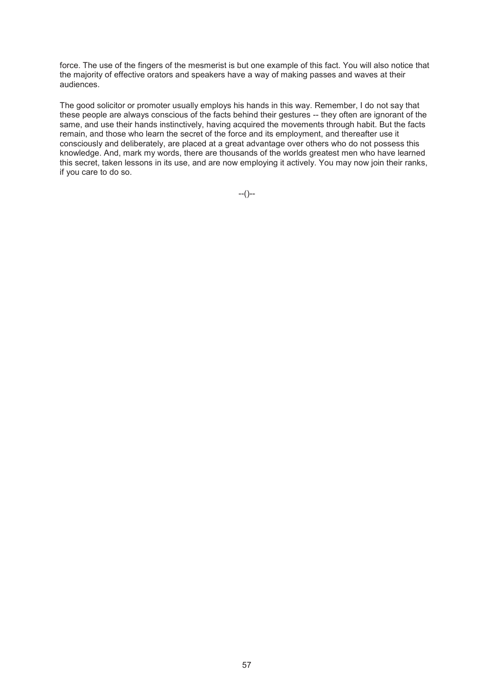force. The use of the fingers of the mesmerist is but one example of this fact. You will also notice that the majority of effective orators and speakers have a way of making passes and waves at their audiences.

The good solicitor or promoter usually employs his hands in this way. Remember, I do not say that these people are always conscious of the facts behind their gestures -- they often are ignorant of the same, and use their hands instinctively, having acquired the movements through habit. But the facts remain, and those who learn the secret of the force and its employment, and thereafter use it consciously and deliberately, are placed at a great advantage over others who do not possess this knowledge. And, mark my words, there are thousands of the worlds greatest men who have learned this secret, taken lessons in its use, and are now employing it actively. You may now join their ranks, if you care to do so.

--()--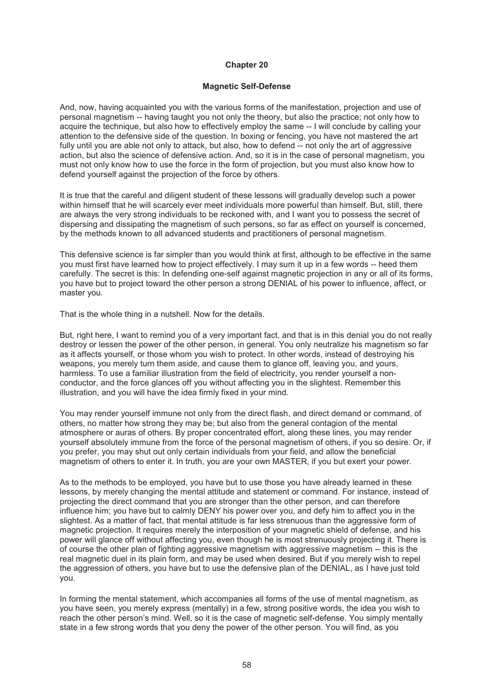#### **Magnetic Self-Defense**

And, now, having acquainted you with the various forms of the manifestation, projection and use of personal magnetism -- having taught you not only the theory, but also the practice; not only how to acquire the technique, but also how to effectively employ the same -- I will conclude by calling your attention to the defensive side of the question. In boxing or fencing, you have not mastered the art fully until you are able not only to attack, but also, how to defend -- not only the art of aggressive action, but also the science of defensive action. And, so it is in the case of personal magnetism, you must not only know how to use the force in the form of projection, but you must also know how to defend yourself against the projection of the force by others.

It is true that the careful and diligent student of these lessons will gradually develop such a power within himself that he will scarcely ever meet individuals more powerful than himself. But, still, there are always the very strong individuals to be reckoned with, and I want you to possess the secret of dispersing and dissipating the magnetism of such persons, so far as effect on yourself is concerned, by the methods known to all advanced students and practitioners of personal magnetism.

This defensive science is far simpler than you would think at first, although to be effective in the same you must first have learned how to project effectively. I may sum it up in a few words -- heed them carefully. The secret is this: In defending one-self against magnetic projection in any or all of its forms, you have but to project toward the other person a strong DENIAL of his power to influence, affect, or master you.

That is the whole thing in a nutshell. Now for the details.

But, right here, I want to remind you of a very important fact, and that is in this denial you do not really destroy or lessen the power of the other person, in general. You only neutralize his magnetism so far as it affects yourself, or those whom you wish to protect. In other words, instead of destroying his weapons, you merely turn them aside, and cause them to glance off, leaving you, and yours, harmless. To use a familiar illustration from the field of electricity, you render yourself a nonconductor, and the force glances off you without affecting you in the slightest. Remember this illustration, and you will have the idea firmly fixed in your mind.

You may render yourself immune not only from the direct flash, and direct demand or command, of others, no matter how strong they may be; but also from the general contagion of the mental atmosphere or auras of others. By proper concentrated effort, along these lines, you may render yourself absolutely immune from the force of the personal magnetism of others, if you so desire. Or, if you prefer, you may shut out only certain individuals from your field, and allow the beneficial magnetism of others to enter it. In truth, you are your own MASTER, if you but exert your power.

As to the methods to be employed, you have but to use those you have already learned in these lessons, by merely changing the mental attitude and statement or command. For instance, instead of projecting the direct command that you are stronger than the other person, and can therefore influence him; you have but to calmly DENY his power over you, and defy him to affect you in the slightest. As a matter of fact, that mental attitude is far less strenuous than the aggressive form of magnetic projection. It requires merely the interposition of your magnetic shield of defense, and his power will glance off without affecting you, even though he is most strenuously projecting it. There is of course the other plan of fighting aggressive magnetism with aggressive magnetism -- this is the real magnetic duel in its plain form, and may be used when desired. But if you merely wish to repel the aggression of others, you have but to use the defensive plan of the DENIAL, as I have just told you.

In forming the mental statement, which accompanies all forms of the use of mental magnetism, as you have seen, you merely express (mentally) in a few, strong positive words, the idea you wish to reach the other person's mind. Well, so it is the case of magnetic self-defense. You simply mentally state in a few strong words that you deny the power of the other person. You will find, as you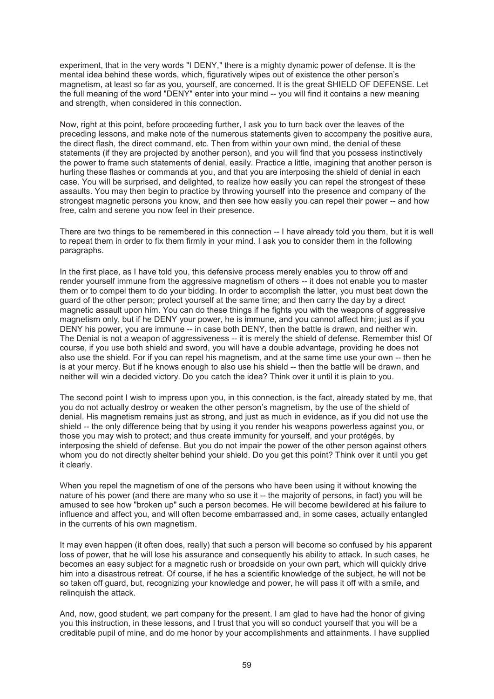experiment, that in the very words "I DENY," there is a mighty dynamic power of defense. It is the mental idea behind these words, which, figuratively wipes out of existence the other person's magnetism, at least so far as you, yourself, are concerned. It is the great SHIELD OF DEFENSE. Let the full meaning of the word "DENY" enter into your mind -- you will find it contains a new meaning and strength, when considered in this connection.

Now, right at this point, before proceeding further, I ask you to turn back over the leaves of the preceding lessons, and make note of the numerous statements given to accompany the positive aura, the direct flash, the direct command, etc. Then from within your own mind, the denial of these statements (if they are projected by another person), and you will find that you possess instinctively the power to frame such statements of denial, easily. Practice a little, imagining that another person is hurling these flashes or commands at you, and that you are interposing the shield of denial in each case. You will be surprised, and delighted, to realize how easily you can repel the strongest of these assaults. You may then begin to practice by throwing yourself into the presence and company of the strongest magnetic persons you know, and then see how easily you can repel their power -- and how free, calm and serene you now feel in their presence.

There are two things to be remembered in this connection -- I have already told you them, but it is well to repeat them in order to fix them firmly in your mind. I ask you to consider them in the following paragraphs.

In the first place, as I have told you, this defensive process merely enables you to throw off and render yourself immune from the aggressive magnetism of others -- it does not enable you to master them or to compel them to do your bidding. In order to accomplish the latter, you must beat down the guard of the other person; protect yourself at the same time; and then carry the day by a direct magnetic assault upon him. You can do these things if he fights you with the weapons of aggressive magnetism only, but if he DENY your power, he is immune, and you cannot affect him; just as if you DENY his power, you are immune -- in case both DENY, then the battle is drawn, and neither win. The Denial is not a weapon of aggressiveness -- it is merely the shield of defense. Remember this! Of course, if you use both shield and sword, you will have a double advantage, providing he does not also use the shield. For if you can repel his magnetism, and at the same time use your own -- then he is at your mercy. But if he knows enough to also use his shield -- then the battle will be drawn, and neither will win a decided victory. Do you catch the idea? Think over it until it is plain to you.

The second point I wish to impress upon you, in this connection, is the fact, already stated by me, that you do not actually destroy or weaken the other person's magnetism, by the use of the shield of denial. His magnetism remains just as strong, and just as much in evidence, as if you did not use the shield -- the only difference being that by using it you render his weapons powerless against you, or those you may wish to protect; and thus create immunity for yourself, and your protégés, by interposing the shield of defense. But you do not impair the power of the other person against others whom you do not directly shelter behind your shield. Do you get this point? Think over it until you get it clearly.

When you repel the magnetism of one of the persons who have been using it without knowing the nature of his power (and there are many who so use it -- the majority of persons, in fact) you will be amused to see how "broken up" such a person becomes. He will become bewildered at his failure to influence and affect you, and will often become embarrassed and, in some cases, actually entangled in the currents of his own magnetism.

It may even happen (it often does, really) that such a person will become so confused by his apparent loss of power, that he will lose his assurance and consequently his ability to attack. In such cases, he becomes an easy subject for a magnetic rush or broadside on your own part, which will quickly drive him into a disastrous retreat. Of course, if he has a scientific knowledge of the subject, he will not be so taken off guard, but, recognizing your knowledge and power, he will pass it off with a smile, and relinquish the attack.

And, now, good student, we part company for the present. I am glad to have had the honor of giving you this instruction, in these lessons, and I trust that you will so conduct yourself that you will be a creditable pupil of mine, and do me honor by your accomplishments and attainments. I have supplied